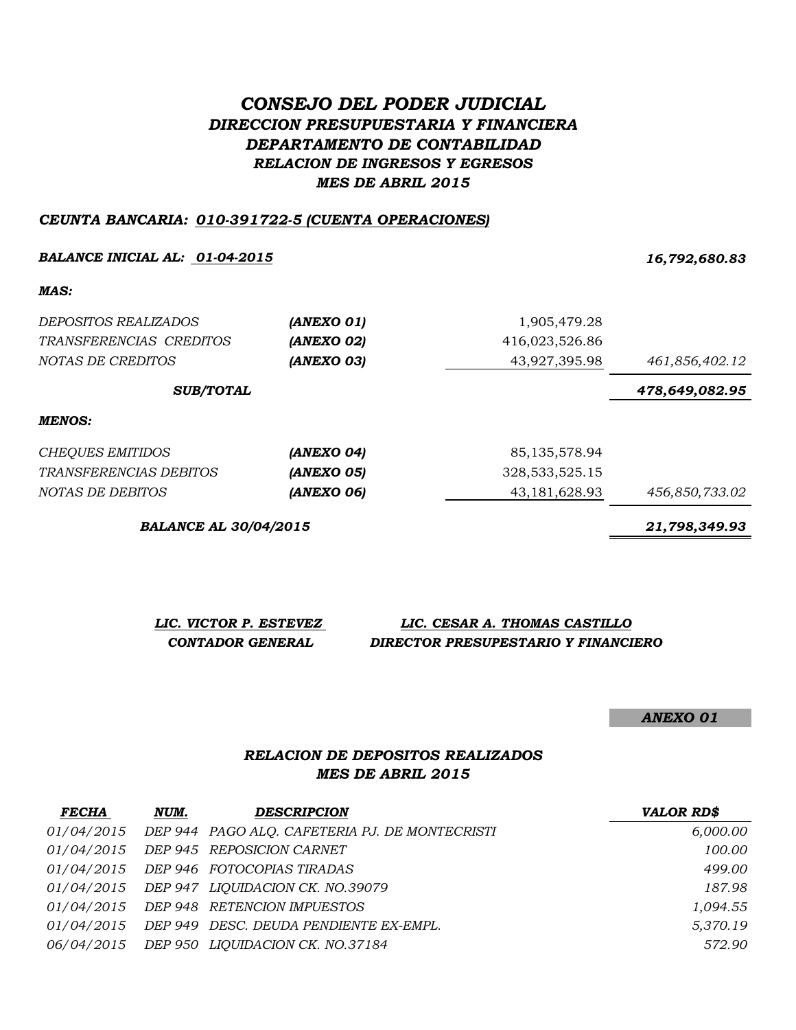# *CONSEJO DEL PODER JUDICIAL DIRECCION PRESUPUESTARIA Y FINANCIERA DEPARTAMENTO DE CONTABILIDAD RELACION DE INGRESOS Y EGRESOS MES DE ABRIL 2015*

### *CEUNTA BANCARIA: 010-391722-5 (CUENTA OPERACIONES)*

### *BALANCE INICIAL AL: 01-04-2015 16,792,680.83*

#### *MAS:*

| <i>DEPOSITOS REALIZADOS</i> | (ANEXO 01) | 1,905,479.28   |                |
|-----------------------------|------------|----------------|----------------|
| TRANSFERENCIAS CREDITOS     | (ANEXO 02) | 416,023,526.86 |                |
| <i>NOTAS DE CREDITOS</i>    | (ANEXO 03) | 43,927,395.98  | 461,856,402.12 |
| <b>SUB/TOTAL</b>            |            |                | 478,649,082.95 |

#### *MENOS:*

| CHEOUES EMITIDOS        | (ANEXO 04) | 85,135,578.94  |                |
|-------------------------|------------|----------------|----------------|
| TRANSFERENCIAS DEBITOS  | (ANEXO 05) | 328,533,525.15 |                |
| <i>NOTAS DE DEBITOS</i> | (ANEXO 06) | 43,181,628.93  | 456,850,733.02 |

*BALANCE AL 30/04/2015 21,798,349.93*

*LIC. VICTOR P. ESTEVEZ LIC. CESAR A. THOMAS CASTILLO CONTADOR GENERAL DIRECTOR PRESUPESTARIO Y FINANCIERO*

*ANEXO 01*

## *RELACION DE DEPOSITOS REALIZADOS MES DE ABRIL 2015*

| <b>FECHA</b>      | NUM. | <b>DESCRIPCION</b>                                | <b>VALOR RD\$</b> |
|-------------------|------|---------------------------------------------------|-------------------|
| <i>01/04/2015</i> |      | DEP 944 PAGO ALQ. CAFETERIA PJ. DE MONTECRISTI    | 6,000.00          |
|                   |      | 01/04/2015 DEP 945 REPOSICION CARNET              | 100.00            |
|                   |      | 01/04/2015 DEP 946 FOTOCOPIAS TIRADAS             | 499.00            |
|                   |      | 01/04/2015 DEP 947 LIQUIDACION CK. NO.39079       | 187.98            |
|                   |      | 01/04/2015 DEP 948 RETENCION IMPUESTOS            | 1,094.55          |
|                   |      | 01/04/2015 DEP 949 DESC. DEUDA PENDIENTE EX-EMPL. | 5,370.19          |
|                   |      | 06/04/2015 DEP 950 LIQUIDACION CK. NO.37184       | 572.90            |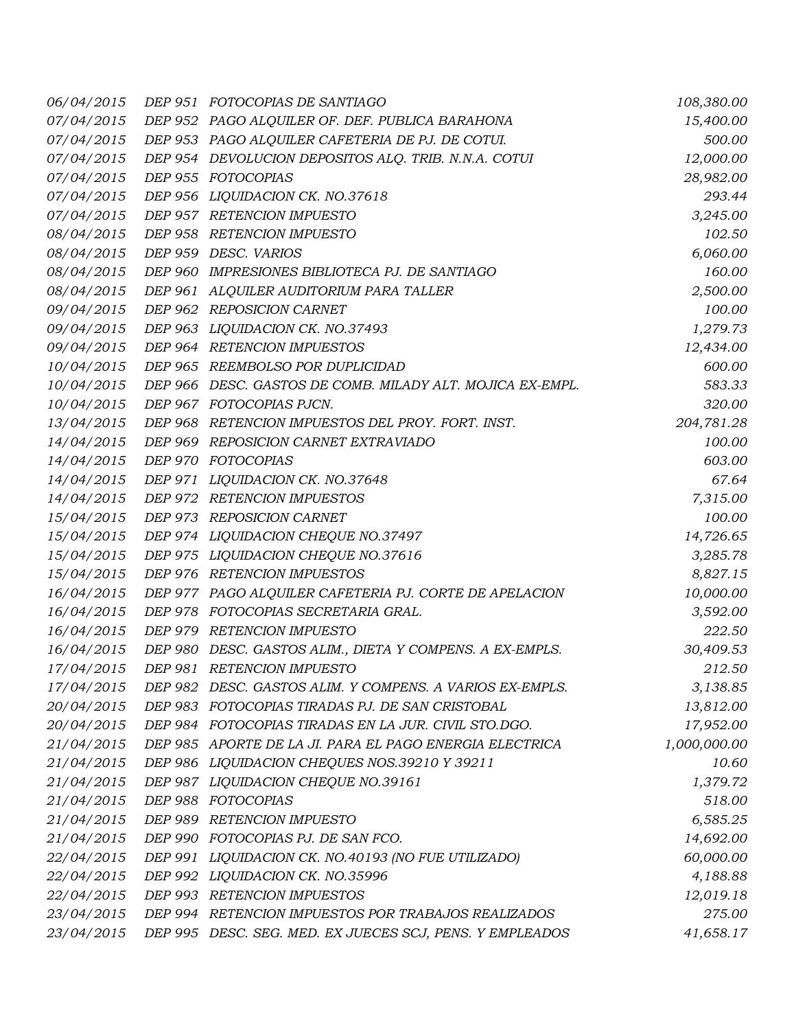| 06/04/2015 | DEP 951 FOTOCOPIAS DE SANTIAGO                            | 108,380.00   |
|------------|-----------------------------------------------------------|--------------|
| 07/04/2015 | DEP 952 PAGO ALQUILER OF. DEF. PUBLICA BARAHONA           | 15,400.00    |
| 07/04/2015 | DEP 953 PAGO ALQUILER CAFETERIA DE PJ. DE COTUI.          | 500.00       |
| 07/04/2015 | DEP 954 DEVOLUCION DEPOSITOS ALQ. TRIB. N.N.A. COTUI      | 12,000.00    |
| 07/04/2015 | DEP 955 FOTOCOPIAS                                        | 28,982.00    |
| 07/04/2015 | DEP 956 LIQUIDACION CK. NO.37618                          | 293.44       |
| 07/04/2015 | DEP 957 RETENCION IMPUESTO                                | 3,245.00     |
| 08/04/2015 | DEP 958 RETENCION IMPUESTO                                | 102.50       |
| 08/04/2015 | DEP 959 DESC. VARIOS                                      | 6,060.00     |
| 08/04/2015 | DEP 960 IMPRESIONES BIBLIOTECA PJ. DE SANTIAGO            | 160.00       |
| 08/04/2015 | DEP 961 ALQUILER AUDITORIUM PARA TALLER                   | 2,500.00     |
| 09/04/2015 | DEP 962 REPOSICION CARNET                                 | 100.00       |
| 09/04/2015 | DEP 963 LIQUIDACION CK. NO.37493                          | 1,279.73     |
| 09/04/2015 | DEP 964 RETENCION IMPUESTOS                               | 12,434.00    |
| 10/04/2015 | DEP 965 REEMBOLSO POR DUPLICIDAD                          | 600.00       |
| 10/04/2015 | DEP 966 DESC. GASTOS DE COMB. MILADY ALT. MOJICA EX-EMPL. | 583.33       |
| 10/04/2015 | DEP 967 FOTOCOPIAS PJCN.                                  | 320.00       |
| 13/04/2015 | DEP 968 RETENCION IMPUESTOS DEL PROY. FORT. INST.         | 204,781.28   |
| 14/04/2015 | DEP 969 REPOSICION CARNET EXTRAVIADO                      | 100.00       |
| 14/04/2015 | DEP 970 FOTOCOPIAS                                        | 603.00       |
| 14/04/2015 | DEP 971 LIQUIDACION CK. NO.37648                          | 67.64        |
| 14/04/2015 | DEP 972 RETENCION IMPUESTOS                               | 7,315.00     |
| 15/04/2015 | DEP 973 REPOSICION CARNET                                 | 100.00       |
| 15/04/2015 | DEP 974 LIQUIDACION CHEQUE NO.37497                       | 14,726.65    |
| 15/04/2015 | DEP 975 LIQUIDACION CHEQUE NO.37616                       | 3,285.78     |
| 15/04/2015 | DEP 976 RETENCION IMPUESTOS                               | 8,827.15     |
| 16/04/2015 | DEP 977 PAGO ALQUILER CAFETERIA PJ. CORTE DE APELACION    | 10,000.00    |
| 16/04/2015 | DEP 978 FOTOCOPIAS SECRETARIA GRAL.                       | 3,592.00     |
| 16/04/2015 | DEP 979 RETENCION IMPUESTO                                | 222.50       |
| 16/04/2015 | DEP 980 DESC. GASTOS ALIM., DIETA Y COMPENS. A EX-EMPLS.  | 30,409.53    |
| 17/04/2015 | DEP 981 RETENCION IMPUESTO                                | 212.50       |
| 17/04/2015 | DEP 982 DESC. GASTOS ALIM. Y COMPENS. A VARIOS EX-EMPLS.  | 3,138.85     |
| 20/04/2015 | DEP 983 FOTOCOPIAS TIRADAS PJ. DE SAN CRISTOBAL           | 13,812.00    |
| 20/04/2015 | DEP 984 FOTOCOPIAS TIRADAS EN LA JUR. CIVIL STO.DGO.      | 17,952.00    |
| 21/04/2015 | DEP 985 APORTE DE LA JI. PARA EL PAGO ENERGIA ELECTRICA   | 1,000,000.00 |
| 21/04/2015 | DEP 986 LIQUIDACION CHEQUES NOS.39210 Y 39211             | 10.60        |
| 21/04/2015 | DEP 987 LIQUIDACION CHEQUE NO.39161                       | 1,379.72     |
| 21/04/2015 | DEP 988 FOTOCOPIAS                                        | 518.00       |
| 21/04/2015 | DEP 989 RETENCION IMPUESTO                                | 6,585.25     |
| 21/04/2015 | DEP 990 FOTOCOPIAS PJ. DE SAN FCO.                        | 14,692.00    |
| 22/04/2015 | DEP 991 LIQUIDACION CK. NO.40193 (NO FUE UTILIZADO)       | 60,000.00    |
| 22/04/2015 | DEP 992 LIQUIDACION CK. NO.35996                          | 4,188.88     |
| 22/04/2015 | DEP 993 RETENCION IMPUESTOS                               | 12,019.18    |
| 23/04/2015 | DEP 994 RETENCION IMPUESTOS POR TRABAJOS REALIZADOS       | 275.00       |
| 23/04/2015 | DEP 995 DESC. SEG. MED. EX JUECES SCJ, PENS. Y EMPLEADOS  | 41,658.17    |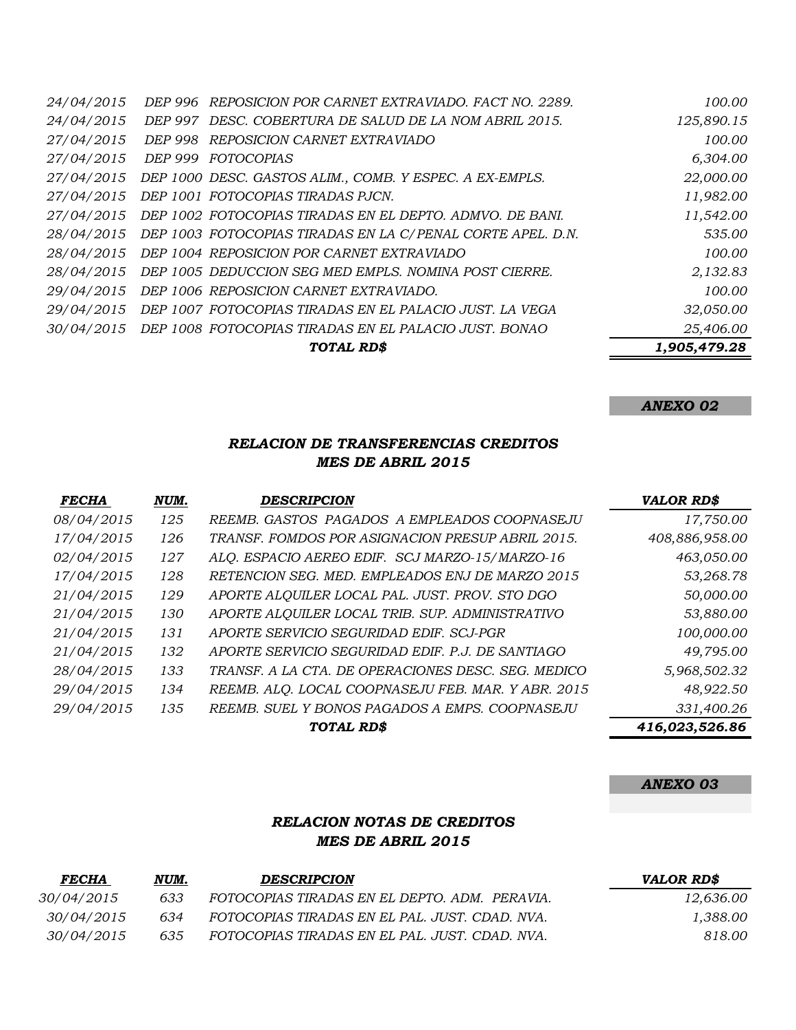|            |         | TOTAL RD\$                                                 | 1,905,479.28 |
|------------|---------|------------------------------------------------------------|--------------|
| 30/04/2015 |         | DEP 1008 FOTOCOPIAS TIRADAS EN EL PALACIO JUST. BONAO      | 25,406.00    |
| 29/04/2015 |         | DEP 1007 FOTOCOPIAS TIRADAS EN EL PALACIO JUST. LA VEGA    | 32,050.00    |
| 29/04/2015 |         | DEP 1006 REPOSICION CARNET EXTRAVIADO.                     | 100.00       |
| 28/04/2015 |         | DEP 1005 DEDUCCION SEG MED EMPLS. NOMINA POST CIERRE.      | 2,132.83     |
| 28/04/2015 |         | DEP 1004 REPOSICION POR CARNET EXTRAVIADO                  | 100.00       |
| 28/04/2015 |         | DEP 1003 FOTOCOPIAS TIRADAS EN LA C/PENAL CORTE APEL. D.N. | 535.00       |
| 27/04/2015 |         | DEP 1002 FOTOCOPIAS TIRADAS EN EL DEPTO. ADMVO. DE BANI.   | 11,542.00    |
| 27/04/2015 |         | DEP 1001 FOTOCOPIAS TIRADAS PJCN.                          | 11,982.00    |
| 27/04/2015 |         | DEP 1000 DESC. GASTOS ALIM., COMB. Y ESPEC. A EX-EMPLS.    | 22,000.00    |
| 27/04/2015 | DEP 999 | FOTOCOPIAS                                                 | 6,304.00     |
| 27/04/2015 | DEP 998 | REPOSICION CARNET EXTRAVIADO                               | 100.00       |
| 24/04/2015 |         | DEP 997 DESC. COBERTURA DE SALUD DE LA NOM ABRIL 2015.     | 125,890.15   |
| 24/04/2015 |         | DEP 996 REPOSICION POR CARNET EXTRAVIADO. FACT NO. 2289.   | 100.00       |

## *ANEXO 02*

## *RELACION DE TRANSFERENCIAS CREDITOS MES DE ABRIL 2015*

| <b>FECHA</b> | NUM. | <b>DESCRIPCION</b>                                 | <b>VALOR RD\$</b> |
|--------------|------|----------------------------------------------------|-------------------|
| 08/04/2015   | 125  | REEMB. GASTOS PAGADOS A EMPLEADOS COOPNASEJU       | 17,750.00         |
| 17/04/2015   | 126  | TRANSF. FOMDOS POR ASIGNACION PRESUP ABRIL 2015.   | 408,886,958.00    |
| 02/04/2015   | 127  | ALO. ESPACIO AEREO EDIF. SCJ MARZO-15/MARZO-16     | 463,050.00        |
| 17/04/2015   | 128  | RETENCION SEG. MED. EMPLEADOS ENJ DE MARZO 2015    | 53,268.78         |
| 21/04/2015   | 129  | APORTE ALQUILER LOCAL PAL. JUST. PROV. STO DGO     | 50,000.00         |
| 21/04/2015   | 130  | APORTE ALQUILER LOCAL TRIB. SUP. ADMINISTRATIVO    | 53,880.00         |
| 21/04/2015   | 131  | APORTE SERVICIO SEGURIDAD EDIF. SCJ-PGR            | 100,000.00        |
| 21/04/2015   | 132  | APORTE SERVICIO SEGURIDAD EDIF. P.J. DE SANTIAGO   | 49,795.00         |
| 28/04/2015   | 133  | TRANSF. A LA CTA. DE OPERACIONES DESC. SEG. MEDICO | 5,968,502.32      |
| 29/04/2015   | 134  | REEMB. ALO. LOCAL COOPNASEJU FEB. MAR. Y ABR. 2015 | 48,922.50         |
| 29/04/2015   | 135  | REEMB. SUEL Y BONOS PAGADOS A EMPS. COOPNASEJU     | 331,400.26        |
|              |      | TOTAL RD\$                                         | 416,023,526.86    |

#### *ANEXO 03*

### *RELACION NOTAS DE CREDITOS MES DE ABRIL 2015*

| <b>FECHA</b> | NUM. | <b>DESCRIPCION</b>                             | VALOR RD\$ |
|--------------|------|------------------------------------------------|------------|
| 30/04/2015   | 633  | FOTOCOPIAS TIRADAS EN EL DEPTO. ADM. PERAVIA.  | 12.636.00  |
| 30/04/2015   | 634  | FOTOCOPIAS TIRADAS EN EL PAL. JUST. CDAD. NVA. | 1.388.00   |
| 30/04/2015   | 635  | FOTOCOPIAS TIRADAS EN EL PAL. JUST. CDAD. NVA. | 818.00     |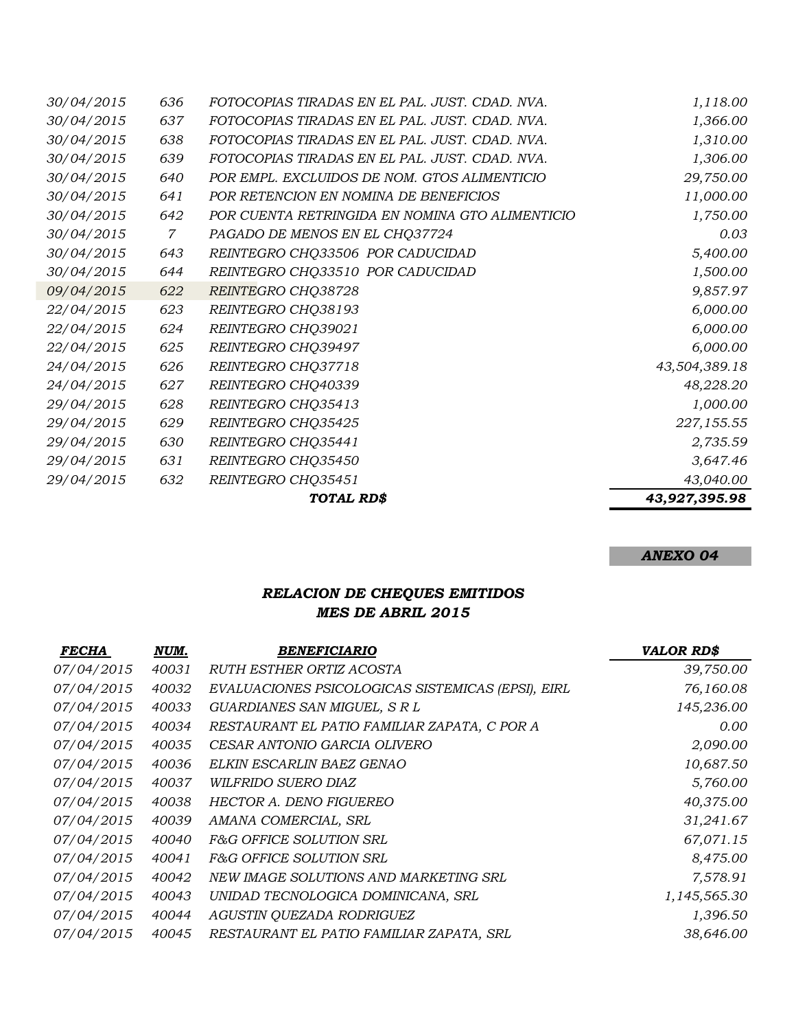|            |              | TOTAL RD\$                                      | 43,927,395.98 |
|------------|--------------|-------------------------------------------------|---------------|
| 29/04/2015 | 632          | REINTEGRO CHQ35451                              | 43,040.00     |
| 29/04/2015 | 631          | REINTEGRO CHQ35450                              | 3,647.46      |
| 29/04/2015 | 630          | REINTEGRO CHQ35441                              | 2,735.59      |
| 29/04/2015 | 629          | REINTEGRO CHQ35425                              | 227,155.55    |
| 29/04/2015 | 628          | REINTEGRO CHQ35413                              | 1,000.00      |
| 24/04/2015 | 627          | REINTEGRO CHQ40339                              | 48,228.20     |
| 24/04/2015 | 626          | REINTEGRO CHQ37718                              | 43,504,389.18 |
| 22/04/2015 | 625          | REINTEGRO CHQ39497                              | 6,000.00      |
| 22/04/2015 | 624          | REINTEGRO CHQ39021                              | 6,000.00      |
| 22/04/2015 | 623          | REINTEGRO CHQ38193                              | 6,000.00      |
| 09/04/2015 | 622          | REINTEGRO CHQ38728                              | 9,857.97      |
| 30/04/2015 | 644          | REINTEGRO CHQ33510 POR CADUCIDAD                | 1,500.00      |
| 30/04/2015 | 643          | REINTEGRO CHQ33506 POR CADUCIDAD                | 5,400.00      |
| 30/04/2015 | $\mathcal T$ | PAGADO DE MENOS EN EL CHO37724                  | 0.03          |
| 30/04/2015 | 642          | POR CUENTA RETRINGIDA EN NOMINA GTO ALIMENTICIO | 1,750.00      |
| 30/04/2015 | 641          | POR RETENCION EN NOMINA DE BENEFICIOS           | 11,000.00     |
| 30/04/2015 | 640          | POR EMPL. EXCLUIDOS DE NOM. GTOS ALIMENTICIO    | 29,750.00     |
| 30/04/2015 | 639          | FOTOCOPIAS TIRADAS EN EL PAL. JUST. CDAD. NVA.  | 1,306.00      |
| 30/04/2015 | 638          | FOTOCOPIAS TIRADAS EN EL PAL. JUST. CDAD. NVA.  | 1,310.00      |
| 30/04/2015 | 637          | FOTOCOPIAS TIRADAS EN EL PAL. JUST. CDAD. NVA.  | 1,366.00      |
| 30/04/2015 | 636          | FOTOCOPIAS TIRADAS EN EL PAL. JUST. CDAD. NVA.  | 1,118.00      |

# *ANEXO 04*

# *RELACION DE CHEQUES EMITIDOS MES DE ABRIL 2015*

| <b>FECHA</b> | NUM.  | <b>BENEFICIARIO</b>                               | <b>VALOR RD\$</b> |
|--------------|-------|---------------------------------------------------|-------------------|
| 07/04/2015   | 40031 | <i>RUTH ESTHER ORTIZ ACOSTA</i>                   | 39,750.00         |
| 07/04/2015   | 40032 | EVALUACIONES PSICOLOGICAS SISTEMICAS (EPSI), EIRL | 76,160.08         |
| 07/04/2015   | 40033 | GUARDIANES SAN MIGUEL, S R L                      | 145,236.00        |
| 07/04/2015   | 40034 | RESTAURANT EL PATIO FAMILIAR ZAPATA, C POR A      | 0.00              |
| 07/04/2015   | 40035 | CESAR ANTONIO GARCIA OLIVERO                      | 2,090.00          |
| 07/04/2015   | 40036 | ELKIN ESCARLIN BAEZ GENAO                         | 10,687.50         |
| 07/04/2015   | 40037 | <i>WILFRIDO SUERO DIAZ</i>                        | 5,760.00          |
| 07/04/2015   | 40038 | HECTOR A. DENO FIGUEREO                           | 40,375.00         |
| 07/04/2015   | 40039 | AMANA COMERCIAL, SRL                              | 31,241.67         |
| 07/04/2015   | 40040 | F&G OFFICE SOLUTION SRL                           | 67,071.15         |
| 07/04/2015   | 40041 | <i>F&amp;G OFFICE SOLUTION SRL</i>                | 8,475.00          |
| 07/04/2015   | 40042 | NEW IMAGE SOLUTIONS AND MARKETING SRL             | 7,578.91          |
| 07/04/2015   | 40043 | UNIDAD TECNOLOGICA DOMINICANA, SRL                | 1,145,565.30      |
| 07/04/2015   | 40044 | AGUSTIN QUEZADA RODRIGUEZ                         | 1,396.50          |
| 07/04/2015   | 40045 | RESTAURANT EL PATIO FAMILIAR ZAPATA, SRL          | 38,646.00         |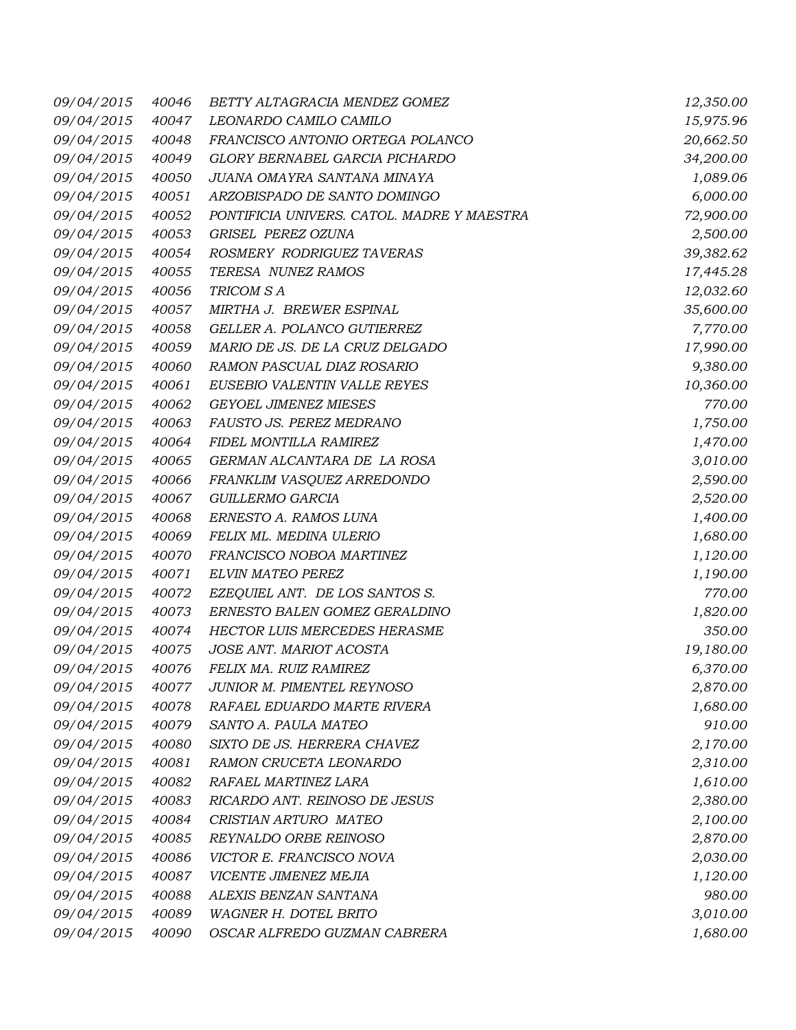| 09/04/2015 | 40046 | BETTY ALTAGRACIA MENDEZ GOMEZ              | 12,350.00 |
|------------|-------|--------------------------------------------|-----------|
| 09/04/2015 | 40047 | LEONARDO CAMILO CAMILO                     | 15,975.96 |
| 09/04/2015 | 40048 | FRANCISCO ANTONIO ORTEGA POLANCO           | 20,662.50 |
| 09/04/2015 | 40049 | GLORY BERNABEL GARCIA PICHARDO             | 34,200.00 |
| 09/04/2015 | 40050 | JUANA OMAYRA SANTANA MINAYA                | 1,089.06  |
| 09/04/2015 | 40051 | ARZOBISPADO DE SANTO DOMINGO               | 6,000.00  |
| 09/04/2015 | 40052 | PONTIFICIA UNIVERS. CATOL. MADRE Y MAESTRA | 72,900.00 |
| 09/04/2015 | 40053 | GRISEL PEREZ OZUNA                         | 2,500.00  |
| 09/04/2015 | 40054 | ROSMERY RODRIGUEZ TAVERAS                  | 39,382.62 |
| 09/04/2015 | 40055 | TERESA NUNEZ RAMOS                         | 17,445.28 |
| 09/04/2015 | 40056 | TRICOM S A                                 | 12,032.60 |
| 09/04/2015 | 40057 | MIRTHA J. BREWER ESPINAL                   | 35,600.00 |
| 09/04/2015 | 40058 | GELLER A. POLANCO GUTIERREZ                | 7,770.00  |
| 09/04/2015 | 40059 | MARIO DE JS. DE LA CRUZ DELGADO            | 17,990.00 |
| 09/04/2015 | 40060 | RAMON PASCUAL DIAZ ROSARIO                 | 9,380.00  |
| 09/04/2015 | 40061 | EUSEBIO VALENTIN VALLE REYES               | 10,360.00 |
| 09/04/2015 | 40062 | <b>GEYOEL JIMENEZ MIESES</b>               | 770.00    |
| 09/04/2015 | 40063 | FAUSTO JS. PEREZ MEDRANO                   | 1,750.00  |
| 09/04/2015 | 40064 | FIDEL MONTILLA RAMIREZ                     | 1,470.00  |
| 09/04/2015 | 40065 | GERMAN ALCANTARA DE LA ROSA                | 3,010.00  |
| 09/04/2015 | 40066 | FRANKLIM VASQUEZ ARREDONDO                 | 2,590.00  |
| 09/04/2015 | 40067 | GUILLERMO GARCIA                           | 2,520.00  |
| 09/04/2015 | 40068 | ERNESTO A. RAMOS LUNA                      | 1,400.00  |
| 09/04/2015 | 40069 | FELIX ML. MEDINA ULERIO                    | 1,680.00  |
| 09/04/2015 | 40070 | FRANCISCO NOBOA MARTINEZ                   | 1,120.00  |
| 09/04/2015 | 40071 | ELVIN MATEO PEREZ                          | 1,190.00  |
| 09/04/2015 | 40072 | EZEQUIEL ANT. DE LOS SANTOS S.             | 770.00    |
| 09/04/2015 | 40073 | ERNESTO BALEN GOMEZ GERALDINO              | 1,820.00  |
| 09/04/2015 | 40074 | HECTOR LUIS MERCEDES HERASME               | 350.00    |
| 09/04/2015 | 40075 | JOSE ANT. MARIOT ACOSTA                    | 19,180.00 |
| 09/04/2015 | 40076 | FELIX MA. RUIZ RAMIREZ                     | 6,370.00  |
| 09/04/2015 | 40077 | JUNIOR M. PIMENTEL REYNOSO                 | 2,870.00  |
| 09/04/2015 | 40078 | RAFAEL EDUARDO MARTE RIVERA                | 1,680.00  |
| 09/04/2015 | 40079 | SANTO A. PAULA MATEO                       | 910.00    |
| 09/04/2015 | 40080 | SIXTO DE JS. HERRERA CHAVEZ                | 2,170.00  |
| 09/04/2015 | 40081 | RAMON CRUCETA LEONARDO                     | 2,310.00  |
| 09/04/2015 | 40082 | RAFAEL MARTINEZ LARA                       | 1,610.00  |
| 09/04/2015 | 40083 | RICARDO ANT. REINOSO DE JESUS              | 2,380.00  |
| 09/04/2015 | 40084 | CRISTIAN ARTURO MATEO                      | 2,100.00  |
| 09/04/2015 | 40085 | REYNALDO ORBE REINOSO                      | 2,870.00  |
| 09/04/2015 | 40086 | VICTOR E. FRANCISCO NOVA                   | 2,030.00  |
| 09/04/2015 | 40087 | VICENTE JIMENEZ MEJIA                      | 1,120.00  |
| 09/04/2015 | 40088 | ALEXIS BENZAN SANTANA                      | 980.00    |
| 09/04/2015 | 40089 | WAGNER H. DOTEL BRITO                      | 3,010.00  |
| 09/04/2015 | 40090 | OSCAR ALFREDO GUZMAN CABRERA               | 1,680.00  |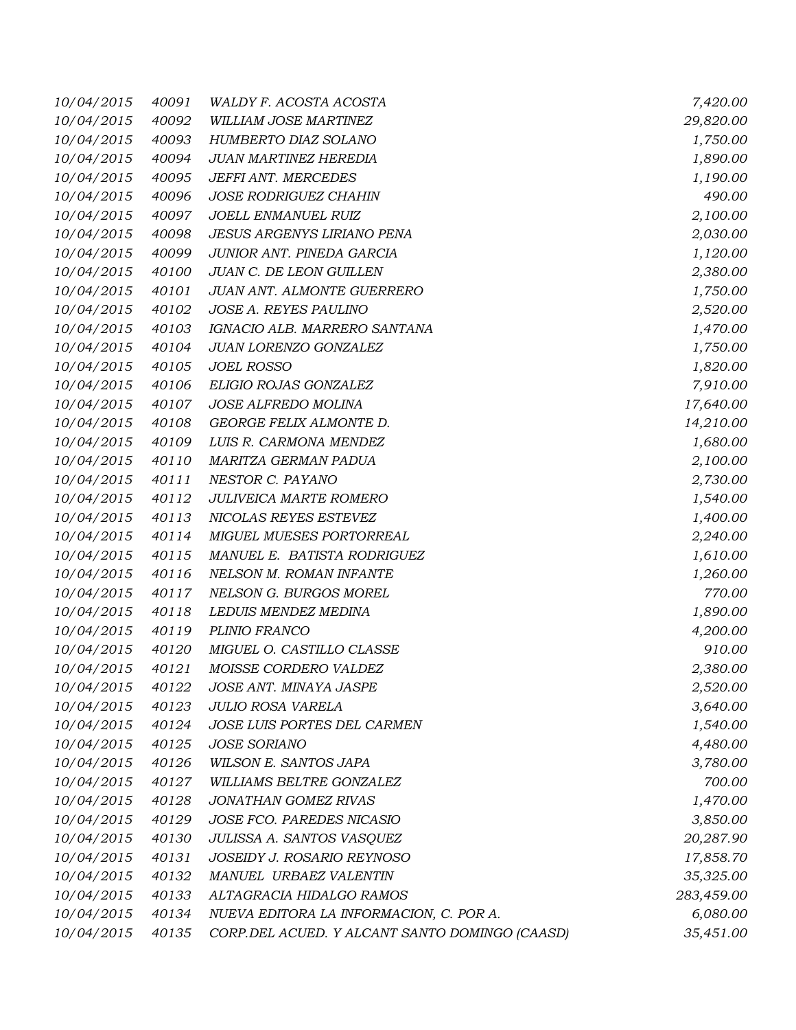| 10/04/2015 | 40091 | WALDY F. ACOSTA ACOSTA                         | 7,420.00   |
|------------|-------|------------------------------------------------|------------|
| 10/04/2015 | 40092 | WILLIAM JOSE MARTINEZ                          | 29,820.00  |
| 10/04/2015 | 40093 | HUMBERTO DIAZ SOLANO                           | 1,750.00   |
| 10/04/2015 | 40094 | JUAN MARTINEZ HEREDIA                          | 1,890.00   |
| 10/04/2015 | 40095 | JEFFI ANT. MERCEDES                            | 1,190.00   |
| 10/04/2015 | 40096 | <b>JOSE RODRIGUEZ CHAHIN</b>                   | 490.00     |
| 10/04/2015 | 40097 | JOELL ENMANUEL RUIZ                            | 2,100.00   |
| 10/04/2015 | 40098 | <b>JESUS ARGENYS LIRIANO PENA</b>              | 2,030.00   |
| 10/04/2015 | 40099 | JUNIOR ANT. PINEDA GARCIA                      | 1,120.00   |
| 10/04/2015 | 40100 | JUAN C. DE LEON GUILLEN                        | 2,380.00   |
| 10/04/2015 | 40101 | JUAN ANT. ALMONTE GUERRERO                     | 1,750.00   |
| 10/04/2015 | 40102 | JOSE A. REYES PAULINO                          | 2,520.00   |
| 10/04/2015 | 40103 | IGNACIO ALB. MARRERO SANTANA                   | 1,470.00   |
| 10/04/2015 | 40104 | JUAN LORENZO GONZALEZ                          | 1,750.00   |
| 10/04/2015 | 40105 | <b>JOEL ROSSO</b>                              | 1,820.00   |
| 10/04/2015 | 40106 | ELIGIO ROJAS GONZALEZ                          | 7,910.00   |
| 10/04/2015 | 40107 | JOSE ALFREDO MOLINA                            | 17,640.00  |
| 10/04/2015 | 40108 | GEORGE FELIX ALMONTE D.                        | 14,210.00  |
| 10/04/2015 | 40109 | LUIS R. CARMONA MENDEZ                         | 1,680.00   |
| 10/04/2015 | 40110 | MARITZA GERMAN PADUA                           | 2,100.00   |
| 10/04/2015 | 40111 | NESTOR C. PAYANO                               | 2,730.00   |
| 10/04/2015 | 40112 | JULIVEICA MARTE ROMERO                         | 1,540.00   |
| 10/04/2015 | 40113 | NICOLAS REYES ESTEVEZ                          | 1,400.00   |
| 10/04/2015 | 40114 | MIGUEL MUESES PORTORREAL                       | 2,240.00   |
| 10/04/2015 | 40115 | MANUEL E. BATISTA RODRIGUEZ                    | 1,610.00   |
| 10/04/2015 | 40116 | NELSON M. ROMAN INFANTE                        | 1,260.00   |
| 10/04/2015 | 40117 | NELSON G. BURGOS MOREL                         | 770.00     |
| 10/04/2015 | 40118 | LEDUIS MENDEZ MEDINA                           | 1,890.00   |
| 10/04/2015 | 40119 | PLINIO FRANCO                                  | 4,200.00   |
| 10/04/2015 | 40120 | MIGUEL O. CASTILLO CLASSE                      | 910.00     |
| 10/04/2015 | 40121 | MOISSE CORDERO VALDEZ                          | 2,380.00   |
| 10/04/2015 | 40122 | JOSE ANT. MINAYA JASPE                         | 2,520.00   |
| 10/04/2015 | 40123 | JULIO ROSA VARELA                              | 3,640.00   |
| 10/04/2015 | 40124 | JOSE LUIS PORTES DEL CARMEN                    | 1,540.00   |
| 10/04/2015 | 40125 | JOSE SORIANO                                   | 4,480.00   |
| 10/04/2015 | 40126 | WILSON E. SANTOS JAPA                          | 3,780.00   |
| 10/04/2015 | 40127 | WILLIAMS BELTRE GONZALEZ                       | 700.00     |
| 10/04/2015 | 40128 | JONATHAN GOMEZ RIVAS                           | 1,470.00   |
| 10/04/2015 | 40129 | JOSE FCO. PAREDES NICASIO                      | 3,850.00   |
| 10/04/2015 | 40130 | JULISSA A. SANTOS VASQUEZ                      | 20,287.90  |
| 10/04/2015 | 40131 | JOSEIDY J. ROSARIO REYNOSO                     | 17,858.70  |
| 10/04/2015 | 40132 | MANUEL URBAEZ VALENTIN                         | 35,325.00  |
| 10/04/2015 | 40133 | ALTAGRACIA HIDALGO RAMOS                       | 283,459.00 |
| 10/04/2015 | 40134 | NUEVA EDITORA LA INFORMACION, C. POR A.        | 6,080.00   |
| 10/04/2015 | 40135 | CORP.DEL ACUED. Y ALCANT SANTO DOMINGO (CAASD) | 35,451.00  |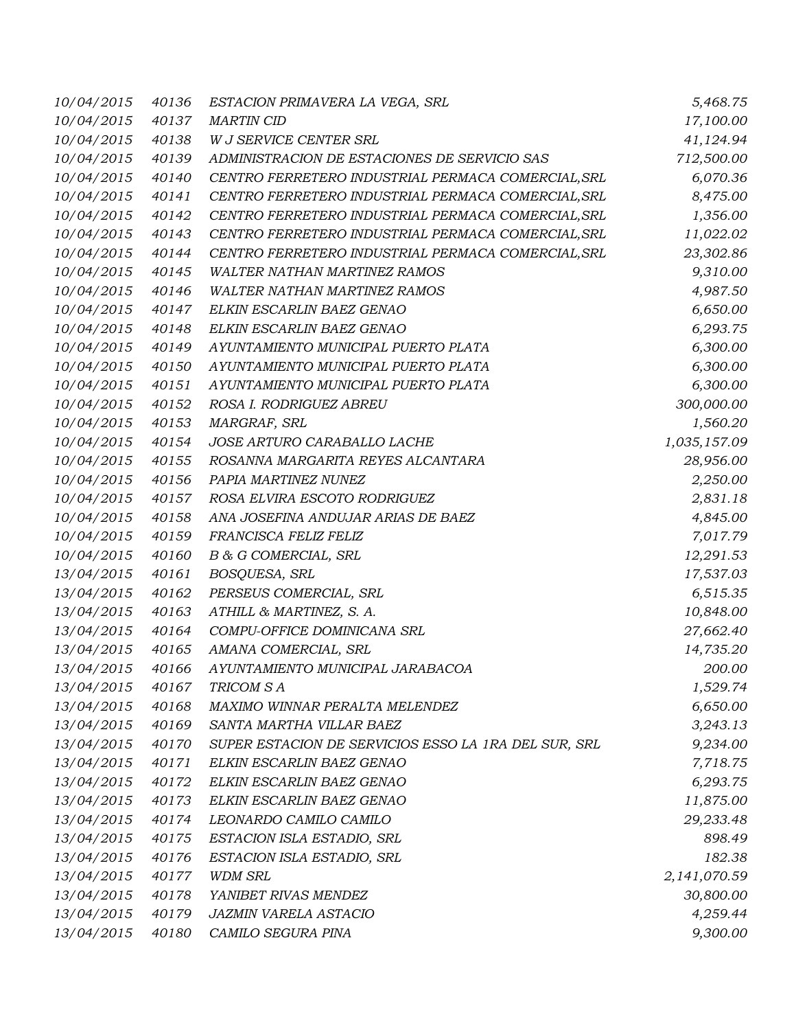| 10/04/2015 | 40136 | ESTACION PRIMAVERA LA VEGA, SRL                      | 5,468.75     |
|------------|-------|------------------------------------------------------|--------------|
| 10/04/2015 | 40137 | <b>MARTIN CID</b>                                    | 17,100.00    |
| 10/04/2015 | 40138 | W J SERVICE CENTER SRL                               | 41,124.94    |
| 10/04/2015 | 40139 | ADMINISTRACION DE ESTACIONES DE SERVICIO SAS         | 712,500.00   |
| 10/04/2015 | 40140 | CENTRO FERRETERO INDUSTRIAL PERMACA COMERCIAL, SRL   | 6,070.36     |
| 10/04/2015 | 40141 | CENTRO FERRETERO INDUSTRIAL PERMACA COMERCIAL, SRL   | 8,475.00     |
| 10/04/2015 | 40142 | CENTRO FERRETERO INDUSTRIAL PERMACA COMERCIAL, SRL   | 1,356.00     |
| 10/04/2015 | 40143 | CENTRO FERRETERO INDUSTRIAL PERMACA COMERCIAL, SRL   | 11,022.02    |
| 10/04/2015 | 40144 | CENTRO FERRETERO INDUSTRIAL PERMACA COMERCIAL, SRL   | 23,302.86    |
| 10/04/2015 | 40145 | <b>WALTER NATHAN MARTINEZ RAMOS</b>                  | 9,310.00     |
| 10/04/2015 | 40146 | <b>WALTER NATHAN MARTINEZ RAMOS</b>                  | 4,987.50     |
| 10/04/2015 | 40147 | ELKIN ESCARLIN BAEZ GENAO                            | 6,650.00     |
| 10/04/2015 | 40148 | ELKIN ESCARLIN BAEZ GENAO                            | 6,293.75     |
| 10/04/2015 | 40149 | AYUNTAMIENTO MUNICIPAL PUERTO PLATA                  | 6,300.00     |
| 10/04/2015 | 40150 | AYUNTAMIENTO MUNICIPAL PUERTO PLATA                  | 6,300.00     |
| 10/04/2015 | 40151 | AYUNTAMIENTO MUNICIPAL PUERTO PLATA                  | 6,300.00     |
| 10/04/2015 | 40152 | ROSA I. RODRIGUEZ ABREU                              | 300,000.00   |
| 10/04/2015 | 40153 | MARGRAF, SRL                                         | 1,560.20     |
| 10/04/2015 | 40154 | JOSE ARTURO CARABALLO LACHE                          | 1,035,157.09 |
| 10/04/2015 | 40155 | ROSANNA MARGARITA REYES ALCANTARA                    | 28,956.00    |
| 10/04/2015 | 40156 | PAPIA MARTINEZ NUNEZ                                 | 2,250.00     |
| 10/04/2015 | 40157 | ROSA ELVIRA ESCOTO RODRIGUEZ                         | 2,831.18     |
| 10/04/2015 | 40158 | ANA JOSEFINA ANDUJAR ARIAS DE BAEZ                   | 4,845.00     |
| 10/04/2015 | 40159 | FRANCISCA FELIZ FELIZ                                | 7,017.79     |
| 10/04/2015 | 40160 | B & G COMERCIAL, SRL                                 | 12,291.53    |
| 13/04/2015 | 40161 | BOSQUESA, SRL                                        | 17,537.03    |
| 13/04/2015 | 40162 | PERSEUS COMERCIAL, SRL                               | 6,515.35     |
| 13/04/2015 | 40163 | ATHILL & MARTINEZ, S. A.                             | 10,848.00    |
| 13/04/2015 | 40164 | COMPU-OFFICE DOMINICANA SRL                          | 27,662.40    |
| 13/04/2015 | 40165 | AMANA COMERCIAL, SRL                                 | 14,735.20    |
| 13/04/2015 | 40166 | AYUNTAMIENTO MUNICIPAL JARABACOA                     | 200.00       |
| 13/04/2015 | 40167 | TRICOM SA                                            | 1,529.74     |
| 13/04/2015 | 40168 | MAXIMO WINNAR PERALTA MELENDEZ                       | 6,650.00     |
| 13/04/2015 | 40169 | SANTA MARTHA VILLAR BAEZ                             | 3,243.13     |
| 13/04/2015 | 40170 | SUPER ESTACION DE SERVICIOS ESSO LA 1RA DEL SUR, SRL | 9,234.00     |
| 13/04/2015 | 40171 | ELKIN ESCARLIN BAEZ GENAO                            | 7,718.75     |
| 13/04/2015 | 40172 | ELKIN ESCARLIN BAEZ GENAO                            | 6,293.75     |
| 13/04/2015 | 40173 | ELKIN ESCARLIN BAEZ GENAO                            | 11,875.00    |
| 13/04/2015 | 40174 | LEONARDO CAMILO CAMILO                               | 29,233.48    |
| 13/04/2015 | 40175 | ESTACION ISLA ESTADIO, SRL                           | 898.49       |
| 13/04/2015 | 40176 | ESTACION ISLA ESTADIO, SRL                           | 182.38       |
| 13/04/2015 | 40177 | <b>WDM SRL</b>                                       | 2,141,070.59 |
| 13/04/2015 | 40178 | YANIBET RIVAS MENDEZ                                 | 30,800.00    |
| 13/04/2015 | 40179 | JAZMIN VARELA ASTACIO                                | 4,259.44     |
| 13/04/2015 | 40180 | CAMILO SEGURA PINA                                   | 9,300.00     |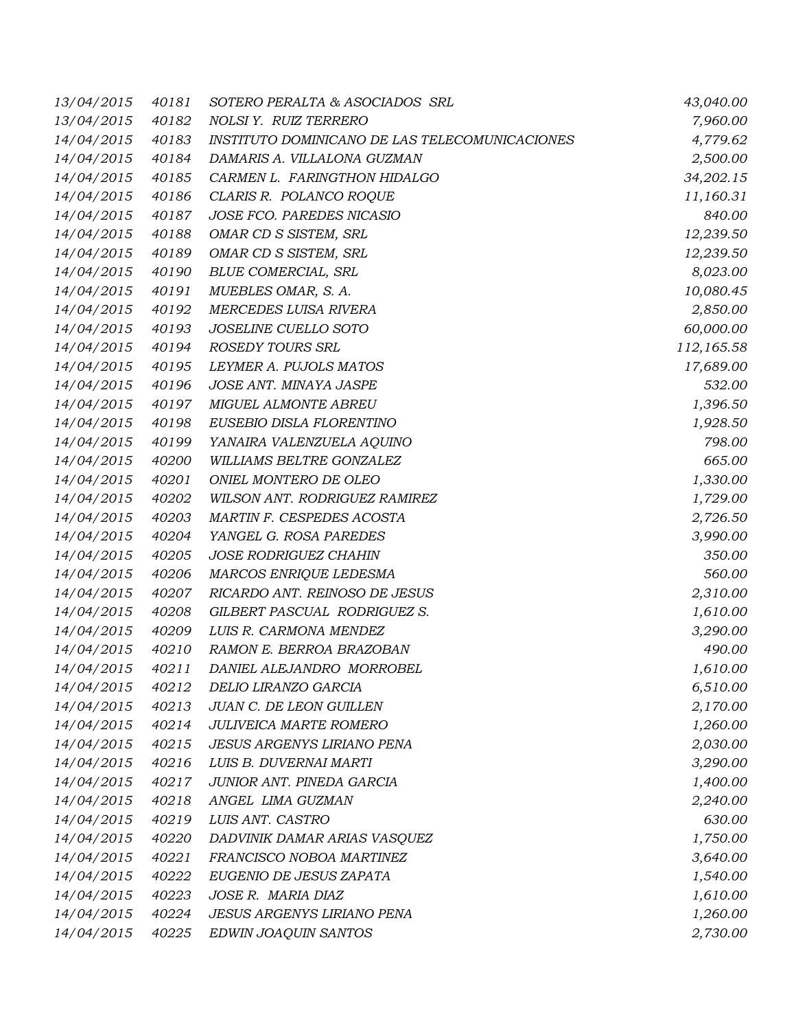| 13/04/2015 | 40181 | SOTERO PERALTA & ASOCIADOS SRL                 | 43,040.00  |
|------------|-------|------------------------------------------------|------------|
| 13/04/2015 | 40182 | NOLSI Y. RUIZ TERRERO                          | 7,960.00   |
| 14/04/2015 | 40183 | INSTITUTO DOMINICANO DE LAS TELECOMUNICACIONES | 4,779.62   |
| 14/04/2015 | 40184 | DAMARIS A. VILLALONA GUZMAN                    | 2,500.00   |
| 14/04/2015 | 40185 | CARMEN L. FARINGTHON HIDALGO                   | 34,202.15  |
| 14/04/2015 | 40186 | CLARIS R. POLANCO ROQUE                        | 11,160.31  |
| 14/04/2015 | 40187 | JOSE FCO. PAREDES NICASIO                      | 840.00     |
| 14/04/2015 | 40188 | OMAR CD S SISTEM, SRL                          | 12,239.50  |
| 14/04/2015 | 40189 | OMAR CD S SISTEM, SRL                          | 12,239.50  |
| 14/04/2015 | 40190 | <b>BLUE COMERCIAL, SRL</b>                     | 8,023.00   |
| 14/04/2015 | 40191 | MUEBLES OMAR, S. A.                            | 10,080.45  |
| 14/04/2015 | 40192 | MERCEDES LUISA RIVERA                          | 2,850.00   |
| 14/04/2015 | 40193 | JOSELINE CUELLO SOTO                           | 60,000.00  |
| 14/04/2015 | 40194 | ROSEDY TOURS SRL                               | 112,165.58 |
| 14/04/2015 | 40195 | LEYMER A. PUJOLS MATOS                         | 17,689.00  |
| 14/04/2015 | 40196 | JOSE ANT. MINAYA JASPE                         | 532.00     |
| 14/04/2015 | 40197 | MIGUEL ALMONTE ABREU                           | 1,396.50   |
| 14/04/2015 | 40198 | EUSEBIO DISLA FLORENTINO                       | 1,928.50   |
| 14/04/2015 | 40199 | YANAIRA VALENZUELA AQUINO                      | 798.00     |
| 14/04/2015 | 40200 | WILLIAMS BELTRE GONZALEZ                       | 665.00     |
| 14/04/2015 | 40201 | ONIEL MONTERO DE OLEO                          | 1,330.00   |
| 14/04/2015 | 40202 | WILSON ANT. RODRIGUEZ RAMIREZ                  | 1,729.00   |
| 14/04/2015 | 40203 | MARTIN F. CESPEDES ACOSTA                      | 2,726.50   |
| 14/04/2015 | 40204 | YANGEL G. ROSA PAREDES                         | 3,990.00   |
| 14/04/2015 | 40205 | <b>JOSE RODRIGUEZ CHAHIN</b>                   | 350.00     |
| 14/04/2015 | 40206 | MARCOS ENRIQUE LEDESMA                         | 560.00     |
| 14/04/2015 | 40207 | RICARDO ANT. REINOSO DE JESUS                  | 2,310.00   |
| 14/04/2015 | 40208 | GILBERT PASCUAL RODRIGUEZ S.                   | 1,610.00   |
| 14/04/2015 | 40209 | LUIS R. CARMONA MENDEZ                         | 3,290.00   |
| 14/04/2015 | 40210 | RAMON E. BERROA BRAZOBAN                       | 490.00     |
| 14/04/2015 | 40211 | DANIEL ALEJANDRO MORROBEL                      | 1,610.00   |
| 14/04/2015 | 40212 | DELIO LIRANZO GARCIA                           | 6,510.00   |
| 14/04/2015 | 40213 | JUAN C. DE LEON GUILLEN                        | 2,170.00   |
| 14/04/2015 | 40214 | JULIVEICA MARTE ROMERO                         | 1,260.00   |
| 14/04/2015 | 40215 | <b>JESUS ARGENYS LIRIANO PENA</b>              | 2,030.00   |
| 14/04/2015 | 40216 | LUIS B. DUVERNAI MARTI                         | 3,290.00   |
| 14/04/2015 | 40217 | JUNIOR ANT. PINEDA GARCIA                      | 1,400.00   |
| 14/04/2015 | 40218 | ANGEL LIMA GUZMAN                              | 2,240.00   |
| 14/04/2015 | 40219 | LUIS ANT. CASTRO                               | 630.00     |
| 14/04/2015 | 40220 | DADVINIK DAMAR ARIAS VASQUEZ                   | 1,750.00   |
| 14/04/2015 | 40221 | FRANCISCO NOBOA MARTINEZ                       | 3,640.00   |
| 14/04/2015 | 40222 | EUGENIO DE JESUS ZAPATA                        | 1,540.00   |
| 14/04/2015 | 40223 | JOSE R. MARIA DIAZ                             | 1,610.00   |
| 14/04/2015 | 40224 | <b>JESUS ARGENYS LIRIANO PENA</b>              | 1,260.00   |
| 14/04/2015 | 40225 | EDWIN JOAQUIN SANTOS                           | 2,730.00   |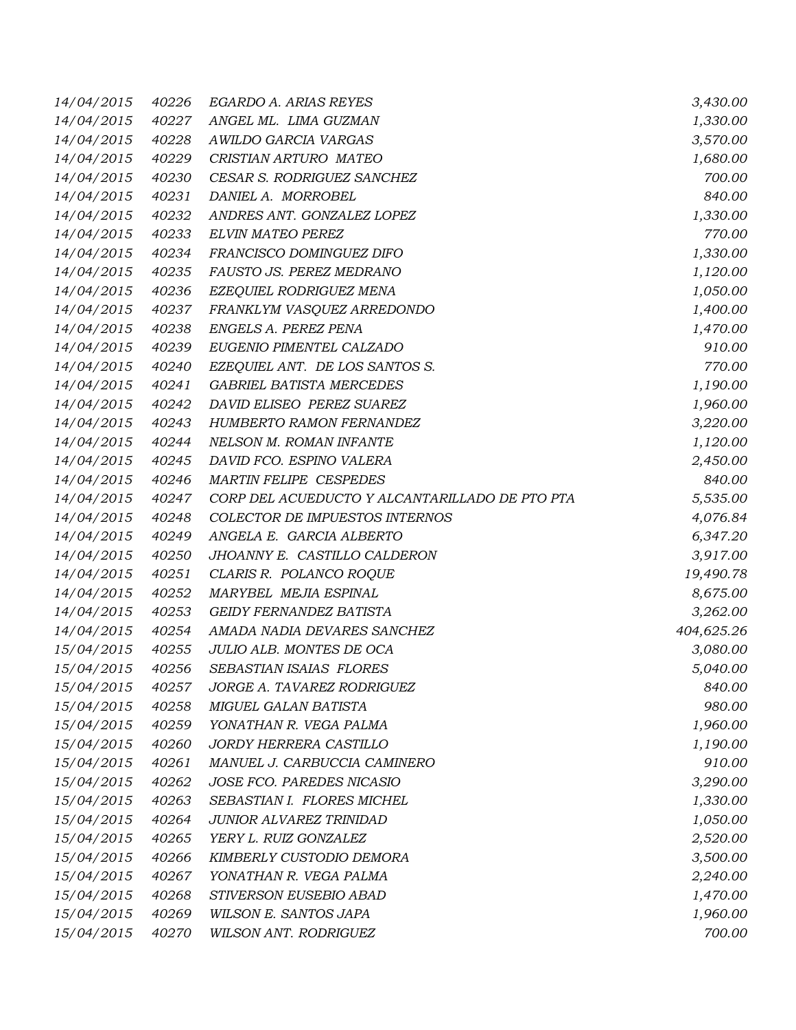| 14/04/2015 | 40226 | EGARDO A. ARIAS REYES                          | 3,430.00   |
|------------|-------|------------------------------------------------|------------|
| 14/04/2015 | 40227 | ANGEL ML. LIMA GUZMAN                          | 1,330.00   |
| 14/04/2015 | 40228 | AWILDO GARCIA VARGAS                           | 3,570.00   |
| 14/04/2015 | 40229 | CRISTIAN ARTURO MATEO                          | 1,680.00   |
| 14/04/2015 | 40230 | CESAR S. RODRIGUEZ SANCHEZ                     | 700.00     |
| 14/04/2015 | 40231 | DANIEL A. MORROBEL                             | 840.00     |
| 14/04/2015 | 40232 | ANDRES ANT. GONZALEZ LOPEZ                     | 1,330.00   |
| 14/04/2015 | 40233 | ELVIN MATEO PEREZ                              | 770.00     |
| 14/04/2015 | 40234 | FRANCISCO DOMINGUEZ DIFO                       | 1,330.00   |
| 14/04/2015 | 40235 | FAUSTO JS. PEREZ MEDRANO                       | 1,120.00   |
| 14/04/2015 | 40236 | EZEQUIEL RODRIGUEZ MENA                        | 1,050.00   |
| 14/04/2015 | 40237 | FRANKLYM VASQUEZ ARREDONDO                     | 1,400.00   |
| 14/04/2015 | 40238 | ENGELS A. PEREZ PENA                           | 1,470.00   |
| 14/04/2015 | 40239 | EUGENIO PIMENTEL CALZADO                       | 910.00     |
| 14/04/2015 | 40240 | EZEQUIEL ANT. DE LOS SANTOS S.                 | 770.00     |
| 14/04/2015 | 40241 | <b>GABRIEL BATISTA MERCEDES</b>                | 1,190.00   |
| 14/04/2015 | 40242 | DAVID ELISEO PEREZ SUAREZ                      | 1,960.00   |
| 14/04/2015 | 40243 | HUMBERTO RAMON FERNANDEZ                       | 3,220.00   |
| 14/04/2015 | 40244 | NELSON M. ROMAN INFANTE                        | 1,120.00   |
| 14/04/2015 | 40245 | DAVID FCO. ESPINO VALERA                       | 2,450.00   |
| 14/04/2015 | 40246 | <b>MARTIN FELIPE CESPEDES</b>                  | 840.00     |
| 14/04/2015 | 40247 | CORP DEL ACUEDUCTO Y ALCANTARILLADO DE PTO PTA | 5,535.00   |
| 14/04/2015 | 40248 | COLECTOR DE IMPUESTOS INTERNOS                 | 4,076.84   |
| 14/04/2015 | 40249 | ANGELA E. GARCIA ALBERTO                       | 6,347.20   |
| 14/04/2015 | 40250 | JHOANNY E. CASTILLO CALDERON                   | 3,917.00   |
| 14/04/2015 | 40251 | CLARIS R. POLANCO ROQUE                        | 19,490.78  |
| 14/04/2015 | 40252 | MARYBEL MEJIA ESPINAL                          | 8,675.00   |
| 14/04/2015 | 40253 | GEIDY FERNANDEZ BATISTA                        | 3,262.00   |
| 14/04/2015 | 40254 | AMADA NADIA DEVARES SANCHEZ                    | 404,625.26 |
| 15/04/2015 | 40255 | JULIO ALB. MONTES DE OCA                       | 3,080.00   |
| 15/04/2015 | 40256 | SEBASTIAN ISAIAS FLORES                        | 5,040.00   |
| 15/04/2015 | 40257 | JORGE A. TAVAREZ RODRIGUEZ                     | 840.00     |
| 15/04/2015 | 40258 | MIGUEL GALAN BATISTA                           | 980.00     |
| 15/04/2015 | 40259 | YONATHAN R. VEGA PALMA                         | 1,960.00   |
| 15/04/2015 | 40260 | <b>JORDY HERRERA CASTILLO</b>                  | 1,190.00   |
| 15/04/2015 | 40261 | MANUEL J. CARBUCCIA CAMINERO                   | 910.00     |
| 15/04/2015 | 40262 | JOSE FCO. PAREDES NICASIO                      | 3,290.00   |
| 15/04/2015 | 40263 | SEBASTIAN I. FLORES MICHEL                     | 1,330.00   |
| 15/04/2015 | 40264 | JUNIOR ALVAREZ TRINIDAD                        | 1,050.00   |
| 15/04/2015 | 40265 | YERY L. RUIZ GONZALEZ                          | 2,520.00   |
| 15/04/2015 | 40266 | KIMBERLY CUSTODIO DEMORA                       | 3,500.00   |
| 15/04/2015 | 40267 | YONATHAN R. VEGA PALMA                         | 2,240.00   |
| 15/04/2015 | 40268 | STIVERSON EUSEBIO ABAD                         | 1,470.00   |
| 15/04/2015 | 40269 | WILSON E. SANTOS JAPA                          | 1,960.00   |
| 15/04/2015 | 40270 | WILSON ANT. RODRIGUEZ                          | 700.00     |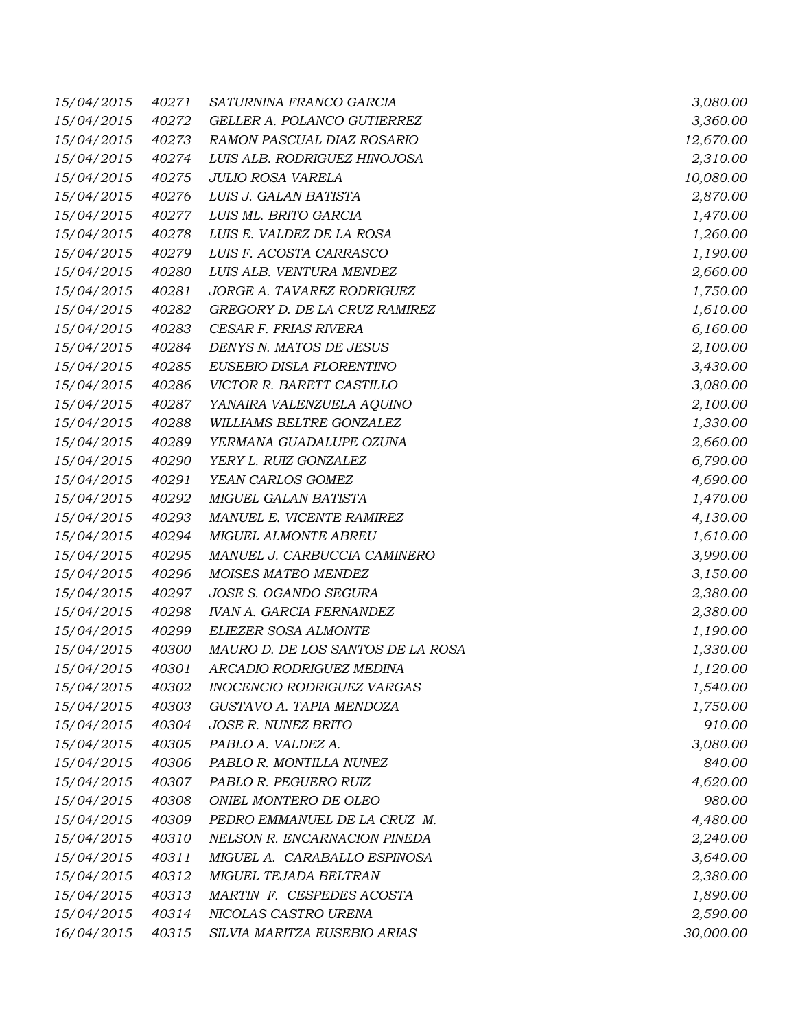| 15/04/2015 | 40271 | SATURNINA FRANCO GARCIA           | 3,080.00  |
|------------|-------|-----------------------------------|-----------|
| 15/04/2015 | 40272 | GELLER A. POLANCO GUTIERREZ       | 3,360.00  |
| 15/04/2015 | 40273 | RAMON PASCUAL DIAZ ROSARIO        | 12,670.00 |
| 15/04/2015 | 40274 | LUIS ALB. RODRIGUEZ HINOJOSA      | 2,310.00  |
| 15/04/2015 | 40275 | <b>JULIO ROSA VARELA</b>          | 10,080.00 |
| 15/04/2015 | 40276 | LUIS J. GALAN BATISTA             | 2,870.00  |
| 15/04/2015 | 40277 | LUIS ML. BRITO GARCIA             | 1,470.00  |
| 15/04/2015 | 40278 | LUIS E. VALDEZ DE LA ROSA         | 1,260.00  |
| 15/04/2015 | 40279 | LUIS F. ACOSTA CARRASCO           | 1,190.00  |
| 15/04/2015 | 40280 | LUIS ALB. VENTURA MENDEZ          | 2,660.00  |
| 15/04/2015 | 40281 | JORGE A. TAVAREZ RODRIGUEZ        | 1,750.00  |
| 15/04/2015 | 40282 | GREGORY D. DE LA CRUZ RAMIREZ     | 1,610.00  |
| 15/04/2015 | 40283 | CESAR F. FRIAS RIVERA             | 6,160.00  |
| 15/04/2015 | 40284 | DENYS N. MATOS DE JESUS           | 2,100.00  |
| 15/04/2015 | 40285 | EUSEBIO DISLA FLORENTINO          | 3,430.00  |
| 15/04/2015 | 40286 | VICTOR R. BARETT CASTILLO         | 3,080.00  |
| 15/04/2015 | 40287 | YANAIRA VALENZUELA AQUINO         | 2,100.00  |
| 15/04/2015 | 40288 | WILLIAMS BELTRE GONZALEZ          | 1,330.00  |
| 15/04/2015 | 40289 | YERMANA GUADALUPE OZUNA           | 2,660.00  |
| 15/04/2015 | 40290 | YERY L. RUIZ GONZALEZ             | 6,790.00  |
| 15/04/2015 | 40291 | YEAN CARLOS GOMEZ                 | 4,690.00  |
| 15/04/2015 | 40292 | MIGUEL GALAN BATISTA              | 1,470.00  |
| 15/04/2015 | 40293 | MANUEL E. VICENTE RAMIREZ         | 4,130.00  |
| 15/04/2015 | 40294 | MIGUEL ALMONTE ABREU              | 1,610.00  |
| 15/04/2015 | 40295 | MANUEL J. CARBUCCIA CAMINERO      | 3,990.00  |
| 15/04/2015 | 40296 | MOISES MATEO MENDEZ               | 3,150.00  |
| 15/04/2015 | 40297 | JOSE S. OGANDO SEGURA             | 2,380.00  |
| 15/04/2015 | 40298 | <b>IVAN A. GARCIA FERNANDEZ</b>   | 2,380.00  |
| 15/04/2015 | 40299 | ELIEZER SOSA ALMONTE              | 1,190.00  |
| 15/04/2015 | 40300 | MAURO D. DE LOS SANTOS DE LA ROSA | 1,330.00  |
| 15/04/2015 | 40301 | ARCADIO RODRIGUEZ MEDINA          | 1,120.00  |
| 15/04/2015 | 40302 | INOCENCIO RODRIGUEZ VARGAS        | 1,540.00  |
| 15/04/2015 | 40303 | GUSTAVO A. TAPIA MENDOZA          | 1,750.00  |
| 15/04/2015 | 40304 | JOSE R. NUNEZ BRITO               | 910.00    |
| 15/04/2015 | 40305 | PABLO A. VALDEZ A.                | 3,080.00  |
| 15/04/2015 | 40306 | PABLO R. MONTILLA NUNEZ           | 840.00    |
| 15/04/2015 | 40307 | PABLO R. PEGUERO RUIZ             | 4,620.00  |
| 15/04/2015 | 40308 | ONIEL MONTERO DE OLEO             | 980.00    |
| 15/04/2015 | 40309 | PEDRO EMMANUEL DE LA CRUZ M.      | 4,480.00  |
| 15/04/2015 | 40310 | NELSON R. ENCARNACION PINEDA      | 2,240.00  |
| 15/04/2015 | 40311 | MIGUEL A. CARABALLO ESPINOSA      | 3,640.00  |
| 15/04/2015 | 40312 | MIGUEL TEJADA BELTRAN             | 2,380.00  |
| 15/04/2015 | 40313 | MARTIN F. CESPEDES ACOSTA         | 1,890.00  |
| 15/04/2015 | 40314 | NICOLAS CASTRO URENA              | 2,590.00  |
| 16/04/2015 | 40315 | SILVIA MARITZA EUSEBIO ARIAS      | 30,000.00 |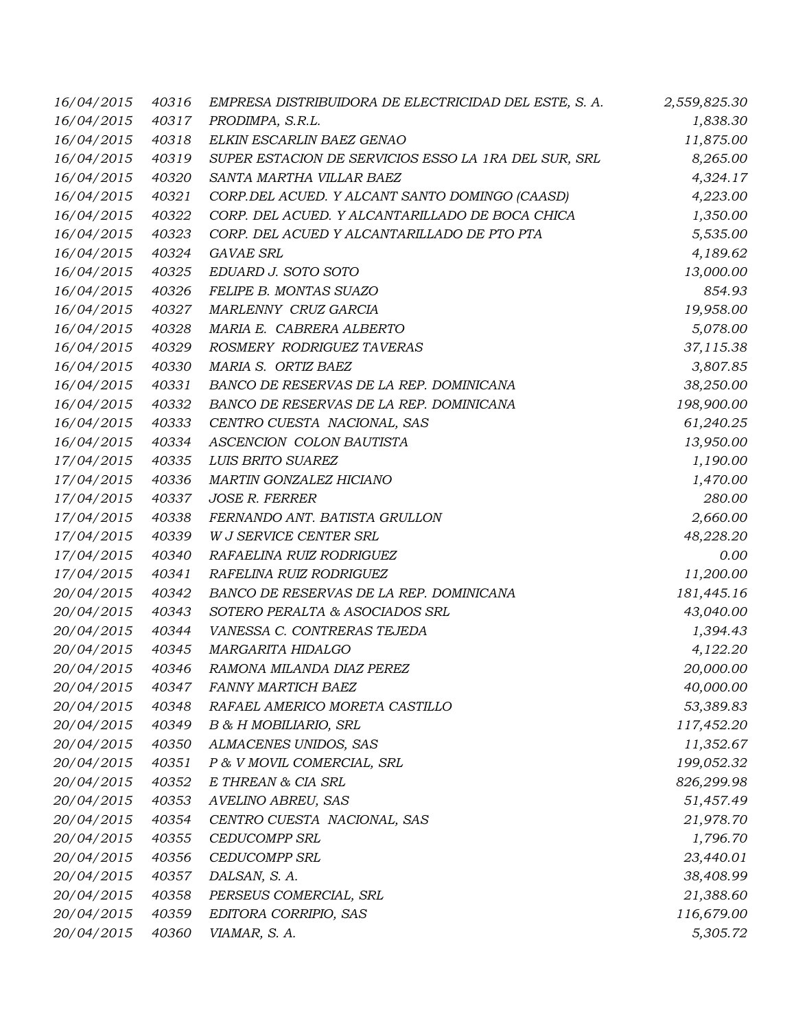| 16/04/2015 | 40316 | EMPRESA DISTRIBUIDORA DE ELECTRICIDAD DEL ESTE, S. A. | 2,559,825.30 |
|------------|-------|-------------------------------------------------------|--------------|
| 16/04/2015 | 40317 | PRODIMPA, S.R.L.                                      | 1,838.30     |
| 16/04/2015 | 40318 | ELKIN ESCARLIN BAEZ GENAO                             | 11,875.00    |
| 16/04/2015 | 40319 | SUPER ESTACION DE SERVICIOS ESSO LA 1RA DEL SUR, SRL  | 8,265.00     |
| 16/04/2015 | 40320 | SANTA MARTHA VILLAR BAEZ                              | 4,324.17     |
| 16/04/2015 | 40321 | CORP.DEL ACUED. Y ALCANT SANTO DOMINGO (CAASD)        | 4,223.00     |
| 16/04/2015 | 40322 | CORP. DEL ACUED. Y ALCANTARILLADO DE BOCA CHICA       | 1,350.00     |
| 16/04/2015 | 40323 | CORP. DEL ACUED Y ALCANTARILLADO DE PTO PTA           | 5,535.00     |
| 16/04/2015 | 40324 | <b>GAVAE SRL</b>                                      | 4,189.62     |
| 16/04/2015 | 40325 | EDUARD J. SOTO SOTO                                   | 13,000.00    |
| 16/04/2015 | 40326 | FELIPE B. MONTAS SUAZO                                | 854.93       |
| 16/04/2015 | 40327 | MARLENNY CRUZ GARCIA                                  | 19,958.00    |
| 16/04/2015 | 40328 | MARIA E. CABRERA ALBERTO                              | 5,078.00     |
| 16/04/2015 | 40329 | ROSMERY RODRIGUEZ TAVERAS                             | 37,115.38    |
| 16/04/2015 | 40330 | MARIA S. ORTIZ BAEZ                                   | 3,807.85     |
| 16/04/2015 | 40331 | BANCO DE RESERVAS DE LA REP. DOMINICANA               | 38,250.00    |
| 16/04/2015 | 40332 | BANCO DE RESERVAS DE LA REP. DOMINICANA               | 198,900.00   |
| 16/04/2015 | 40333 | CENTRO CUESTA NACIONAL, SAS                           | 61,240.25    |
| 16/04/2015 | 40334 | ASCENCION COLON BAUTISTA                              | 13,950.00    |
| 17/04/2015 | 40335 | LUIS BRITO SUAREZ                                     | 1,190.00     |
| 17/04/2015 | 40336 | MARTIN GONZALEZ HICIANO                               | 1,470.00     |
| 17/04/2015 | 40337 | <b>JOSE R. FERRER</b>                                 | 280.00       |
| 17/04/2015 | 40338 | FERNANDO ANT. BATISTA GRULLON                         | 2,660.00     |
| 17/04/2015 | 40339 | W J SERVICE CENTER SRL                                | 48,228.20    |
| 17/04/2015 | 40340 | RAFAELINA RUIZ RODRIGUEZ                              | 0.00         |
| 17/04/2015 | 40341 | RAFELINA RUIZ RODRIGUEZ                               | 11,200.00    |
| 20/04/2015 | 40342 | BANCO DE RESERVAS DE LA REP. DOMINICANA               | 181,445.16   |
| 20/04/2015 | 40343 | SOTERO PERALTA & ASOCIADOS SRL                        | 43,040.00    |
| 20/04/2015 | 40344 | VANESSA C. CONTRERAS TEJEDA                           | 1,394.43     |
| 20/04/2015 | 40345 | MARGARITA HIDALGO                                     | 4,122.20     |
| 20/04/2015 | 40346 | RAMONA MILANDA DIAZ PEREZ                             | 20,000.00    |
| 20/04/2015 | 40347 | <b>FANNY MARTICH BAEZ</b>                             | 40,000.00    |
| 20/04/2015 | 40348 | RAFAEL AMERICO MORETA CASTILLO                        | 53,389.83    |
| 20/04/2015 | 40349 | B & H MOBILIARIO, SRL                                 | 117,452.20   |
| 20/04/2015 | 40350 | ALMACENES UNIDOS, SAS                                 | 11,352.67    |
| 20/04/2015 | 40351 | P & V MOVIL COMERCIAL, SRL                            | 199,052.32   |
| 20/04/2015 | 40352 | E THREAN & CIA SRL                                    | 826,299.98   |
| 20/04/2015 | 40353 | AVELINO ABREU, SAS                                    | 51,457.49    |
| 20/04/2015 | 40354 | CENTRO CUESTA NACIONAL, SAS                           | 21,978.70    |
| 20/04/2015 | 40355 | <b>CEDUCOMPP SRL</b>                                  | 1,796.70     |
| 20/04/2015 | 40356 | <b>CEDUCOMPP SRL</b>                                  | 23,440.01    |
| 20/04/2015 | 40357 | DALSAN, S. A.                                         | 38,408.99    |
| 20/04/2015 | 40358 | PERSEUS COMERCIAL, SRL                                | 21,388.60    |
| 20/04/2015 | 40359 | EDITORA CORRIPIO, SAS                                 | 116,679.00   |
| 20/04/2015 | 40360 | VIAMAR, S. A.                                         | 5,305.72     |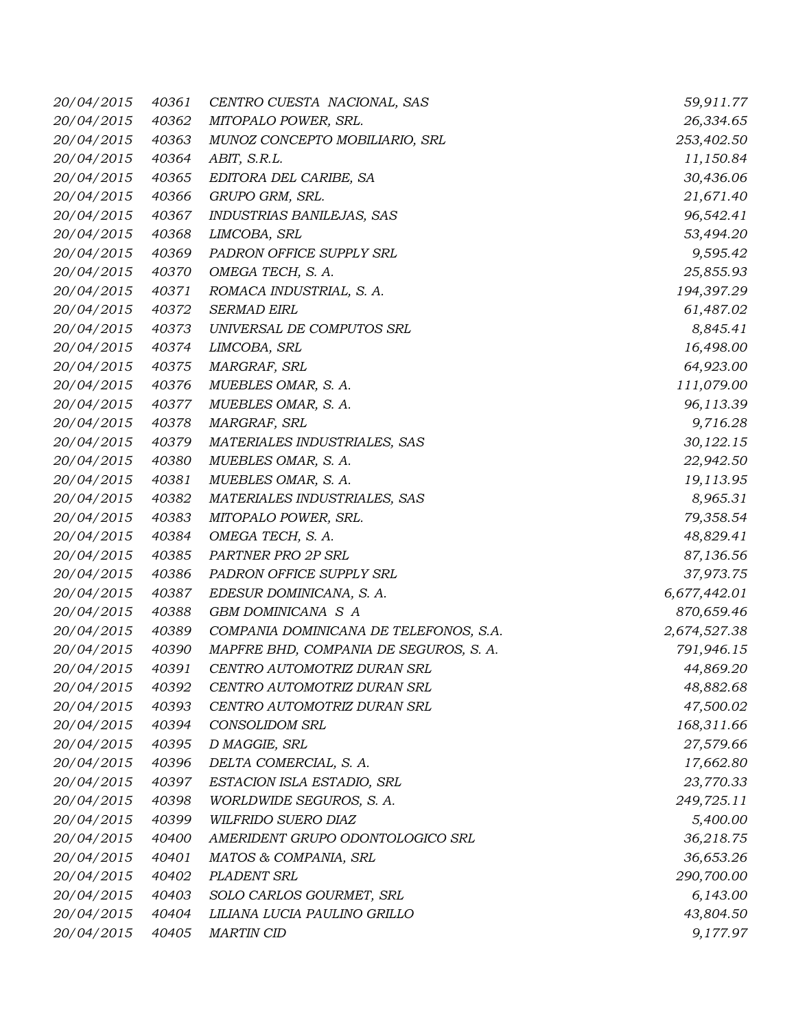| 20/04/2015 | 40361 | CENTRO CUESTA NACIONAL, SAS            | 59,911.77    |
|------------|-------|----------------------------------------|--------------|
| 20/04/2015 | 40362 | MITOPALO POWER, SRL.                   | 26,334.65    |
| 20/04/2015 | 40363 | MUNOZ CONCEPTO MOBILIARIO, SRL         | 253,402.50   |
| 20/04/2015 | 40364 | ABIT, S.R.L.                           | 11,150.84    |
| 20/04/2015 | 40365 | EDITORA DEL CARIBE, SA                 | 30,436.06    |
| 20/04/2015 | 40366 | GRUPO GRM, SRL.                        | 21,671.40    |
| 20/04/2015 | 40367 | INDUSTRIAS BANILEJAS, SAS              | 96,542.41    |
| 20/04/2015 | 40368 | LIMCOBA, SRL                           | 53,494.20    |
| 20/04/2015 | 40369 | PADRON OFFICE SUPPLY SRL               | 9,595.42     |
| 20/04/2015 | 40370 | OMEGA TECH, S. A.                      | 25,855.93    |
| 20/04/2015 | 40371 | ROMACA INDUSTRIAL, S. A.               | 194,397.29   |
| 20/04/2015 | 40372 | <b>SERMAD EIRL</b>                     | 61,487.02    |
| 20/04/2015 | 40373 | UNIVERSAL DE COMPUTOS SRL              | 8,845.41     |
| 20/04/2015 | 40374 | LIMCOBA, SRL                           | 16,498.00    |
| 20/04/2015 | 40375 | MARGRAF, SRL                           | 64,923.00    |
| 20/04/2015 | 40376 | MUEBLES OMAR, S. A.                    | 111,079.00   |
| 20/04/2015 | 40377 | MUEBLES OMAR, S. A.                    | 96,113.39    |
| 20/04/2015 | 40378 | MARGRAF, SRL                           | 9,716.28     |
| 20/04/2015 | 40379 | MATERIALES INDUSTRIALES, SAS           | 30,122.15    |
| 20/04/2015 | 40380 | MUEBLES OMAR, S. A.                    | 22,942.50    |
| 20/04/2015 | 40381 | MUEBLES OMAR, S. A.                    | 19,113.95    |
| 20/04/2015 | 40382 | MATERIALES INDUSTRIALES, SAS           | 8,965.31     |
| 20/04/2015 | 40383 | MITOPALO POWER, SRL.                   | 79,358.54    |
| 20/04/2015 | 40384 | OMEGA TECH, S. A.                      | 48,829.41    |
| 20/04/2015 | 40385 | PARTNER PRO 2P SRL                     | 87,136.56    |
| 20/04/2015 | 40386 | PADRON OFFICE SUPPLY SRL               | 37,973.75    |
| 20/04/2015 | 40387 | EDESUR DOMINICANA, S. A.               | 6,677,442.01 |
| 20/04/2015 | 40388 | GBM DOMINICANA S A                     | 870,659.46   |
| 20/04/2015 | 40389 | COMPANIA DOMINICANA DE TELEFONOS, S.A. | 2,674,527.38 |
| 20/04/2015 | 40390 | MAPFRE BHD, COMPANIA DE SEGUROS, S. A. | 791,946.15   |
| 20/04/2015 | 40391 | CENTRO AUTOMOTRIZ DURAN SRL            | 44,869.20    |
| 20/04/2015 | 40392 | CENTRO AUTOMOTRIZ DURAN SRL            | 48,882.68    |
| 20/04/2015 | 40393 | CENTRO AUTOMOTRIZ DURAN SRL            | 47,500.02    |
| 20/04/2015 | 40394 | CONSOLIDOM SRL                         | 168,311.66   |
| 20/04/2015 | 40395 | D MAGGIE, SRL                          | 27,579.66    |
| 20/04/2015 | 40396 | DELTA COMERCIAL, S. A.                 | 17,662.80    |
| 20/04/2015 | 40397 | ESTACION ISLA ESTADIO, SRL             | 23,770.33    |
| 20/04/2015 | 40398 | WORLDWIDE SEGUROS, S. A.               | 249,725.11   |
| 20/04/2015 | 40399 | WILFRIDO SUERO DIAZ                    | 5,400.00     |
| 20/04/2015 | 40400 | AMERIDENT GRUPO ODONTOLOGICO SRL       | 36,218.75    |
| 20/04/2015 | 40401 | MATOS & COMPANIA, SRL                  | 36,653.26    |
| 20/04/2015 | 40402 | PLADENT SRL                            | 290,700.00   |
| 20/04/2015 | 40403 | SOLO CARLOS GOURMET, SRL               | 6,143.00     |
| 20/04/2015 | 40404 | LILIANA LUCIA PAULINO GRILLO           | 43,804.50    |
| 20/04/2015 | 40405 | <b>MARTIN CID</b>                      | 9,177.97     |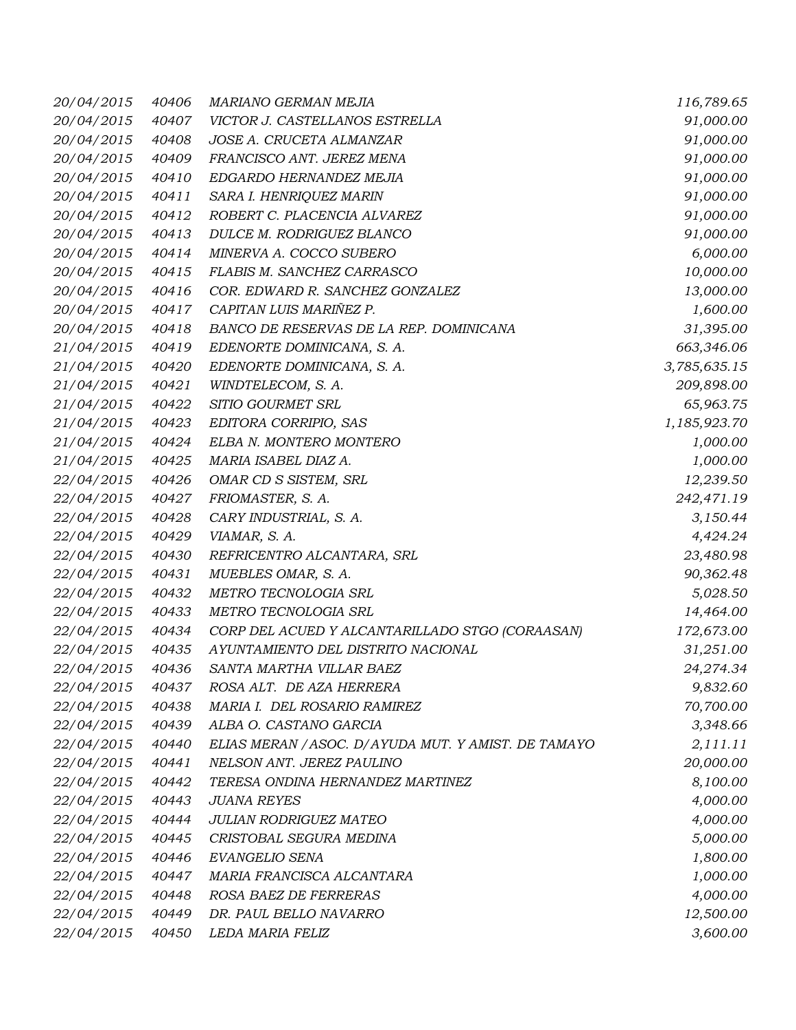| 20/04/2015 | 40406 | MARIANO GERMAN MEJIA                                 | 116,789.65   |
|------------|-------|------------------------------------------------------|--------------|
| 20/04/2015 | 40407 | VICTOR J. CASTELLANOS ESTRELLA                       | 91,000.00    |
| 20/04/2015 | 40408 | JOSE A. CRUCETA ALMANZAR                             | 91,000.00    |
| 20/04/2015 | 40409 | FRANCISCO ANT. JEREZ MENA                            | 91,000.00    |
| 20/04/2015 | 40410 | EDGARDO HERNANDEZ MEJIA                              | 91,000.00    |
| 20/04/2015 | 40411 | SARA I. HENRIQUEZ MARIN                              | 91,000.00    |
| 20/04/2015 | 40412 | ROBERT C. PLACENCIA ALVAREZ                          | 91,000.00    |
| 20/04/2015 | 40413 | DULCE M. RODRIGUEZ BLANCO                            | 91,000.00    |
| 20/04/2015 | 40414 | MINERVA A. COCCO SUBERO                              | 6,000.00     |
| 20/04/2015 | 40415 | FLABIS M. SANCHEZ CARRASCO                           | 10,000.00    |
| 20/04/2015 | 40416 | COR. EDWARD R. SANCHEZ GONZALEZ                      | 13,000.00    |
| 20/04/2015 | 40417 | CAPITAN LUIS MARIÑEZ P.                              | 1,600.00     |
| 20/04/2015 | 40418 | BANCO DE RESERVAS DE LA REP. DOMINICANA              | 31,395.00    |
| 21/04/2015 | 40419 | EDENORTE DOMINICANA, S. A.                           | 663,346.06   |
| 21/04/2015 | 40420 | EDENORTE DOMINICANA, S. A.                           | 3,785,635.15 |
| 21/04/2015 | 40421 | WINDTELECOM, S. A.                                   | 209,898.00   |
| 21/04/2015 | 40422 | SITIO GOURMET SRL                                    | 65,963.75    |
| 21/04/2015 | 40423 | EDITORA CORRIPIO, SAS                                | 1,185,923.70 |
| 21/04/2015 | 40424 | ELBA N. MONTERO MONTERO                              | 1,000.00     |
| 21/04/2015 | 40425 | MARIA ISABEL DIAZ A.                                 | 1,000.00     |
| 22/04/2015 | 40426 | OMAR CD S SISTEM, SRL                                | 12,239.50    |
| 22/04/2015 | 40427 | FRIOMASTER, S. A.                                    | 242,471.19   |
| 22/04/2015 | 40428 | CARY INDUSTRIAL, S. A.                               | 3,150.44     |
| 22/04/2015 | 40429 | VIAMAR, S. A.                                        | 4,424.24     |
| 22/04/2015 | 40430 | REFRICENTRO ALCANTARA, SRL                           | 23,480.98    |
| 22/04/2015 | 40431 | MUEBLES OMAR, S. A.                                  | 90,362.48    |
| 22/04/2015 | 40432 | METRO TECNOLOGIA SRL                                 | 5,028.50     |
| 22/04/2015 | 40433 | METRO TECNOLOGIA SRL                                 | 14,464.00    |
| 22/04/2015 | 40434 | CORP DEL ACUED Y ALCANTARILLADO STGO (CORAASAN)      | 172,673.00   |
| 22/04/2015 | 40435 | AYUNTAMIENTO DEL DISTRITO NACIONAL                   | 31,251.00    |
| 22/04/2015 | 40436 | SANTA MARTHA VILLAR BAEZ                             | 24,274.34    |
| 22/04/2015 | 40437 | ROSA ALT. DE AZA HERRERA                             | 9,832.60     |
| 22/04/2015 | 40438 | MARIA I. DEL ROSARIO RAMIREZ                         | 70,700.00    |
| 22/04/2015 | 40439 | ALBA O. CASTANO GARCIA                               | 3,348.66     |
| 22/04/2015 | 40440 | ELIAS MERAN / ASOC. D/ AYUDA MUT. Y AMIST. DE TAMAYO | 2,111.11     |
| 22/04/2015 | 40441 | NELSON ANT. JEREZ PAULINO                            | 20,000.00    |
| 22/04/2015 | 40442 | TERESA ONDINA HERNANDEZ MARTINEZ                     | 8,100.00     |
| 22/04/2015 | 40443 | <b>JUANA REYES</b>                                   | 4,000.00     |
| 22/04/2015 | 40444 | JULIAN RODRIGUEZ MATEO                               | 4,000.00     |
| 22/04/2015 | 40445 | CRISTOBAL SEGURA MEDINA                              | 5,000.00     |
| 22/04/2015 | 40446 | EVANGELIO SENA                                       | 1,800.00     |
| 22/04/2015 | 40447 | MARIA FRANCISCA ALCANTARA                            | 1,000.00     |
| 22/04/2015 | 40448 | ROSA BAEZ DE FERRERAS                                | 4,000.00     |
| 22/04/2015 | 40449 | DR. PAUL BELLO NAVARRO                               | 12,500.00    |
| 22/04/2015 | 40450 | LEDA MARIA FELIZ                                     | 3,600.00     |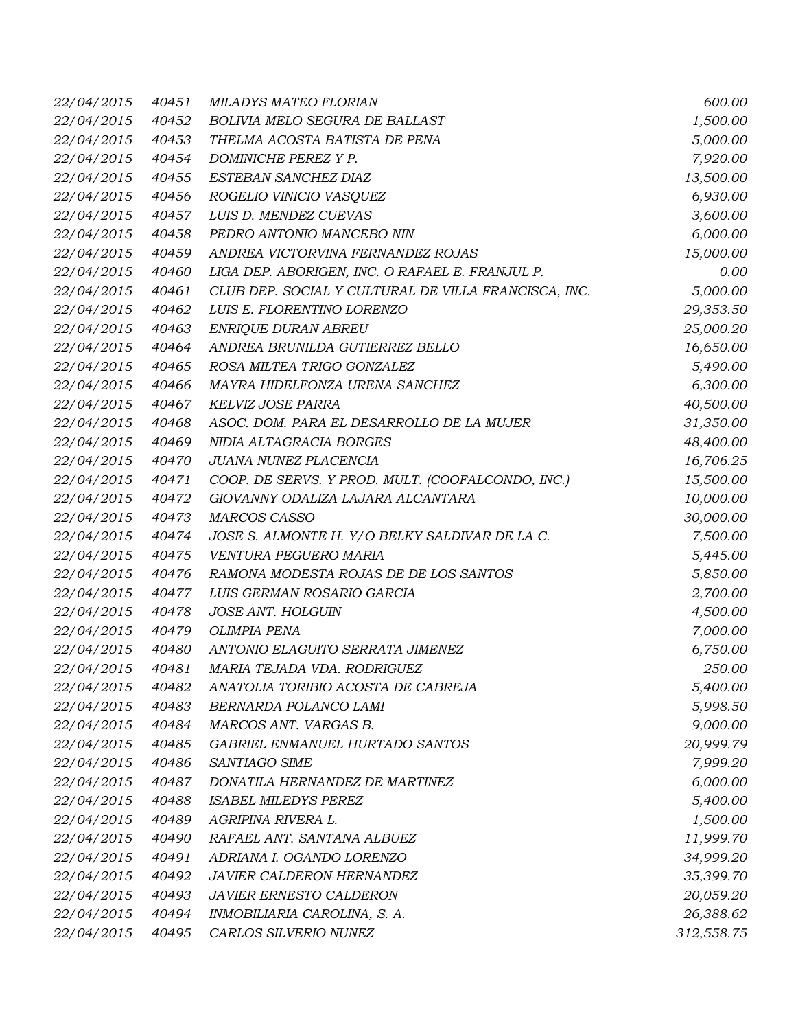| 22/04/2015 | 40451 | MILADYS MATEO FLORIAN                                | 600.00     |
|------------|-------|------------------------------------------------------|------------|
| 22/04/2015 | 40452 | BOLIVIA MELO SEGURA DE BALLAST                       | 1,500.00   |
| 22/04/2015 | 40453 | THELMA ACOSTA BATISTA DE PENA                        | 5,000.00   |
| 22/04/2015 | 40454 | DOMINICHE PEREZ Y P.                                 | 7,920.00   |
| 22/04/2015 | 40455 | ESTEBAN SANCHEZ DIAZ                                 | 13,500.00  |
| 22/04/2015 | 40456 | ROGELIO VINICIO VASQUEZ                              | 6,930.00   |
| 22/04/2015 | 40457 | LUIS D. MENDEZ CUEVAS                                | 3,600.00   |
| 22/04/2015 | 40458 | PEDRO ANTONIO MANCEBO NIN                            | 6,000.00   |
| 22/04/2015 | 40459 | ANDREA VICTORVINA FERNANDEZ ROJAS                    | 15,000.00  |
| 22/04/2015 | 40460 | LIGA DEP. ABORIGEN, INC. O RAFAEL E. FRANJUL P.      | 0.00       |
| 22/04/2015 | 40461 | CLUB DEP. SOCIAL Y CULTURAL DE VILLA FRANCISCA, INC. | 5,000.00   |
| 22/04/2015 | 40462 | LUIS E. FLORENTINO LORENZO                           | 29,353.50  |
| 22/04/2015 | 40463 | ENRIQUE DURAN ABREU                                  | 25,000.20  |
| 22/04/2015 | 40464 | ANDREA BRUNILDA GUTIERREZ BELLO                      | 16,650.00  |
| 22/04/2015 | 40465 | ROSA MILTEA TRIGO GONZALEZ                           | 5,490.00   |
| 22/04/2015 | 40466 | MAYRA HIDELFONZA URENA SANCHEZ                       | 6,300.00   |
| 22/04/2015 | 40467 | <b>KELVIZ JOSE PARRA</b>                             | 40,500.00  |
| 22/04/2015 | 40468 | ASOC. DOM. PARA EL DESARROLLO DE LA MUJER            | 31,350.00  |
| 22/04/2015 | 40469 | NIDIA ALTAGRACIA BORGES                              | 48,400.00  |
| 22/04/2015 | 40470 | JUANA NUNEZ PLACENCIA                                | 16,706.25  |
| 22/04/2015 | 40471 | COOP. DE SERVS. Y PROD. MULT. (COOFALCONDO, INC.)    | 15,500.00  |
| 22/04/2015 | 40472 | GIOVANNY ODALIZA LAJARA ALCANTARA                    | 10,000.00  |
| 22/04/2015 | 40473 | <b>MARCOS CASSO</b>                                  | 30,000.00  |
| 22/04/2015 | 40474 | JOSE S. ALMONTE H. Y/O BELKY SALDIVAR DE LA C.       | 7,500.00   |
| 22/04/2015 | 40475 | VENTURA PEGUERO MARIA                                | 5,445.00   |
| 22/04/2015 | 40476 | RAMONA MODESTA ROJAS DE DE LOS SANTOS                | 5,850.00   |
| 22/04/2015 | 40477 | LUIS GERMAN ROSARIO GARCIA                           | 2,700.00   |
| 22/04/2015 | 40478 | <b>JOSE ANT. HOLGUIN</b>                             | 4,500.00   |
| 22/04/2015 | 40479 | <b>OLIMPIA PENA</b>                                  | 7,000.00   |
| 22/04/2015 | 40480 | ANTONIO ELAGUITO SERRATA JIMENEZ                     | 6,750.00   |
| 22/04/2015 | 40481 | MARIA TEJADA VDA. RODRIGUEZ                          | 250.00     |
| 22/04/2015 | 40482 | ANATOLIA TORIBIO ACOSTA DE CABREJA                   | 5,400.00   |
| 22/04/2015 | 40483 | BERNARDA POLANCO LAMI                                | 5,998.50   |
| 22/04/2015 | 40484 | MARCOS ANT. VARGAS B.                                | 9,000.00   |
| 22/04/2015 | 40485 | GABRIEL ENMANUEL HURTADO SANTOS                      | 20,999.79  |
| 22/04/2015 | 40486 | SANTIAGO SIME                                        | 7,999.20   |
| 22/04/2015 | 40487 | DONATILA HERNANDEZ DE MARTINEZ                       | 6,000.00   |
| 22/04/2015 | 40488 | <b>ISABEL MILEDYS PEREZ</b>                          | 5,400.00   |
| 22/04/2015 | 40489 | AGRIPINA RIVERA L.                                   | 1,500.00   |
| 22/04/2015 | 40490 | RAFAEL ANT. SANTANA ALBUEZ                           | 11,999.70  |
| 22/04/2015 | 40491 | ADRIANA I. OGANDO LORENZO                            | 34,999.20  |
| 22/04/2015 | 40492 | JAVIER CALDERON HERNANDEZ                            | 35,399.70  |
| 22/04/2015 | 40493 | <b>JAVIER ERNESTO CALDERON</b>                       | 20,059.20  |
| 22/04/2015 | 40494 | INMOBILIARIA CAROLINA, S. A.                         | 26,388.62  |
| 22/04/2015 | 40495 | CARLOS SILVERIO NUNEZ                                | 312,558.75 |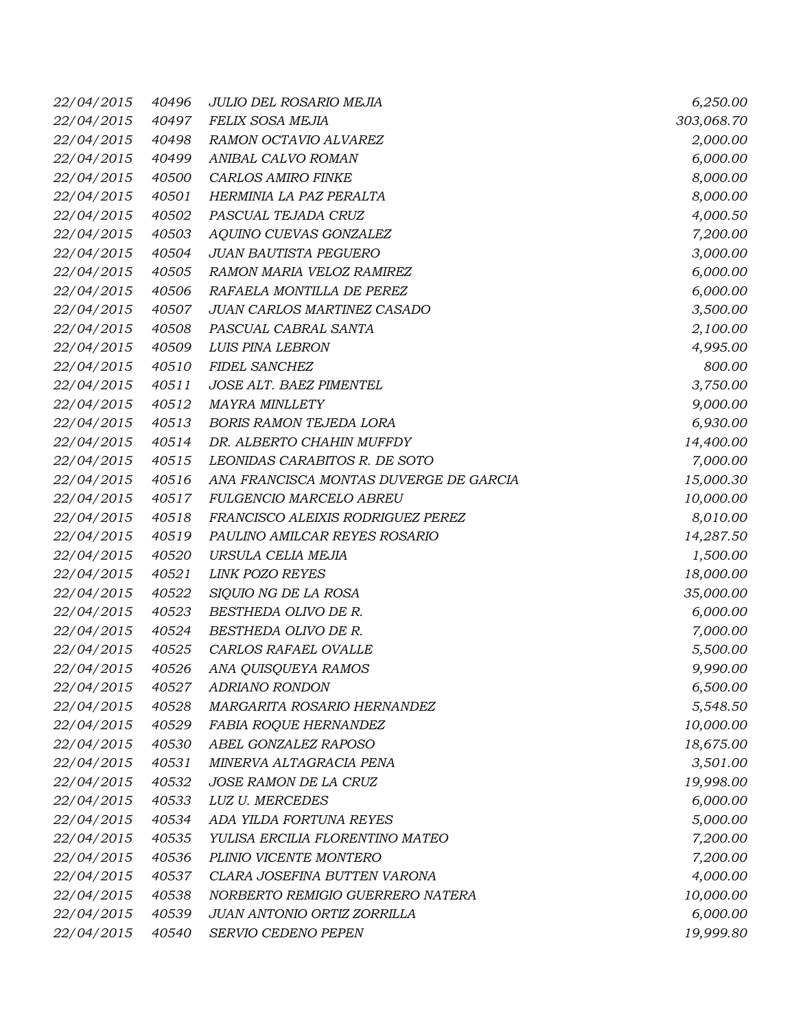| 22/04/2015 | 40496 | JULIO DEL ROSARIO MEJIA                | 6,250.00   |
|------------|-------|----------------------------------------|------------|
| 22/04/2015 | 40497 | FELIX SOSA MEJIA                       | 303,068.70 |
| 22/04/2015 | 40498 | RAMON OCTAVIO ALVAREZ                  | 2,000.00   |
| 22/04/2015 | 40499 | ANIBAL CALVO ROMAN                     | 6,000.00   |
| 22/04/2015 | 40500 | CARLOS AMIRO FINKE                     | 8,000.00   |
| 22/04/2015 | 40501 | HERMINIA LA PAZ PERALTA                | 8,000.00   |
| 22/04/2015 | 40502 | PASCUAL TEJADA CRUZ                    | 4,000.50   |
| 22/04/2015 | 40503 | AQUINO CUEVAS GONZALEZ                 | 7,200.00   |
| 22/04/2015 | 40504 | <b>JUAN BAUTISTA PEGUERO</b>           | 3,000.00   |
| 22/04/2015 | 40505 | RAMON MARIA VELOZ RAMIREZ              | 6,000.00   |
| 22/04/2015 | 40506 | RAFAELA MONTILLA DE PEREZ              | 6,000.00   |
| 22/04/2015 | 40507 | JUAN CARLOS MARTINEZ CASADO            | 3,500.00   |
| 22/04/2015 | 40508 | PASCUAL CABRAL SANTA                   | 2,100.00   |
| 22/04/2015 | 40509 | <b>LUIS PINA LEBRON</b>                | 4,995.00   |
| 22/04/2015 | 40510 | FIDEL SANCHEZ                          | 800.00     |
| 22/04/2015 | 40511 | JOSE ALT. BAEZ PIMENTEL                | 3,750.00   |
| 22/04/2015 | 40512 | <b>MAYRA MINLLETY</b>                  | 9,000.00   |
| 22/04/2015 | 40513 | <b>BORIS RAMON TEJEDA LORA</b>         | 6,930.00   |
| 22/04/2015 | 40514 | DR. ALBERTO CHAHIN MUFFDY              | 14,400.00  |
| 22/04/2015 | 40515 | LEONIDAS CARABITOS R. DE SOTO          | 7,000.00   |
| 22/04/2015 | 40516 | ANA FRANCISCA MONTAS DUVERGE DE GARCIA | 15,000.30  |
| 22/04/2015 | 40517 | <b>FULGENCIO MARCELO ABREU</b>         | 10,000.00  |
| 22/04/2015 | 40518 | FRANCISCO ALEIXIS RODRIGUEZ PEREZ      | 8,010.00   |
| 22/04/2015 | 40519 | PAULINO AMILCAR REYES ROSARIO          | 14,287.50  |
| 22/04/2015 | 40520 | URSULA CELIA MEJIA                     | 1,500.00   |
| 22/04/2015 | 40521 | <b>LINK POZO REYES</b>                 | 18,000.00  |
| 22/04/2015 | 40522 | SIQUIO NG DE LA ROSA                   | 35,000.00  |
| 22/04/2015 | 40523 | BESTHEDA OLIVO DE R.                   | 6,000.00   |
| 22/04/2015 | 40524 | BESTHEDA OLIVO DE R.                   | 7,000.00   |
| 22/04/2015 | 40525 | CARLOS RAFAEL OVALLE                   | 5,500.00   |
| 22/04/2015 | 40526 | ANA QUISQUEYA RAMOS                    | 9,990.00   |
| 22/04/2015 | 40527 | <b>ADRIANO RONDON</b>                  | 6,500.00   |
| 22/04/2015 | 40528 | MARGARITA ROSARIO HERNANDEZ            | 5,548.50   |
| 22/04/2015 | 40529 | FABIA ROQUE HERNANDEZ                  | 10,000.00  |
| 22/04/2015 | 40530 | ABEL GONZALEZ RAPOSO                   | 18,675.00  |
| 22/04/2015 | 40531 | MINERVA ALTAGRACIA PENA                | 3,501.00   |
| 22/04/2015 | 40532 | JOSE RAMON DE LA CRUZ                  | 19,998.00  |
| 22/04/2015 | 40533 | LUZ U. MERCEDES                        | 6,000.00   |
| 22/04/2015 | 40534 | ADA YILDA FORTUNA REYES                | 5,000.00   |
| 22/04/2015 | 40535 | YULISA ERCILIA FLORENTINO MATEO        | 7,200.00   |
| 22/04/2015 | 40536 | PLINIO VICENTE MONTERO                 | 7,200.00   |
| 22/04/2015 | 40537 | CLARA JOSEFINA BUTTEN VARONA           | 4,000.00   |
| 22/04/2015 | 40538 | NORBERTO REMIGIO GUERRERO NATERA       | 10,000.00  |
| 22/04/2015 | 40539 | JUAN ANTONIO ORTIZ ZORRILLA            | 6,000.00   |
| 22/04/2015 | 40540 | SERVIO CEDENO PEPEN                    | 19,999.80  |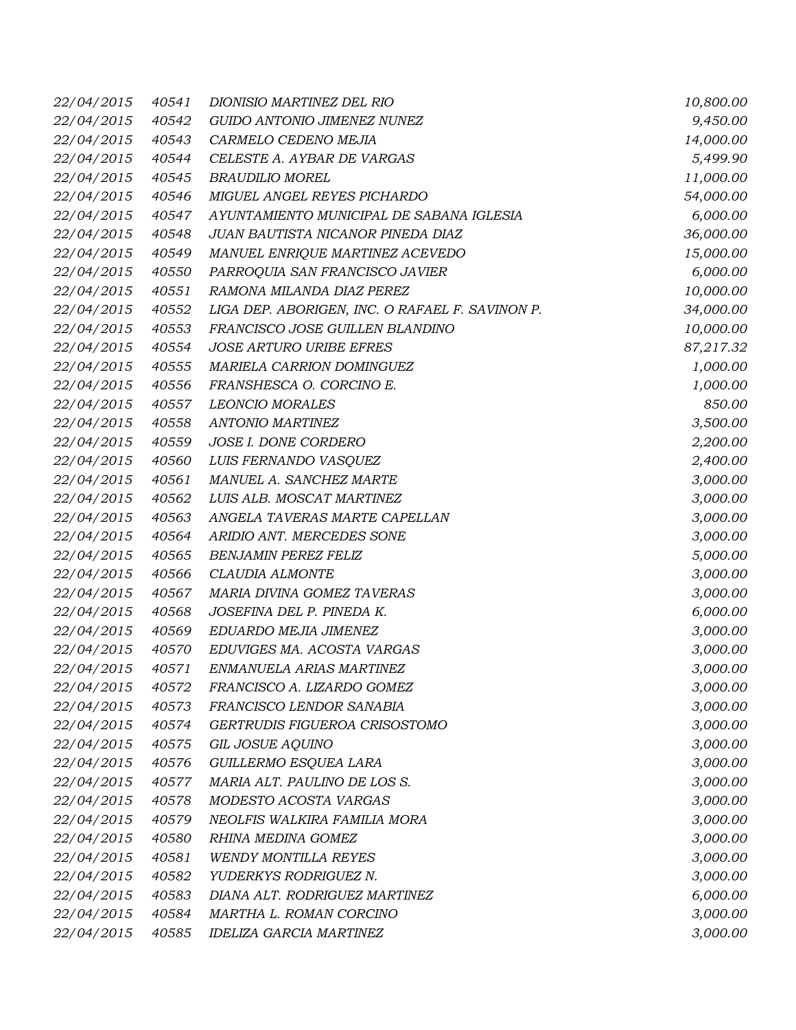| 22/04/2015 | 40541 | DIONISIO MARTINEZ DEL RIO                       | 10,800.00 |
|------------|-------|-------------------------------------------------|-----------|
| 22/04/2015 | 40542 | GUIDO ANTONIO JIMENEZ NUNEZ                     | 9,450.00  |
| 22/04/2015 | 40543 | CARMELO CEDENO MEJIA                            | 14,000.00 |
| 22/04/2015 | 40544 | CELESTE A. AYBAR DE VARGAS                      | 5,499.90  |
| 22/04/2015 | 40545 | <b>BRAUDILIO MOREL</b>                          | 11,000.00 |
| 22/04/2015 | 40546 | MIGUEL ANGEL REYES PICHARDO                     | 54,000.00 |
| 22/04/2015 | 40547 | AYUNTAMIENTO MUNICIPAL DE SABANA IGLESIA        | 6,000.00  |
| 22/04/2015 | 40548 | JUAN BAUTISTA NICANOR PINEDA DIAZ               | 36,000.00 |
| 22/04/2015 | 40549 | MANUEL ENRIQUE MARTINEZ ACEVEDO                 | 15,000.00 |
| 22/04/2015 | 40550 | PARROQUIA SAN FRANCISCO JAVIER                  | 6,000.00  |
| 22/04/2015 | 40551 | RAMONA MILANDA DIAZ PEREZ                       | 10,000.00 |
| 22/04/2015 | 40552 | LIGA DEP. ABORIGEN, INC. O RAFAEL F. SAVINON P. | 34,000.00 |
| 22/04/2015 | 40553 | FRANCISCO JOSE GUILLEN BLANDINO                 | 10,000.00 |
| 22/04/2015 | 40554 | JOSE ARTURO URIBE EFRES                         | 87,217.32 |
| 22/04/2015 | 40555 | MARIELA CARRION DOMINGUEZ                       | 1,000.00  |
| 22/04/2015 | 40556 | FRANSHESCA O. CORCINO E.                        | 1,000.00  |
| 22/04/2015 | 40557 | <b>LEONCIO MORALES</b>                          | 850.00    |
| 22/04/2015 | 40558 | <b>ANTONIO MARTINEZ</b>                         | 3,500.00  |
| 22/04/2015 | 40559 | JOSE I. DONE CORDERO                            | 2,200.00  |
| 22/04/2015 | 40560 | LUIS FERNANDO VASQUEZ                           | 2,400.00  |
| 22/04/2015 | 40561 | MANUEL A. SANCHEZ MARTE                         | 3,000.00  |
| 22/04/2015 | 40562 | LUIS ALB. MOSCAT MARTINEZ                       | 3,000.00  |
| 22/04/2015 | 40563 | ANGELA TAVERAS MARTE CAPELLAN                   | 3,000.00  |
| 22/04/2015 | 40564 | ARIDIO ANT. MERCEDES SONE                       | 3,000.00  |
| 22/04/2015 | 40565 | <b>BENJAMIN PEREZ FELIZ</b>                     | 5,000.00  |
| 22/04/2015 | 40566 | CLAUDIA ALMONTE                                 | 3,000.00  |
| 22/04/2015 | 40567 | MARIA DIVINA GOMEZ TAVERAS                      | 3,000.00  |
| 22/04/2015 | 40568 | JOSEFINA DEL P. PINEDA K.                       | 6,000.00  |
| 22/04/2015 | 40569 | EDUARDO MEJIA JIMENEZ                           | 3,000.00  |
| 22/04/2015 | 40570 | EDUVIGES MA. ACOSTA VARGAS                      | 3,000.00  |
| 22/04/2015 | 40571 | ENMANUELA ARIAS MARTINEZ                        | 3,000.00  |
| 22/04/2015 | 40572 | FRANCISCO A. LIZARDO GOMEZ                      | 3,000.00  |
| 22/04/2015 | 40573 | FRANCISCO LENDOR SANABIA                        | 3,000.00  |
| 22/04/2015 | 40574 | GERTRUDIS FIGUEROA CRISOSTOMO                   | 3,000.00  |
| 22/04/2015 | 40575 | GIL JOSUE AQUINO                                | 3,000.00  |
| 22/04/2015 | 40576 | GUILLERMO ESQUEA LARA                           | 3,000.00  |
| 22/04/2015 | 40577 | MARIA ALT. PAULINO DE LOS S.                    | 3,000.00  |
| 22/04/2015 | 40578 | MODESTO ACOSTA VARGAS                           | 3,000.00  |
| 22/04/2015 | 40579 | NEOLFIS WALKIRA FAMILIA MORA                    | 3,000.00  |
| 22/04/2015 | 40580 | RHINA MEDINA GOMEZ                              | 3,000.00  |
| 22/04/2015 | 40581 | WENDY MONTILLA REYES                            | 3,000.00  |
| 22/04/2015 | 40582 | YUDERKYS RODRIGUEZ N.                           | 3,000.00  |
| 22/04/2015 | 40583 | DIANA ALT. RODRIGUEZ MARTINEZ                   | 6,000.00  |
| 22/04/2015 | 40584 | MARTHA L. ROMAN CORCINO                         | 3,000.00  |
| 22/04/2015 | 40585 | <b>IDELIZA GARCIA MARTINEZ</b>                  | 3,000.00  |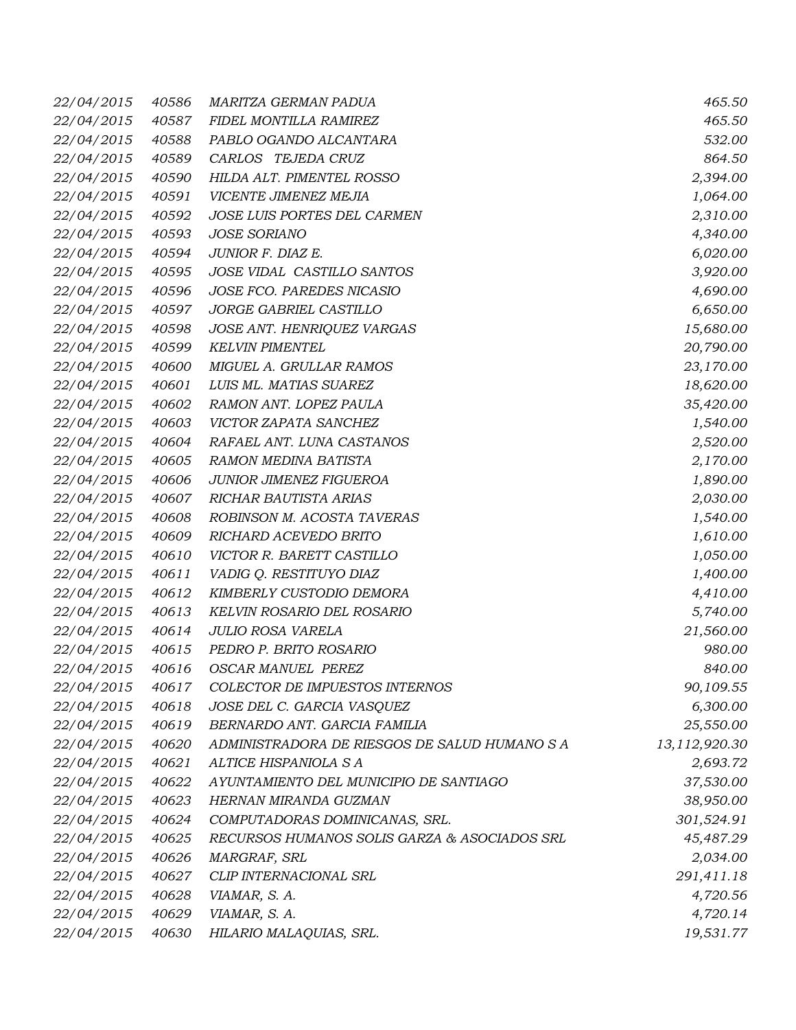| 22/04/2015 | 40586 | MARITZA GERMAN PADUA                          | 465.50        |
|------------|-------|-----------------------------------------------|---------------|
| 22/04/2015 | 40587 | FIDEL MONTILLA RAMIREZ                        | 465.50        |
| 22/04/2015 | 40588 | PABLO OGANDO ALCANTARA                        | 532.00        |
| 22/04/2015 | 40589 | CARLOS TEJEDA CRUZ                            | 864.50        |
| 22/04/2015 | 40590 | HILDA ALT. PIMENTEL ROSSO                     | 2,394.00      |
| 22/04/2015 | 40591 | VICENTE JIMENEZ MEJIA                         | 1,064.00      |
| 22/04/2015 | 40592 | JOSE LUIS PORTES DEL CARMEN                   | 2,310.00      |
| 22/04/2015 | 40593 | <b>JOSE SORIANO</b>                           | 4,340.00      |
| 22/04/2015 | 40594 | JUNIOR F. DIAZ E.                             | 6,020.00      |
| 22/04/2015 | 40595 | JOSE VIDAL CASTILLO SANTOS                    | 3,920.00      |
| 22/04/2015 | 40596 | JOSE FCO. PAREDES NICASIO                     | 4,690.00      |
| 22/04/2015 | 40597 | JORGE GABRIEL CASTILLO                        | 6,650.00      |
| 22/04/2015 | 40598 | JOSE ANT. HENRIQUEZ VARGAS                    | 15,680.00     |
| 22/04/2015 | 40599 | <b>KELVIN PIMENTEL</b>                        | 20,790.00     |
| 22/04/2015 | 40600 | <b>MIGUEL A. GRULLAR RAMOS</b>                | 23,170.00     |
| 22/04/2015 | 40601 | LUIS ML. MATIAS SUAREZ                        | 18,620.00     |
| 22/04/2015 | 40602 | RAMON ANT. LOPEZ PAULA                        | 35,420.00     |
| 22/04/2015 | 40603 | VICTOR ZAPATA SANCHEZ                         | 1,540.00      |
| 22/04/2015 | 40604 | RAFAEL ANT. LUNA CASTANOS                     | 2,520.00      |
| 22/04/2015 | 40605 | RAMON MEDINA BATISTA                          | 2,170.00      |
| 22/04/2015 | 40606 | JUNIOR JIMENEZ FIGUEROA                       | 1,890.00      |
| 22/04/2015 | 40607 | RICHAR BAUTISTA ARIAS                         | 2,030.00      |
| 22/04/2015 | 40608 | ROBINSON M. ACOSTA TAVERAS                    | 1,540.00      |
| 22/04/2015 | 40609 | RICHARD ACEVEDO BRITO                         | 1,610.00      |
| 22/04/2015 | 40610 | VICTOR R. BARETT CASTILLO                     | 1,050.00      |
| 22/04/2015 | 40611 | VADIG Q. RESTITUYO DIAZ                       | 1,400.00      |
| 22/04/2015 | 40612 | KIMBERLY CUSTODIO DEMORA                      | 4,410.00      |
| 22/04/2015 | 40613 | KELVIN ROSARIO DEL ROSARIO                    | 5,740.00      |
| 22/04/2015 | 40614 | <b>JULIO ROSA VARELA</b>                      | 21,560.00     |
| 22/04/2015 | 40615 | PEDRO P. BRITO ROSARIO                        | 980.00        |
| 22/04/2015 | 40616 | <b>OSCAR MANUEL PEREZ</b>                     | 840.00        |
| 22/04/2015 | 40617 | COLECTOR DE IMPUESTOS INTERNOS                | 90,109.55     |
| 22/04/2015 | 40618 | JOSE DEL C. GARCIA VASQUEZ                    | 6,300.00      |
| 22/04/2015 | 40619 | BERNARDO ANT. GARCIA FAMILIA                  | 25,550.00     |
| 22/04/2015 | 40620 | ADMINISTRADORA DE RIESGOS DE SALUD HUMANO S A | 13,112,920.30 |
| 22/04/2015 | 40621 | ALTICE HISPANIOLA S A                         | 2,693.72      |
| 22/04/2015 | 40622 | AYUNTAMIENTO DEL MUNICIPIO DE SANTIAGO        | 37,530.00     |
| 22/04/2015 | 40623 | HERNAN MIRANDA GUZMAN                         | 38,950.00     |
| 22/04/2015 | 40624 | COMPUTADORAS DOMINICANAS, SRL.                | 301,524.91    |
| 22/04/2015 | 40625 | RECURSOS HUMANOS SOLIS GARZA & ASOCIADOS SRL  | 45,487.29     |
| 22/04/2015 | 40626 | MARGRAF, SRL                                  | 2,034.00      |
| 22/04/2015 | 40627 | CLIP INTERNACIONAL SRL                        | 291,411.18    |
| 22/04/2015 | 40628 | VIAMAR, S. A.                                 | 4,720.56      |
| 22/04/2015 | 40629 | VIAMAR, S. A.                                 | 4,720.14      |
| 22/04/2015 | 40630 | HILARIO MALAQUIAS, SRL.                       | 19,531.77     |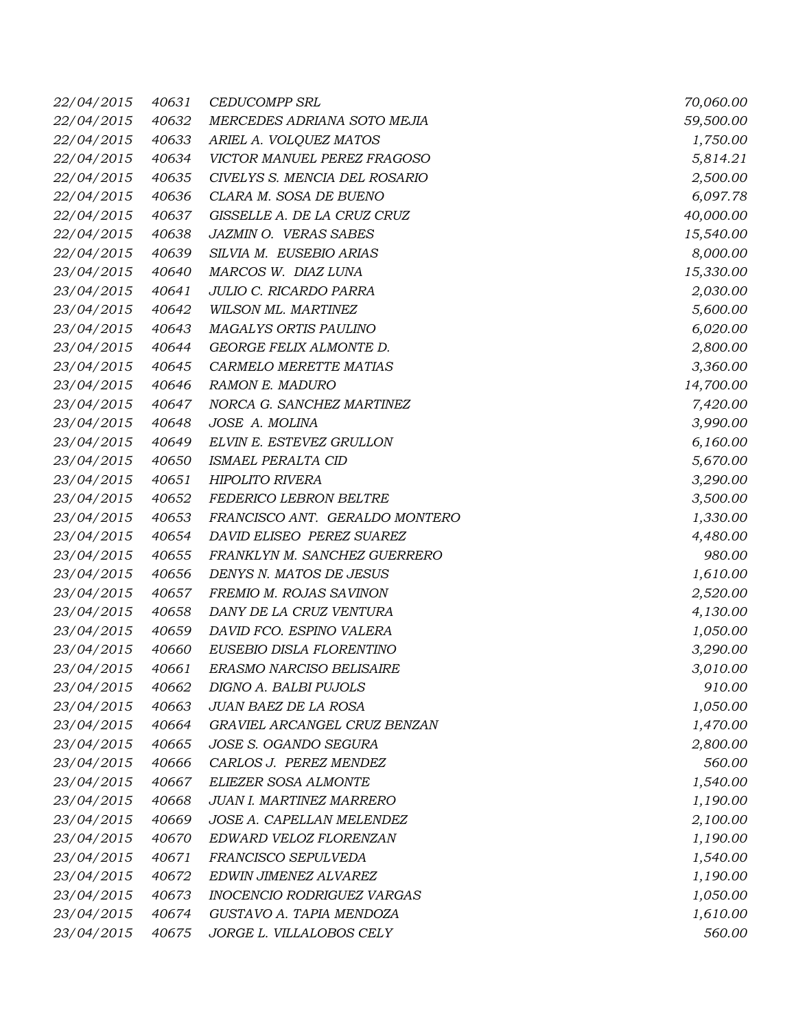| 22/04/2015 | 40631 | <b>CEDUCOMPP SRL</b>           | 70,060.00 |
|------------|-------|--------------------------------|-----------|
| 22/04/2015 | 40632 | MERCEDES ADRIANA SOTO MEJIA    | 59,500.00 |
| 22/04/2015 | 40633 | ARIEL A. VOLQUEZ MATOS         | 1,750.00  |
| 22/04/2015 | 40634 | VICTOR MANUEL PEREZ FRAGOSO    | 5,814.21  |
| 22/04/2015 | 40635 | CIVELYS S. MENCIA DEL ROSARIO  | 2,500.00  |
| 22/04/2015 | 40636 | CLARA M. SOSA DE BUENO         | 6,097.78  |
| 22/04/2015 | 40637 | GISSELLE A. DE LA CRUZ CRUZ    | 40,000.00 |
| 22/04/2015 | 40638 | JAZMIN O. VERAS SABES          | 15,540.00 |
| 22/04/2015 | 40639 | SILVIA M. EUSEBIO ARIAS        | 8,000.00  |
| 23/04/2015 | 40640 | MARCOS W. DIAZ LUNA            | 15,330.00 |
| 23/04/2015 | 40641 | JULIO C. RICARDO PARRA         | 2,030.00  |
| 23/04/2015 | 40642 | WILSON ML. MARTINEZ            | 5,600.00  |
| 23/04/2015 | 40643 | MAGALYS ORTIS PAULINO          | 6,020.00  |
| 23/04/2015 | 40644 | GEORGE FELIX ALMONTE D.        | 2,800.00  |
| 23/04/2015 | 40645 | CARMELO MERETTE MATIAS         | 3,360.00  |
| 23/04/2015 | 40646 | RAMON E. MADURO                | 14,700.00 |
| 23/04/2015 | 40647 | NORCA G. SANCHEZ MARTINEZ      | 7,420.00  |
| 23/04/2015 | 40648 | JOSE A. MOLINA                 | 3,990.00  |
| 23/04/2015 | 40649 | ELVIN E. ESTEVEZ GRULLON       | 6,160.00  |
| 23/04/2015 | 40650 | ISMAEL PERALTA CID             | 5,670.00  |
| 23/04/2015 | 40651 | <b>HIPOLITO RIVERA</b>         | 3,290.00  |
| 23/04/2015 | 40652 | FEDERICO LEBRON BELTRE         | 3,500.00  |
| 23/04/2015 | 40653 | FRANCISCO ANT. GERALDO MONTERO | 1,330.00  |
| 23/04/2015 | 40654 | DAVID ELISEO PEREZ SUAREZ      | 4,480.00  |
| 23/04/2015 | 40655 | FRANKLYN M. SANCHEZ GUERRERO   | 980.00    |
| 23/04/2015 | 40656 | DENYS N. MATOS DE JESUS        | 1,610.00  |
| 23/04/2015 | 40657 | FREMIO M. ROJAS SAVINON        | 2,520.00  |
| 23/04/2015 | 40658 | DANY DE LA CRUZ VENTURA        | 4,130.00  |
| 23/04/2015 | 40659 | DAVID FCO. ESPINO VALERA       | 1,050.00  |
| 23/04/2015 | 40660 | EUSEBIO DISLA FLORENTINO       | 3,290.00  |
| 23/04/2015 | 40661 | ERASMO NARCISO BELISAIRE       | 3,010.00  |
| 23/04/2015 | 40662 | DIGNO A. BALBI PUJOLS          | 910.00    |
| 23/04/2015 | 40663 | JUAN BAEZ DE LA ROSA           | 1,050.00  |
| 23/04/2015 | 40664 | GRAVIEL ARCANGEL CRUZ BENZAN   | 1,470.00  |
| 23/04/2015 | 40665 | JOSE S. OGANDO SEGURA          | 2,800.00  |
| 23/04/2015 | 40666 | CARLOS J. PEREZ MENDEZ         | 560.00    |
| 23/04/2015 | 40667 | ELIEZER SOSA ALMONTE           | 1,540.00  |
| 23/04/2015 | 40668 | JUAN I. MARTINEZ MARRERO       | 1,190.00  |
| 23/04/2015 | 40669 | JOSE A. CAPELLAN MELENDEZ      | 2,100.00  |
| 23/04/2015 | 40670 | EDWARD VELOZ FLORENZAN         | 1,190.00  |
| 23/04/2015 | 40671 | FRANCISCO SEPULVEDA            | 1,540.00  |
| 23/04/2015 | 40672 | EDWIN JIMENEZ ALVAREZ          | 1,190.00  |
| 23/04/2015 | 40673 | INOCENCIO RODRIGUEZ VARGAS     | 1,050.00  |
| 23/04/2015 | 40674 | GUSTAVO A. TAPIA MENDOZA       | 1,610.00  |
| 23/04/2015 | 40675 | JORGE L. VILLALOBOS CELY       | 560.00    |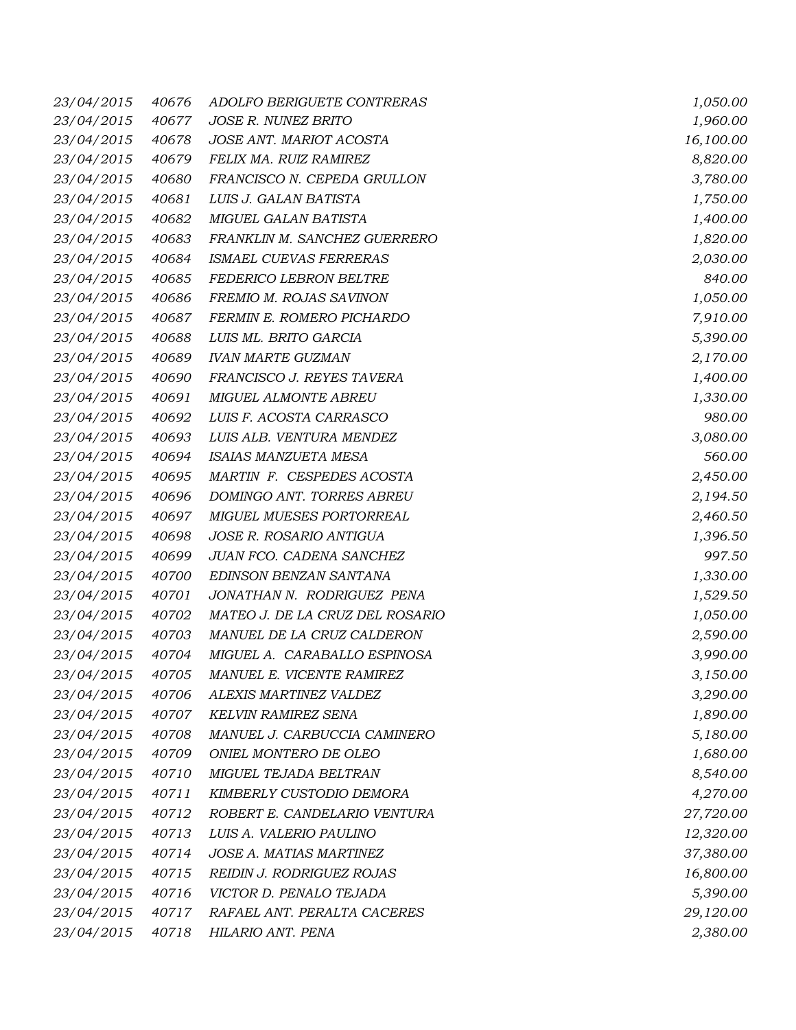| 23/04/2015        | 40676 | ADOLFO BERIGUETE CONTRERAS      | 1,050.00  |
|-------------------|-------|---------------------------------|-----------|
| 23/04/2015        | 40677 | JOSE R. NUNEZ BRITO             | 1,960.00  |
| 23/04/2015        | 40678 | JOSE ANT. MARIOT ACOSTA         | 16,100.00 |
| 23/04/2015        | 40679 | FELIX MA. RUIZ RAMIREZ          | 8,820.00  |
| 23/04/2015        | 40680 | FRANCISCO N. CEPEDA GRULLON     | 3,780.00  |
| 23/04/2015        | 40681 | LUIS J. GALAN BATISTA           | 1,750.00  |
| 23/04/2015        | 40682 | MIGUEL GALAN BATISTA            | 1,400.00  |
| 23/04/2015        | 40683 | FRANKLIN M. SANCHEZ GUERRERO    | 1,820.00  |
| 23/04/2015        | 40684 | ISMAEL CUEVAS FERRERAS          | 2,030.00  |
| 23/04/2015        | 40685 | FEDERICO LEBRON BELTRE          | 840.00    |
| 23/04/2015        | 40686 | FREMIO M. ROJAS SAVINON         | 1,050.00  |
| 23/04/2015        | 40687 | FERMIN E. ROMERO PICHARDO       | 7,910.00  |
| 23/04/2015        | 40688 | LUIS ML. BRITO GARCIA           | 5,390.00  |
| 23/04/2015        | 40689 | <b>IVAN MARTE GUZMAN</b>        | 2,170.00  |
| 23/04/2015        | 40690 | FRANCISCO J. REYES TAVERA       | 1,400.00  |
| 23/04/2015        | 40691 | <b>MIGUEL ALMONTE ABREU</b>     | 1,330.00  |
| 23/04/2015        | 40692 | LUIS F. ACOSTA CARRASCO         | 980.00    |
| 23/04/2015        | 40693 | LUIS ALB. VENTURA MENDEZ        | 3,080.00  |
| 23/04/2015        | 40694 | ISAIAS MANZUETA MESA            | 560.00    |
| 23/04/2015        | 40695 | MARTIN F. CESPEDES ACOSTA       | 2,450.00  |
| 23/04/2015        | 40696 | DOMINGO ANT. TORRES ABREU       | 2,194.50  |
| 23/04/2015        | 40697 | MIGUEL MUESES PORTORREAL        | 2,460.50  |
| 23/04/2015        | 40698 | JOSE R. ROSARIO ANTIGUA         | 1,396.50  |
| 23/04/2015        | 40699 | JUAN FCO. CADENA SANCHEZ        | 997.50    |
| 23/04/2015        | 40700 | EDINSON BENZAN SANTANA          | 1,330.00  |
| 23/04/2015        | 40701 | JONATHAN N. RODRIGUEZ PENA      | 1,529.50  |
| 23/04/2015        | 40702 | MATEO J. DE LA CRUZ DEL ROSARIO | 1,050.00  |
| 23/04/2015        | 40703 | MANUEL DE LA CRUZ CALDERON      | 2,590.00  |
| 23/04/2015        | 40704 | MIGUEL A. CARABALLO ESPINOSA    | 3,990.00  |
| <i>23/04/2015</i> | 40705 | MANUEL E. VICENTE RAMIREZ       | 3,150.00  |
| 23/04/2015        | 40706 | ALEXIS MARTINEZ VALDEZ          | 3,290.00  |
| 23/04/2015        | 40707 | <b>KELVIN RAMIREZ SENA</b>      | 1,890.00  |
| 23/04/2015        | 40708 | MANUEL J. CARBUCCIA CAMINERO    | 5,180.00  |
| 23/04/2015        | 40709 | ONIEL MONTERO DE OLEO           | 1,680.00  |
| 23/04/2015        | 40710 | MIGUEL TEJADA BELTRAN           | 8,540.00  |
| 23/04/2015        | 40711 | KIMBERLY CUSTODIO DEMORA        | 4,270.00  |
| 23/04/2015        | 40712 | ROBERT E. CANDELARIO VENTURA    | 27,720.00 |
| 23/04/2015        | 40713 | LUIS A. VALERIO PAULINO         | 12,320.00 |
| 23/04/2015        | 40714 | JOSE A. MATIAS MARTINEZ         | 37,380.00 |
| 23/04/2015        | 40715 | REIDIN J. RODRIGUEZ ROJAS       | 16,800.00 |
| 23/04/2015        | 40716 | VICTOR D. PENALO TEJADA         | 5,390.00  |
| 23/04/2015        | 40717 | RAFAEL ANT. PERALTA CACERES     | 29,120.00 |
| 23/04/2015        | 40718 | HILARIO ANT. PENA               | 2,380.00  |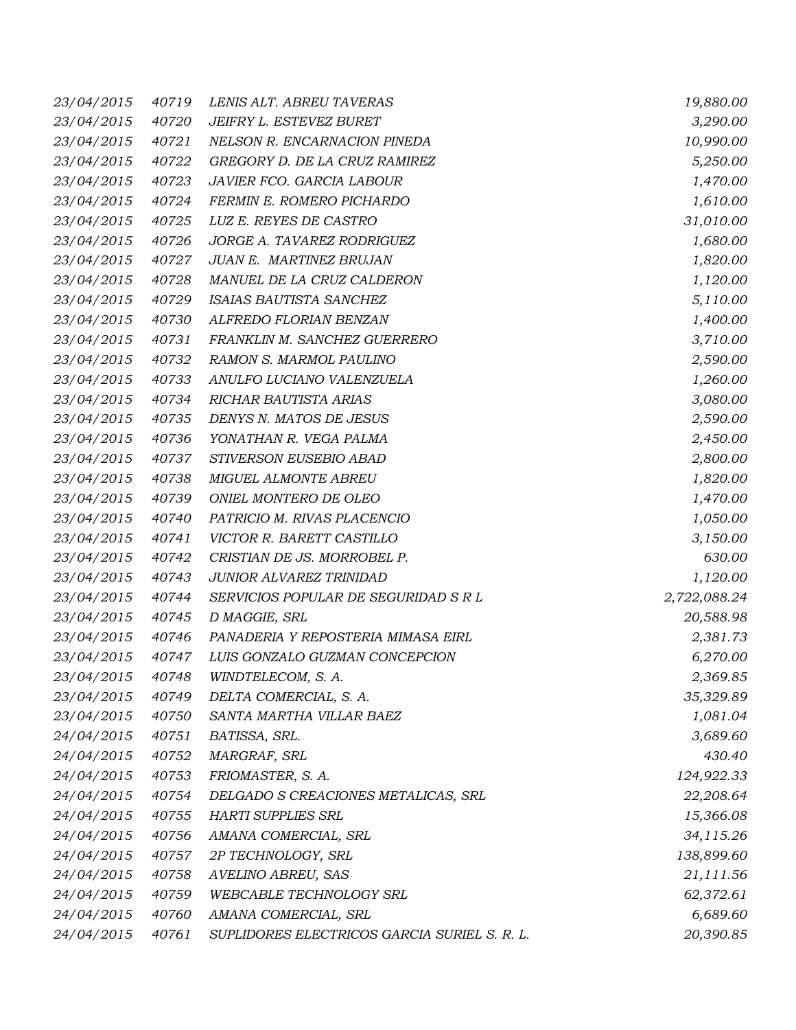| 23/04/2015       | 40719 | LENIS ALT. ABREU TAVERAS                     | 19,880.00    |
|------------------|-------|----------------------------------------------|--------------|
| 23/04/2015       | 40720 | JEIFRY L. ESTEVEZ BURET                      | 3,290.00     |
| 23/04/2015       | 40721 | NELSON R. ENCARNACION PINEDA                 | 10,990.00    |
| 23/04/2015       | 40722 | GREGORY D. DE LA CRUZ RAMIREZ                | 5,250.00     |
| 23/04/2015       | 40723 | JAVIER FCO. GARCIA LABOUR                    | 1,470.00     |
| 23/04/2015       | 40724 | FERMIN E. ROMERO PICHARDO                    | 1,610.00     |
| 23/04/2015       | 40725 | LUZ E. REYES DE CASTRO                       | 31,010.00    |
| 23/04/2015       | 40726 | JORGE A. TAVAREZ RODRIGUEZ                   | 1,680.00     |
| 23/04/2015       | 40727 | JUAN E. MARTINEZ BRUJAN                      | 1,820.00     |
| 23/04/2015       | 40728 | MANUEL DE LA CRUZ CALDERON                   | 1,120.00     |
| 23/04/2015       | 40729 | ISAIAS BAUTISTA SANCHEZ                      | 5,110.00     |
| 23/04/2015       | 40730 | ALFREDO FLORIAN BENZAN                       | 1,400.00     |
| 23/04/2015       | 40731 | FRANKLIN M. SANCHEZ GUERRERO                 | 3,710.00     |
| 23/04/2015       | 40732 | RAMON S. MARMOL PAULINO                      | 2,590.00     |
| 23/04/2015       | 40733 | ANULFO LUCIANO VALENZUELA                    | 1,260.00     |
| 23/04/2015       | 40734 | RICHAR BAUTISTA ARIAS                        | 3,080.00     |
| 23/04/2015       | 40735 | DENYS N. MATOS DE JESUS                      | 2,590.00     |
| 23/04/2015       | 40736 | YONATHAN R. VEGA PALMA                       | 2,450.00     |
| 23/04/2015       | 40737 | STIVERSON EUSEBIO ABAD                       | 2,800.00     |
| 23/04/2015       | 40738 | MIGUEL ALMONTE ABREU                         | 1,820.00     |
| 23/04/2015       | 40739 | ONIEL MONTERO DE OLEO                        | 1,470.00     |
| 23/04/2015       | 40740 | PATRICIO M. RIVAS PLACENCIO                  | 1,050.00     |
| 23/04/2015       | 40741 | VICTOR R. BARETT CASTILLO                    | 3,150.00     |
| 23/04/2015       | 40742 | CRISTIAN DE JS. MORROBEL P.                  | 630.00       |
| 23/04/2015       | 40743 | JUNIOR ALVAREZ TRINIDAD                      | 1,120.00     |
| 23/04/2015       | 40744 | SERVICIOS POPULAR DE SEGURIDAD S R L         | 2,722,088.24 |
| 23/04/2015       | 40745 | D MAGGIE, SRL                                | 20,588.98    |
| 23/04/2015       | 40746 | PANADERIA Y REPOSTERIA MIMASA EIRL           | 2,381.73     |
| 23/04/2015       | 40747 | LUIS GONZALO GUZMAN CONCEPCION               | 6,270.00     |
| 23/04/2015 40748 |       | WINDTELECOM, S.A.                            | 2,369.85     |
| 23/04/2015       | 40749 | DELTA COMERCIAL, S. A.                       | 35,329.89    |
| 23/04/2015       | 40750 | SANTA MARTHA VILLAR BAEZ                     | 1,081.04     |
| 24/04/2015       | 40751 | BATISSA, SRL.                                | 3,689.60     |
| 24/04/2015       | 40752 | MARGRAF, SRL                                 | 430.40       |
| 24/04/2015       | 40753 | FRIOMASTER, S. A.                            | 124,922.33   |
| 24/04/2015       | 40754 | DELGADO S CREACIONES METALICAS, SRL          | 22,208.64    |
| 24/04/2015       | 40755 | <b>HARTI SUPPLIES SRL</b>                    | 15,366.08    |
| 24/04/2015       | 40756 | AMANA COMERCIAL, SRL                         | 34,115.26    |
| 24/04/2015       | 40757 | 2P TECHNOLOGY, SRL                           | 138,899.60   |
| 24/04/2015       | 40758 | AVELINO ABREU, SAS                           | 21,111.56    |
| 24/04/2015       | 40759 | WEBCABLE TECHNOLOGY SRL                      | 62,372.61    |
| 24/04/2015       | 40760 | AMANA COMERCIAL, SRL                         | 6,689.60     |
| 24/04/2015       | 40761 | SUPLIDORES ELECTRICOS GARCIA SURIEL S. R. L. | 20,390.85    |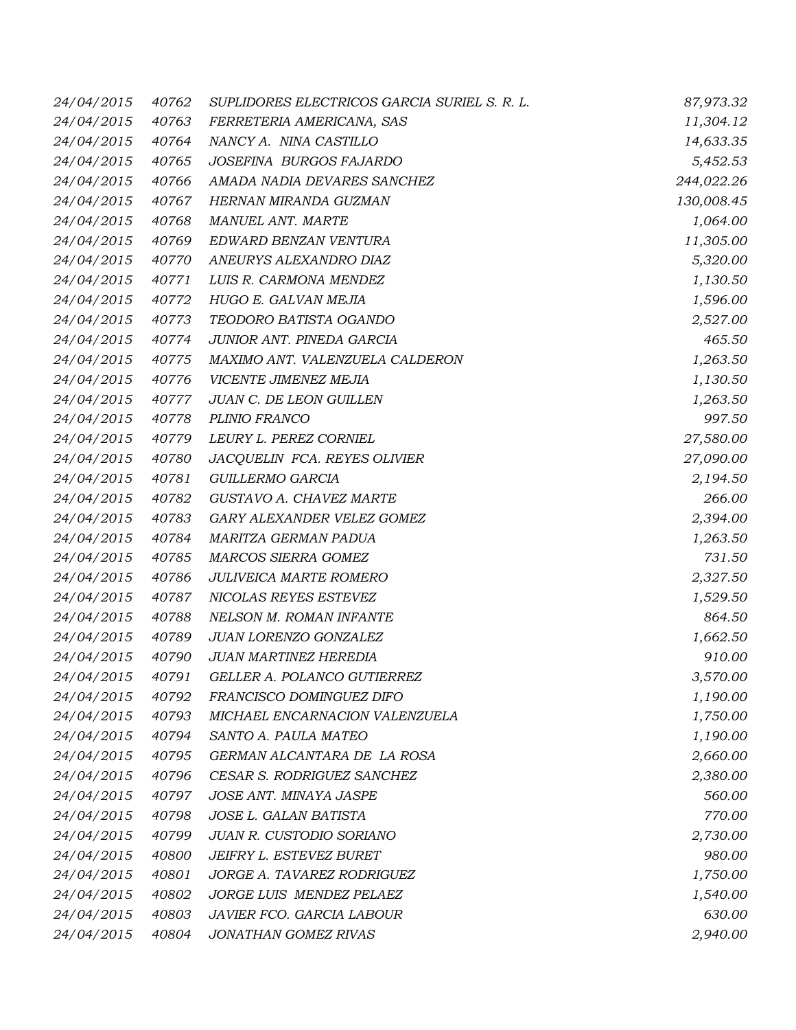| 24/04/2015       | 40762 | SUPLIDORES ELECTRICOS GARCIA SURIEL S. R. L. | 87,973.32  |
|------------------|-------|----------------------------------------------|------------|
| 24/04/2015       | 40763 | FERRETERIA AMERICANA, SAS                    | 11,304.12  |
| 24/04/2015       | 40764 | NANCY A. NINA CASTILLO                       | 14,633.35  |
| 24/04/2015       | 40765 | JOSEFINA BURGOS FAJARDO                      | 5,452.53   |
| 24/04/2015       | 40766 | AMADA NADIA DEVARES SANCHEZ                  | 244,022.26 |
| 24/04/2015       | 40767 | HERNAN MIRANDA GUZMAN                        | 130,008.45 |
| 24/04/2015       | 40768 | MANUEL ANT. MARTE                            | 1,064.00   |
| 24/04/2015       | 40769 | EDWARD BENZAN VENTURA                        | 11,305.00  |
| 24/04/2015       | 40770 | ANEURYS ALEXANDRO DIAZ                       | 5,320.00   |
| 24/04/2015       | 40771 | LUIS R. CARMONA MENDEZ                       | 1,130.50   |
| 24/04/2015       | 40772 | HUGO E. GALVAN MEJIA                         | 1,596.00   |
| 24/04/2015       | 40773 | TEODORO BATISTA OGANDO                       | 2,527.00   |
| 24/04/2015       | 40774 | JUNIOR ANT. PINEDA GARCIA                    | 465.50     |
| 24/04/2015       | 40775 | MAXIMO ANT. VALENZUELA CALDERON              | 1,263.50   |
| 24/04/2015       | 40776 | VICENTE JIMENEZ MEJIA                        | 1,130.50   |
| 24/04/2015       | 40777 | JUAN C. DE LEON GUILLEN                      | 1,263.50   |
| 24/04/2015       | 40778 | PLINIO FRANCO                                | 997.50     |
| 24/04/2015       | 40779 | LEURY L. PEREZ CORNIEL                       | 27,580.00  |
| 24/04/2015       | 40780 | JACQUELIN FCA. REYES OLIVIER                 | 27,090.00  |
| 24/04/2015       | 40781 | GUILLERMO GARCIA                             | 2,194.50   |
| 24/04/2015       | 40782 | GUSTAVO A. CHAVEZ MARTE                      | 266.00     |
| 24/04/2015       | 40783 | GARY ALEXANDER VELEZ GOMEZ                   | 2,394.00   |
| 24/04/2015       | 40784 | MARITZA GERMAN PADUA                         | 1,263.50   |
| 24/04/2015       | 40785 | MARCOS SIERRA GOMEZ                          | 731.50     |
| 24/04/2015       | 40786 | JULIVEICA MARTE ROMERO                       | 2,327.50   |
| 24/04/2015       | 40787 | NICOLAS REYES ESTEVEZ                        | 1,529.50   |
| 24/04/2015       | 40788 | NELSON M. ROMAN INFANTE                      | 864.50     |
| 24/04/2015       | 40789 | JUAN LORENZO GONZALEZ                        | 1,662.50   |
| 24/04/2015       | 40790 | JUAN MARTINEZ HEREDIA                        | 910.00     |
| 24/04/2015 40791 |       | GELLER A. POLANCO GUTIERREZ                  | 3,570.00   |
| 24/04/2015       | 40792 | FRANCISCO DOMINGUEZ DIFO                     | 1,190.00   |
| 24/04/2015       | 40793 | MICHAEL ENCARNACION VALENZUELA               | 1,750.00   |
| 24/04/2015       | 40794 | SANTO A. PAULA MATEO                         | 1,190.00   |
| 24/04/2015       | 40795 | GERMAN ALCANTARA DE LA ROSA                  | 2,660.00   |
| 24/04/2015       | 40796 | CESAR S. RODRIGUEZ SANCHEZ                   | 2,380.00   |
| 24/04/2015       | 40797 | JOSE ANT. MINAYA JASPE                       | 560.00     |
| 24/04/2015       | 40798 | JOSE L. GALAN BATISTA                        | 770.00     |
| 24/04/2015       | 40799 | JUAN R. CUSTODIO SORIANO                     | 2,730.00   |
| 24/04/2015       | 40800 | JEIFRY L. ESTEVEZ BURET                      | 980.00     |
| 24/04/2015       | 40801 | JORGE A. TAVAREZ RODRIGUEZ                   | 1,750.00   |
| 24/04/2015       | 40802 | JORGE LUIS MENDEZ PELAEZ                     | 1,540.00   |
| 24/04/2015       | 40803 | JAVIER FCO. GARCIA LABOUR                    | 630.00     |
| 24/04/2015       | 40804 | JONATHAN GOMEZ RIVAS                         | 2,940.00   |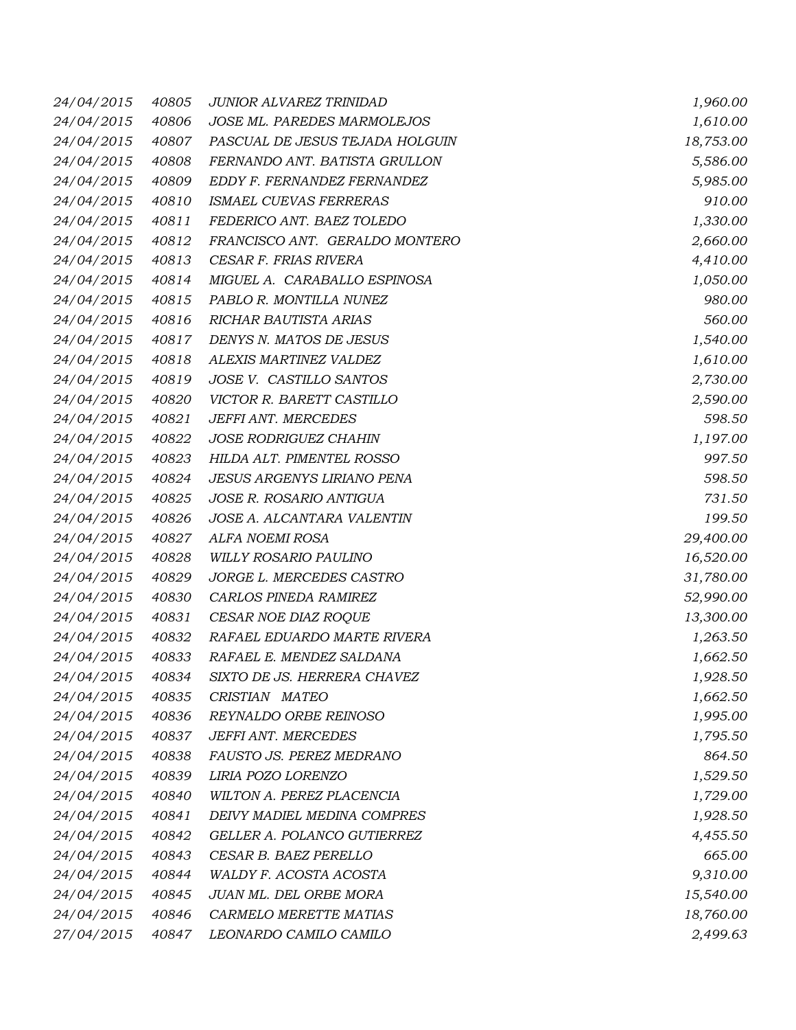| 24/04/2015       | 40805 | JUNIOR ALVAREZ TRINIDAD         | 1,960.00  |
|------------------|-------|---------------------------------|-----------|
| 24/04/2015       | 40806 | JOSE ML. PAREDES MARMOLEJOS     | 1,610.00  |
| 24/04/2015       | 40807 | PASCUAL DE JESUS TEJADA HOLGUIN | 18,753.00 |
| 24/04/2015       | 40808 | FERNANDO ANT. BATISTA GRULLON   | 5,586.00  |
| 24/04/2015       | 40809 | EDDY F. FERNANDEZ FERNANDEZ     | 5,985.00  |
| 24/04/2015       | 40810 | ISMAEL CUEVAS FERRERAS          | 910.00    |
| 24/04/2015       | 40811 | FEDERICO ANT. BAEZ TOLEDO       | 1,330.00  |
| 24/04/2015       | 40812 | FRANCISCO ANT. GERALDO MONTERO  | 2,660.00  |
| 24/04/2015       | 40813 | CESAR F. FRIAS RIVERA           | 4,410.00  |
| 24/04/2015       | 40814 | MIGUEL A. CARABALLO ESPINOSA    | 1,050.00  |
| 24/04/2015       | 40815 | PABLO R. MONTILLA NUNEZ         | 980.00    |
| 24/04/2015       | 40816 | RICHAR BAUTISTA ARIAS           | 560.00    |
| 24/04/2015       | 40817 | DENYS N. MATOS DE JESUS         | 1,540.00  |
| 24/04/2015       | 40818 | ALEXIS MARTINEZ VALDEZ          | 1,610.00  |
| 24/04/2015       | 40819 | JOSE V. CASTILLO SANTOS         | 2,730.00  |
| 24/04/2015       | 40820 | VICTOR R. BARETT CASTILLO       | 2,590.00  |
| 24/04/2015       | 40821 | JEFFI ANT. MERCEDES             | 598.50    |
| 24/04/2015       | 40822 | <b>JOSE RODRIGUEZ CHAHIN</b>    | 1,197.00  |
| 24/04/2015       | 40823 | HILDA ALT. PIMENTEL ROSSO       | 997.50    |
| 24/04/2015       | 40824 | JESUS ARGENYS LIRIANO PENA      | 598.50    |
| 24/04/2015       | 40825 | JOSE R. ROSARIO ANTIGUA         | 731.50    |
| 24/04/2015       | 40826 | JOSE A. ALCANTARA VALENTIN      | 199.50    |
| 24/04/2015       | 40827 | ALFA NOEMI ROSA                 | 29,400.00 |
| 24/04/2015       | 40828 | WILLY ROSARIO PAULINO           | 16,520.00 |
| 24/04/2015       | 40829 | JORGE L. MERCEDES CASTRO        | 31,780.00 |
| 24/04/2015       | 40830 | CARLOS PINEDA RAMIREZ           | 52,990.00 |
| 24/04/2015       | 40831 | CESAR NOE DIAZ ROQUE            | 13,300.00 |
| 24/04/2015       | 40832 | RAFAEL EDUARDO MARTE RIVERA     | 1,263.50  |
| 24/04/2015       | 40833 | RAFAEL E. MENDEZ SALDANA        | 1,662.50  |
| 24/04/2015 40834 |       | SIXTO DE JS. HERRERA CHAVEZ     | 1,928.50  |
| 24/04/2015       | 40835 | CRISTIAN MATEO                  | 1,662.50  |
| 24/04/2015       | 40836 | REYNALDO ORBE REINOSO           | 1,995.00  |
| 24/04/2015       | 40837 | JEFFI ANT. MERCEDES             | 1,795.50  |
| 24/04/2015       | 40838 | FAUSTO JS. PEREZ MEDRANO        | 864.50    |
| 24/04/2015       | 40839 | LIRIA POZO LORENZO              | 1,529.50  |
| 24/04/2015       | 40840 | WILTON A. PEREZ PLACENCIA       | 1,729.00  |
| 24/04/2015       | 40841 | DEIVY MADIEL MEDINA COMPRES     | 1,928.50  |
| 24/04/2015       | 40842 | GELLER A. POLANCO GUTIERREZ     | 4,455.50  |
| 24/04/2015       | 40843 | CESAR B. BAEZ PERELLO           | 665.00    |
| 24/04/2015       | 40844 | WALDY F. ACOSTA ACOSTA          | 9,310.00  |
| 24/04/2015       | 40845 | JUAN ML. DEL ORBE MORA          | 15,540.00 |
| 24/04/2015       | 40846 | CARMELO MERETTE MATIAS          | 18,760.00 |
| 27/04/2015       | 40847 | LEONARDO CAMILO CAMILO          | 2,499.63  |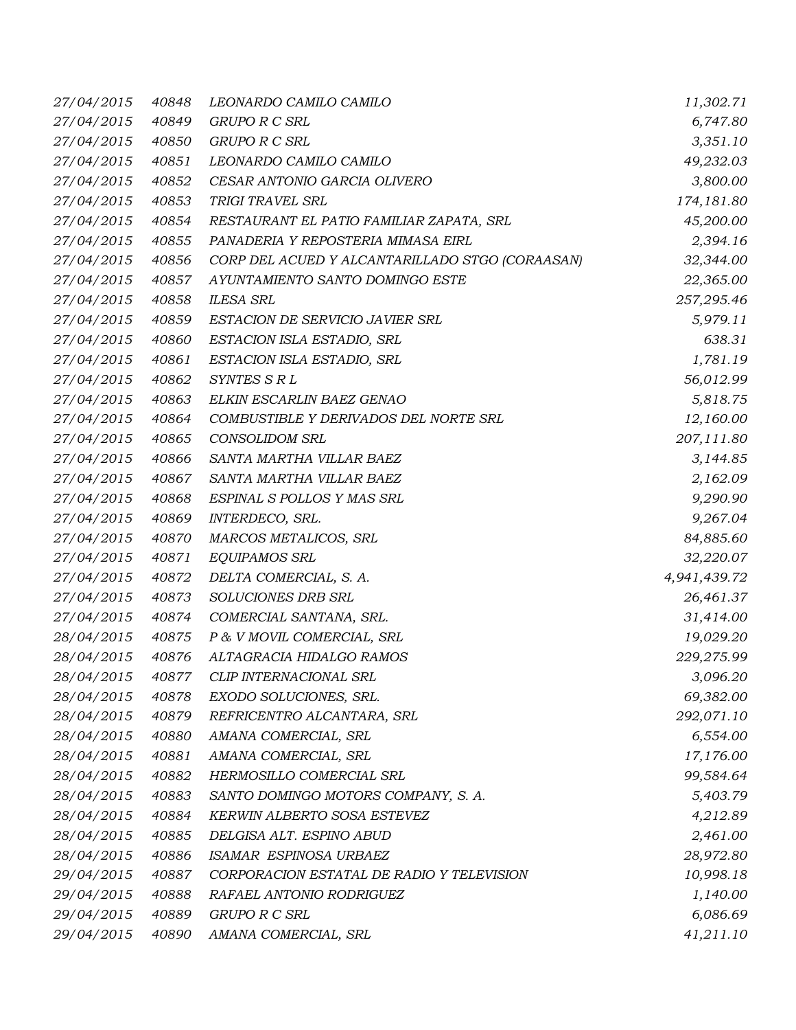| 27/04/2015 | 40848 | LEONARDO CAMILO CAMILO                          | 11,302.71    |
|------------|-------|-------------------------------------------------|--------------|
| 27/04/2015 | 40849 | <b>GRUPO R C SRL</b>                            | 6,747.80     |
| 27/04/2015 | 40850 | <b>GRUPO R C SRL</b>                            | 3,351.10     |
| 27/04/2015 | 40851 | LEONARDO CAMILO CAMILO                          | 49,232.03    |
| 27/04/2015 | 40852 | CESAR ANTONIO GARCIA OLIVERO                    | 3,800.00     |
| 27/04/2015 | 40853 | TRIGI TRAVEL SRL                                | 174,181.80   |
| 27/04/2015 | 40854 | RESTAURANT EL PATIO FAMILIAR ZAPATA, SRL        | 45,200.00    |
| 27/04/2015 | 40855 | PANADERIA Y REPOSTERIA MIMASA EIRL              | 2,394.16     |
| 27/04/2015 | 40856 | CORP DEL ACUED Y ALCANTARILLADO STGO (CORAASAN) | 32,344.00    |
| 27/04/2015 | 40857 | AYUNTAMIENTO SANTO DOMINGO ESTE                 | 22,365.00    |
| 27/04/2015 | 40858 | <b>ILESA SRL</b>                                | 257,295.46   |
| 27/04/2015 | 40859 | ESTACION DE SERVICIO JAVIER SRL                 | 5,979.11     |
| 27/04/2015 | 40860 | ESTACION ISLA ESTADIO, SRL                      | 638.31       |
| 27/04/2015 | 40861 | ESTACION ISLA ESTADIO, SRL                      | 1,781.19     |
| 27/04/2015 | 40862 | SYNTES S R L                                    | 56,012.99    |
| 27/04/2015 | 40863 | ELKIN ESCARLIN BAEZ GENAO                       | 5,818.75     |
| 27/04/2015 | 40864 | COMBUSTIBLE Y DERIVADOS DEL NORTE SRL           | 12,160.00    |
| 27/04/2015 | 40865 | <b>CONSOLIDOM SRL</b>                           | 207,111.80   |
| 27/04/2015 | 40866 | SANTA MARTHA VILLAR BAEZ                        | 3,144.85     |
| 27/04/2015 | 40867 | SANTA MARTHA VILLAR BAEZ                        | 2,162.09     |
| 27/04/2015 | 40868 | ESPINAL S POLLOS Y MAS SRL                      | 9,290.90     |
| 27/04/2015 | 40869 | INTERDECO, SRL.                                 | 9,267.04     |
| 27/04/2015 | 40870 | MARCOS METALICOS, SRL                           | 84,885.60    |
| 27/04/2015 | 40871 | EQUIPAMOS SRL                                   | 32,220.07    |
| 27/04/2015 | 40872 | DELTA COMERCIAL, S. A.                          | 4,941,439.72 |
| 27/04/2015 | 40873 | SOLUCIONES DRB SRL                              | 26,461.37    |
| 27/04/2015 | 40874 | COMERCIAL SANTANA, SRL.                         | 31,414.00    |
| 28/04/2015 | 40875 | P & V MOVIL COMERCIAL, SRL                      | 19,029.20    |
| 28/04/2015 | 40876 | ALTAGRACIA HIDALGO RAMOS                        | 229,275.99   |
|            |       | 28/04/2015  40877  CLIP INTERNACIONAL SRL       | 3,096.20     |
| 28/04/2015 | 40878 | EXODO SOLUCIONES, SRL.                          | 69,382.00    |
| 28/04/2015 | 40879 | REFRICENTRO ALCANTARA, SRL                      | 292,071.10   |
| 28/04/2015 | 40880 | AMANA COMERCIAL, SRL                            | 6,554.00     |
| 28/04/2015 | 40881 | AMANA COMERCIAL, SRL                            | 17,176.00    |
| 28/04/2015 | 40882 | HERMOSILLO COMERCIAL SRL                        | 99,584.64    |
| 28/04/2015 | 40883 | SANTO DOMINGO MOTORS COMPANY, S. A.             | 5,403.79     |
| 28/04/2015 | 40884 | KERWIN ALBERTO SOSA ESTEVEZ                     | 4,212.89     |
| 28/04/2015 | 40885 | DELGISA ALT. ESPINO ABUD                        | 2,461.00     |
| 28/04/2015 | 40886 | ISAMAR ESPINOSA URBAEZ                          | 28,972.80    |
| 29/04/2015 | 40887 | CORPORACION ESTATAL DE RADIO Y TELEVISION       | 10,998.18    |
| 29/04/2015 | 40888 | RAFAEL ANTONIO RODRIGUEZ                        | 1,140.00     |
| 29/04/2015 | 40889 | <b>GRUPO R C SRL</b>                            | 6,086.69     |
| 29/04/2015 | 40890 | AMANA COMERCIAL, SRL                            | 41,211.10    |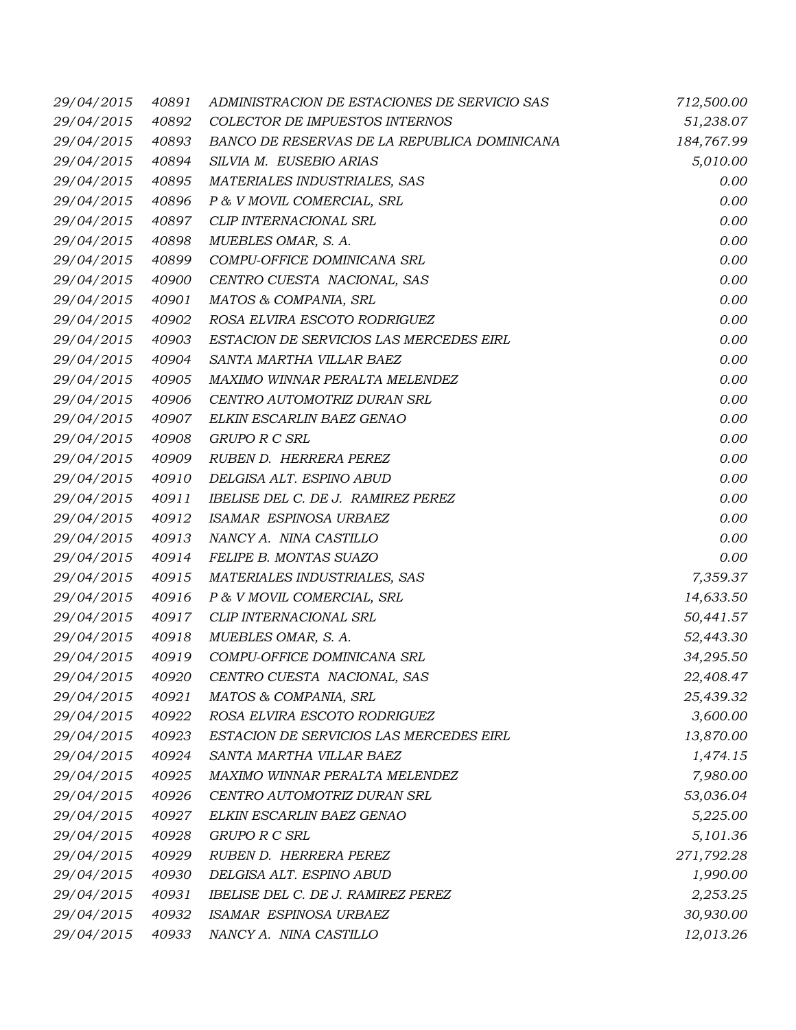| 29/04/2015 | 40891 | ADMINISTRACION DE ESTACIONES DE SERVICIO SAS | 712,500.00 |
|------------|-------|----------------------------------------------|------------|
| 29/04/2015 | 40892 | COLECTOR DE IMPUESTOS INTERNOS               | 51,238.07  |
| 29/04/2015 | 40893 | BANCO DE RESERVAS DE LA REPUBLICA DOMINICANA | 184,767.99 |
| 29/04/2015 | 40894 | SILVIA M. EUSEBIO ARIAS                      | 5,010.00   |
| 29/04/2015 | 40895 | MATERIALES INDUSTRIALES, SAS                 | 0.00       |
| 29/04/2015 | 40896 | P & V MOVIL COMERCIAL, SRL                   | 0.00       |
| 29/04/2015 | 40897 | CLIP INTERNACIONAL SRL                       | 0.00       |
| 29/04/2015 | 40898 | MUEBLES OMAR, S. A.                          | 0.00       |
| 29/04/2015 | 40899 | COMPU-OFFICE DOMINICANA SRL                  | 0.00       |
| 29/04/2015 | 40900 | CENTRO CUESTA NACIONAL, SAS                  | 0.00       |
| 29/04/2015 | 40901 | MATOS & COMPANIA, SRL                        | 0.00       |
| 29/04/2015 | 40902 | ROSA ELVIRA ESCOTO RODRIGUEZ                 | 0.00       |
| 29/04/2015 | 40903 | ESTACION DE SERVICIOS LAS MERCEDES EIRL      | 0.00       |
| 29/04/2015 | 40904 | SANTA MARTHA VILLAR BAEZ                     | 0.00       |
| 29/04/2015 | 40905 | MAXIMO WINNAR PERALTA MELENDEZ               | 0.00       |
| 29/04/2015 | 40906 | CENTRO AUTOMOTRIZ DURAN SRL                  | 0.00       |
| 29/04/2015 | 40907 | ELKIN ESCARLIN BAEZ GENAO                    | 0.00       |
| 29/04/2015 | 40908 | GRUPO R C SRL                                | 0.00       |
| 29/04/2015 | 40909 | RUBEN D. HERRERA PEREZ                       | 0.00       |
| 29/04/2015 | 40910 | DELGISA ALT. ESPINO ABUD                     | 0.00       |
| 29/04/2015 | 40911 | IBELISE DEL C. DE J. RAMIREZ PEREZ           | 0.00       |
| 29/04/2015 | 40912 | ISAMAR ESPINOSA URBAEZ                       | 0.00       |
| 29/04/2015 | 40913 | NANCY A. NINA CASTILLO                       | 0.00       |
| 29/04/2015 | 40914 | FELIPE B. MONTAS SUAZO                       | 0.00       |
| 29/04/2015 | 40915 | MATERIALES INDUSTRIALES, SAS                 | 7,359.37   |
| 29/04/2015 | 40916 | P & V MOVIL COMERCIAL, SRL                   | 14,633.50  |
| 29/04/2015 | 40917 | CLIP INTERNACIONAL SRL                       | 50,441.57  |
| 29/04/2015 | 40918 | MUEBLES OMAR, S. A.                          | 52,443.30  |
| 29/04/2015 | 40919 | COMPU-OFFICE DOMINICANA SRL                  | 34,295.50  |
|            |       | 29/04/2015 40920 CENTRO CUESTA NACIONAL, SAS | 22,408.47  |
| 29/04/2015 | 40921 | MATOS & COMPANIA, SRL                        | 25,439.32  |
| 29/04/2015 | 40922 | ROSA ELVIRA ESCOTO RODRIGUEZ                 | 3,600.00   |
| 29/04/2015 | 40923 | ESTACION DE SERVICIOS LAS MERCEDES EIRL      | 13,870.00  |
| 29/04/2015 | 40924 | SANTA MARTHA VILLAR BAEZ                     | 1,474.15   |
| 29/04/2015 | 40925 | MAXIMO WINNAR PERALTA MELENDEZ               | 7,980.00   |
| 29/04/2015 | 40926 | CENTRO AUTOMOTRIZ DURAN SRL                  | 53,036.04  |
| 29/04/2015 | 40927 | ELKIN ESCARLIN BAEZ GENAO                    | 5,225.00   |
| 29/04/2015 | 40928 | <b>GRUPO R C SRL</b>                         | 5,101.36   |
| 29/04/2015 | 40929 | RUBEN D. HERRERA PEREZ                       | 271,792.28 |
| 29/04/2015 | 40930 | DELGISA ALT. ESPINO ABUD                     | 1,990.00   |
| 29/04/2015 | 40931 | IBELISE DEL C. DE J. RAMIREZ PEREZ           | 2,253.25   |
| 29/04/2015 | 40932 | ISAMAR ESPINOSA URBAEZ                       | 30,930.00  |
| 29/04/2015 | 40933 | NANCY A. NINA CASTILLO                       | 12,013.26  |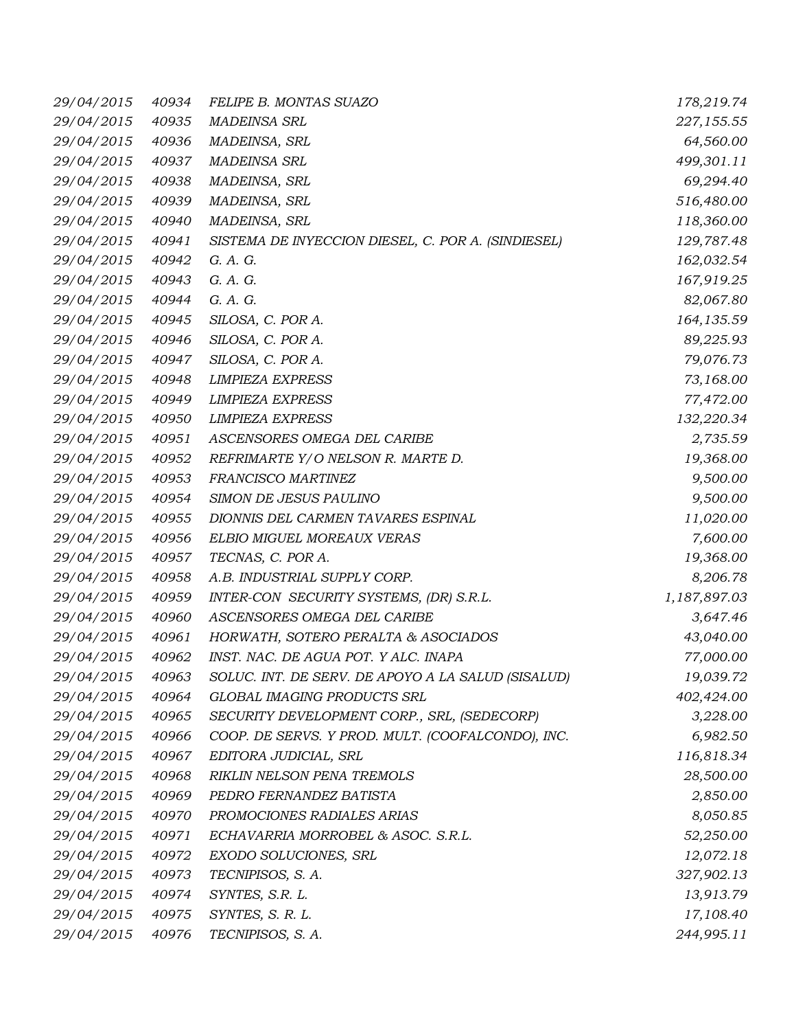| 29/04/2015       | 40934 | FELIPE B. MONTAS SUAZO                             | 178,219.74   |
|------------------|-------|----------------------------------------------------|--------------|
| 29/04/2015       | 40935 | <b>MADEINSA SRL</b>                                | 227,155.55   |
| 29/04/2015       | 40936 | MADEINSA, SRL                                      | 64,560.00    |
| 29/04/2015       | 40937 | <b>MADEINSA SRL</b>                                | 499,301.11   |
| 29/04/2015       | 40938 | MADEINSA, SRL                                      | 69,294.40    |
| 29/04/2015       | 40939 | MADEINSA, SRL                                      | 516,480.00   |
| 29/04/2015       | 40940 | MADEINSA, SRL                                      | 118,360.00   |
| 29/04/2015       | 40941 | SISTEMA DE INYECCION DIESEL, C. POR A. (SINDIESEL) | 129,787.48   |
| 29/04/2015       | 40942 | G. A. G.                                           | 162,032.54   |
| 29/04/2015       | 40943 | G. A. G.                                           | 167,919.25   |
| 29/04/2015       | 40944 | G. A. G.                                           | 82,067.80    |
| 29/04/2015       | 40945 | SILOSA, C. POR A.                                  | 164, 135.59  |
| 29/04/2015       | 40946 | SILOSA, C. POR A.                                  | 89,225.93    |
| 29/04/2015       | 40947 | SILOSA, C. POR A.                                  | 79,076.73    |
| 29/04/2015       | 40948 | <b>LIMPIEZA EXPRESS</b>                            | 73,168.00    |
| 29/04/2015       | 40949 | <b>LIMPIEZA EXPRESS</b>                            | 77,472.00    |
| 29/04/2015       | 40950 | <b>LIMPIEZA EXPRESS</b>                            | 132,220.34   |
| 29/04/2015       | 40951 | ASCENSORES OMEGA DEL CARIBE                        | 2,735.59     |
| 29/04/2015       | 40952 | REFRIMARTE Y/O NELSON R. MARTE D.                  | 19,368.00    |
| 29/04/2015       | 40953 | FRANCISCO MARTINEZ                                 | 9,500.00     |
| 29/04/2015       | 40954 | SIMON DE JESUS PAULINO                             | 9,500.00     |
| 29/04/2015       | 40955 | DIONNIS DEL CARMEN TAVARES ESPINAL                 | 11,020.00    |
| 29/04/2015       | 40956 | ELBIO MIGUEL MOREAUX VERAS                         | 7,600.00     |
| 29/04/2015       | 40957 | TECNAS, C. POR A.                                  | 19,368.00    |
| 29/04/2015       | 40958 | A.B. INDUSTRIAL SUPPLY CORP.                       | 8,206.78     |
| 29/04/2015       | 40959 | INTER-CON SECURITY SYSTEMS, (DR) S.R.L.            | 1,187,897.03 |
| 29/04/2015       | 40960 | ASCENSORES OMEGA DEL CARIBE                        | 3,647.46     |
| 29/04/2015       | 40961 | HORWATH, SOTERO PERALTA & ASOCIADOS                | 43,040.00    |
| 29/04/2015       | 40962 | INST. NAC. DE AGUA POT. Y ALC. INAPA               | 77,000.00    |
| 29/04/2015 40963 |       | SOLUC. INT. DE SERV. DE APOYO A LA SALUD (SISALUD) | 19,039.72    |
| 29/04/2015       | 40964 | GLOBAL IMAGING PRODUCTS SRL                        | 402,424.00   |
| 29/04/2015       | 40965 | SECURITY DEVELOPMENT CORP., SRL, (SEDECORP)        | 3,228.00     |
| 29/04/2015       | 40966 | COOP. DE SERVS. Y PROD. MULT. (COOFALCONDO), INC.  | 6,982.50     |
| 29/04/2015       | 40967 | EDITORA JUDICIAL, SRL                              | 116,818.34   |
| 29/04/2015       | 40968 | RIKLIN NELSON PENA TREMOLS                         | 28,500.00    |
| 29/04/2015       | 40969 | PEDRO FERNANDEZ BATISTA                            | 2,850.00     |
| 29/04/2015       | 40970 | PROMOCIONES RADIALES ARIAS                         | 8,050.85     |
| 29/04/2015       | 40971 | ECHAVARRIA MORROBEL & ASOC. S.R.L.                 | 52,250.00    |
| 29/04/2015       | 40972 | EXODO SOLUCIONES, SRL                              | 12,072.18    |
| 29/04/2015       | 40973 | TECNIPISOS, S. A.                                  | 327,902.13   |
| 29/04/2015       | 40974 | SYNTES, S.R. L.                                    | 13,913.79    |
| 29/04/2015       | 40975 | SYNTES, S. R. L.                                   | 17,108.40    |
| 29/04/2015       | 40976 | TECNIPISOS, S. A.                                  | 244,995.11   |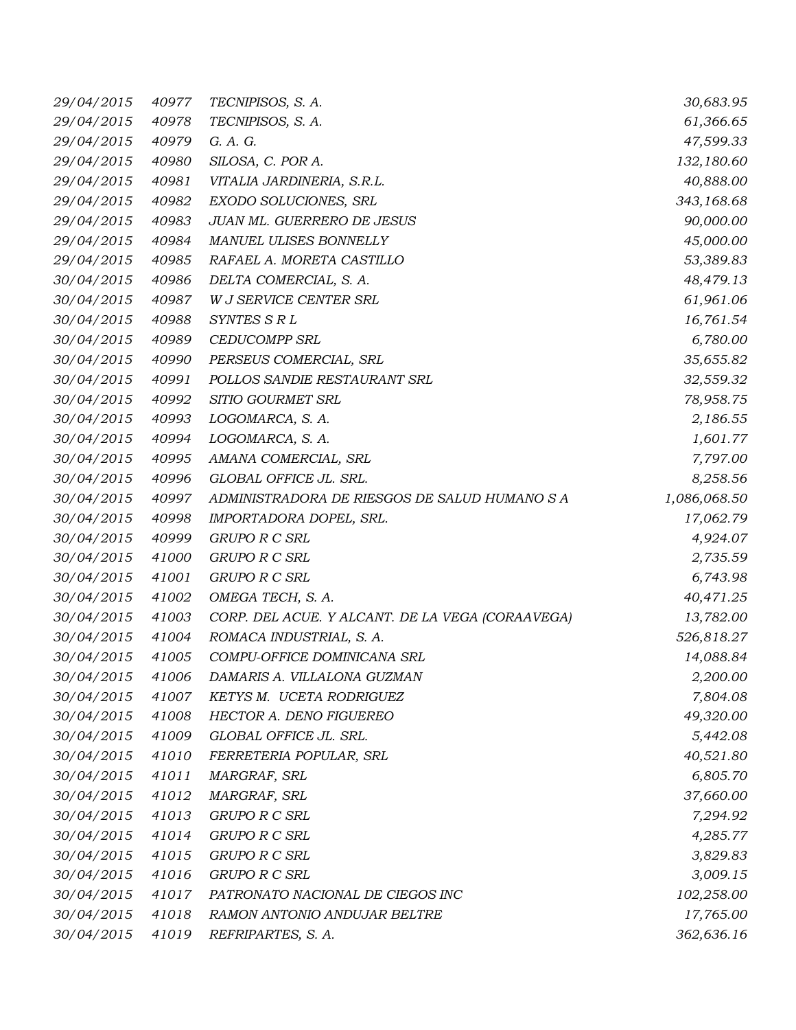| 29/04/2015 | 40977 | TECNIPISOS, S. A.                                | 30,683.95    |
|------------|-------|--------------------------------------------------|--------------|
| 29/04/2015 | 40978 | TECNIPISOS, S. A.                                | 61,366.65    |
| 29/04/2015 | 40979 | G. A. G.                                         | 47,599.33    |
| 29/04/2015 | 40980 | SILOSA, C. POR A.                                | 132,180.60   |
| 29/04/2015 | 40981 | VITALIA JARDINERIA, S.R.L.                       | 40,888.00    |
| 29/04/2015 | 40982 | EXODO SOLUCIONES, SRL                            | 343,168.68   |
| 29/04/2015 | 40983 | JUAN ML. GUERRERO DE JESUS                       | 90,000.00    |
| 29/04/2015 | 40984 | MANUEL ULISES BONNELLY                           | 45,000.00    |
| 29/04/2015 | 40985 | RAFAEL A. MORETA CASTILLO                        | 53,389.83    |
| 30/04/2015 | 40986 | DELTA COMERCIAL, S. A.                           | 48,479.13    |
| 30/04/2015 | 40987 | W J SERVICE CENTER SRL                           | 61,961.06    |
| 30/04/2015 | 40988 | SYNTES S R L                                     | 16,761.54    |
| 30/04/2015 | 40989 | <b>CEDUCOMPP SRL</b>                             | 6,780.00     |
| 30/04/2015 | 40990 | PERSEUS COMERCIAL, SRL                           | 35,655.82    |
| 30/04/2015 | 40991 | POLLOS SANDIE RESTAURANT SRL                     | 32,559.32    |
| 30/04/2015 | 40992 | SITIO GOURMET SRL                                | 78,958.75    |
| 30/04/2015 | 40993 | LOGOMARCA, S. A.                                 | 2,186.55     |
| 30/04/2015 | 40994 | LOGOMARCA, S. A.                                 | 1,601.77     |
| 30/04/2015 | 40995 | AMANA COMERCIAL, SRL                             | 7,797.00     |
| 30/04/2015 | 40996 | GLOBAL OFFICE JL. SRL.                           | 8,258.56     |
| 30/04/2015 | 40997 | ADMINISTRADORA DE RIESGOS DE SALUD HUMANO S A    | 1,086,068.50 |
| 30/04/2015 | 40998 | IMPORTADORA DOPEL, SRL.                          | 17,062.79    |
| 30/04/2015 | 40999 | <b>GRUPO R C SRL</b>                             | 4,924.07     |
| 30/04/2015 | 41000 | GRUPO R C SRL                                    | 2,735.59     |
| 30/04/2015 | 41001 | <b>GRUPO R C SRL</b>                             | 6,743.98     |
| 30/04/2015 | 41002 | OMEGA TECH, S. A.                                | 40,471.25    |
| 30/04/2015 | 41003 | CORP. DEL ACUE. Y ALCANT. DE LA VEGA (CORAAVEGA) | 13,782.00    |
| 30/04/2015 | 41004 | ROMACA INDUSTRIAL, S. A.                         | 526,818.27   |
| 30/04/2015 | 41005 | COMPU-OFFICE DOMINICANA SRL                      | 14,088.84    |
| 30/04/2015 | 41006 | DAMARIS A. VILLALONA GUZMAN                      | 2,200.00     |
| 30/04/2015 | 41007 | KETYS M. UCETA RODRIGUEZ                         | 7,804.08     |
| 30/04/2015 | 41008 | HECTOR A. DENO FIGUEREO                          | 49,320.00    |
| 30/04/2015 | 41009 | GLOBAL OFFICE JL. SRL.                           | 5,442.08     |
| 30/04/2015 | 41010 | FERRETERIA POPULAR, SRL                          | 40,521.80    |
| 30/04/2015 | 41011 | MARGRAF, SRL                                     | 6,805.70     |
| 30/04/2015 | 41012 | MARGRAF, SRL                                     | 37,660.00    |
| 30/04/2015 | 41013 | <b>GRUPO R C SRL</b>                             | 7,294.92     |
| 30/04/2015 | 41014 | <b>GRUPO R C SRL</b>                             | 4,285.77     |
| 30/04/2015 | 41015 | <b>GRUPO R C SRL</b>                             | 3,829.83     |
| 30/04/2015 | 41016 | <b>GRUPO R C SRL</b>                             | 3,009.15     |
| 30/04/2015 | 41017 | PATRONATO NACIONAL DE CIEGOS INC                 | 102,258.00   |
| 30/04/2015 | 41018 | RAMON ANTONIO ANDUJAR BELTRE                     | 17,765.00    |
| 30/04/2015 | 41019 | REFRIPARTES, S. A.                               | 362,636.16   |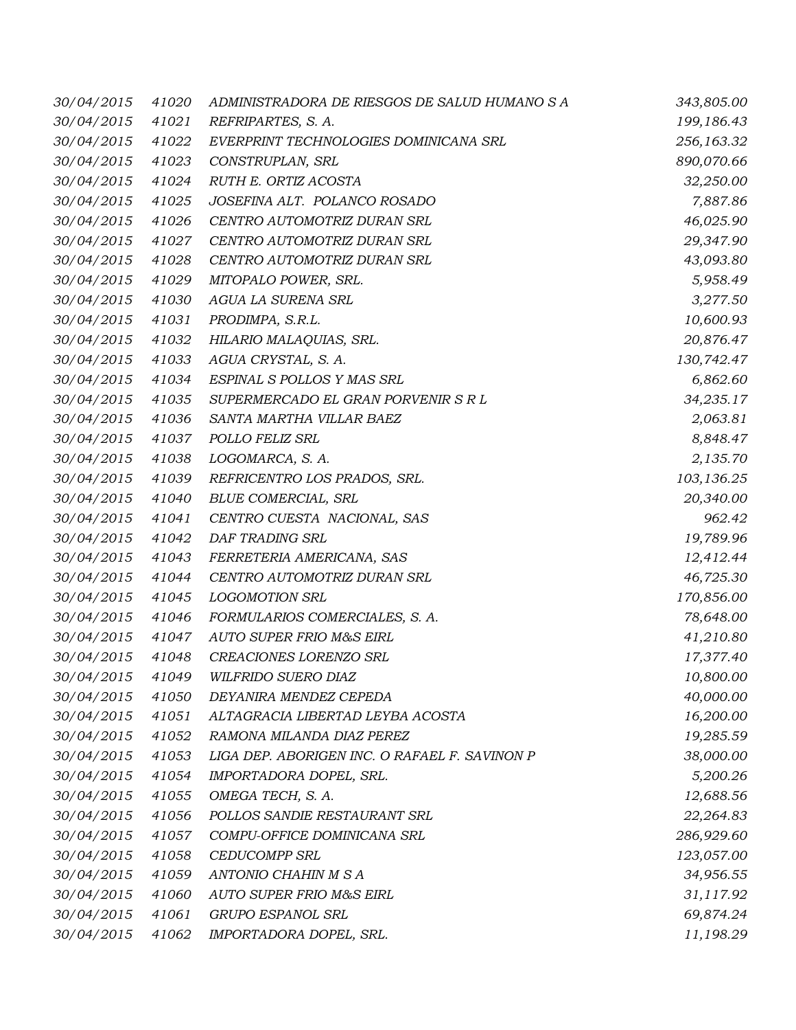| 30/04/2015       | 41020 | ADMINISTRADORA DE RIESGOS DE SALUD HUMANO S A | 343,805.00 |
|------------------|-------|-----------------------------------------------|------------|
| 30/04/2015       | 41021 | REFRIPARTES, S. A.                            | 199,186.43 |
| 30/04/2015       | 41022 | EVERPRINT TECHNOLOGIES DOMINICANA SRL         | 256,163.32 |
| 30/04/2015       | 41023 | CONSTRUPLAN, SRL                              | 890,070.66 |
| 30/04/2015       | 41024 | RUTH E. ORTIZ ACOSTA                          | 32,250.00  |
| 30/04/2015       | 41025 | JOSEFINA ALT. POLANCO ROSADO                  | 7,887.86   |
| 30/04/2015       | 41026 | CENTRO AUTOMOTRIZ DURAN SRL                   | 46,025.90  |
| 30/04/2015       | 41027 | CENTRO AUTOMOTRIZ DURAN SRL                   | 29,347.90  |
| 30/04/2015       | 41028 | CENTRO AUTOMOTRIZ DURAN SRL                   | 43,093.80  |
| 30/04/2015       | 41029 | MITOPALO POWER, SRL.                          | 5,958.49   |
| 30/04/2015       | 41030 | AGUA LA SURENA SRL                            | 3,277.50   |
| 30/04/2015       | 41031 | PRODIMPA, S.R.L.                              | 10,600.93  |
| 30/04/2015       | 41032 | HILARIO MALAQUIAS, SRL.                       | 20,876.47  |
| 30/04/2015       | 41033 | AGUA CRYSTAL, S. A.                           | 130,742.47 |
| 30/04/2015       | 41034 | ESPINAL S POLLOS Y MAS SRL                    | 6,862.60   |
| 30/04/2015       | 41035 | SUPERMERCADO EL GRAN PORVENIR S R L           | 34,235.17  |
| 30/04/2015       | 41036 | SANTA MARTHA VILLAR BAEZ                      | 2,063.81   |
| 30/04/2015       | 41037 | POLLO FELIZ SRL                               | 8,848.47   |
| 30/04/2015       | 41038 | LOGOMARCA, S. A.                              | 2,135.70   |
| 30/04/2015       | 41039 | REFRICENTRO LOS PRADOS, SRL.                  | 103,136.25 |
| 30/04/2015       | 41040 | <b>BLUE COMERCIAL, SRL</b>                    | 20,340.00  |
| 30/04/2015       | 41041 | CENTRO CUESTA NACIONAL, SAS                   | 962.42     |
| 30/04/2015       | 41042 | DAF TRADING SRL                               | 19,789.96  |
| 30/04/2015       | 41043 | FERRETERIA AMERICANA, SAS                     | 12,412.44  |
| 30/04/2015       | 41044 | CENTRO AUTOMOTRIZ DURAN SRL                   | 46,725.30  |
| 30/04/2015       | 41045 | <b>LOGOMOTION SRL</b>                         | 170,856.00 |
| 30/04/2015       | 41046 | FORMULARIOS COMERCIALES, S. A.                | 78,648.00  |
| 30/04/2015       | 41047 | AUTO SUPER FRIO M&S EIRL                      | 41,210.80  |
| 30/04/2015       | 41048 | CREACIONES LORENZO SRL                        | 17,377.40  |
| 30/04/2015 41049 |       | WILFRIDO SUERO DIAZ                           | 10,800.00  |
| 30/04/2015       | 41050 | DEYANIRA MENDEZ CEPEDA                        | 40,000.00  |
| 30/04/2015       | 41051 | ALTAGRACIA LIBERTAD LEYBA ACOSTA              | 16,200.00  |
| 30/04/2015       | 41052 | RAMONA MILANDA DIAZ PEREZ                     | 19,285.59  |
| 30/04/2015       | 41053 | LIGA DEP. ABORIGEN INC. O RAFAEL F. SAVINON P | 38,000.00  |
| 30/04/2015       | 41054 | IMPORTADORA DOPEL, SRL.                       | 5,200.26   |
| 30/04/2015       | 41055 | OMEGA TECH, S. A.                             | 12,688.56  |
| 30/04/2015       | 41056 | POLLOS SANDIE RESTAURANT SRL                  | 22,264.83  |
| 30/04/2015       | 41057 | COMPU-OFFICE DOMINICANA SRL                   | 286,929.60 |
| 30/04/2015       | 41058 | <b>CEDUCOMPP SRL</b>                          | 123,057.00 |
| 30/04/2015       | 41059 | ANTONIO CHAHIN M S A                          | 34,956.55  |
| 30/04/2015       | 41060 | AUTO SUPER FRIO M&S EIRL                      | 31,117.92  |
| 30/04/2015       | 41061 | GRUPO ESPANOL SRL                             | 69,874.24  |
| 30/04/2015       | 41062 | IMPORTADORA DOPEL, SRL.                       | 11,198.29  |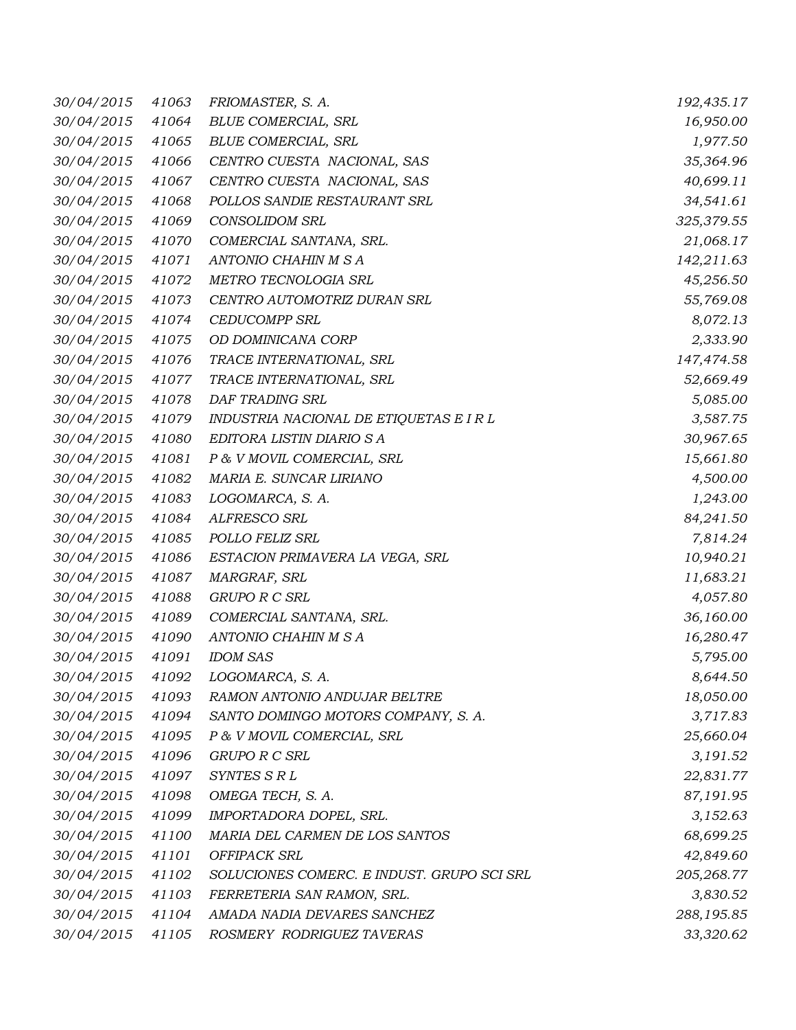| 30/04/2015       | 41063 | FRIOMASTER, S. A.                          | 192,435.17 |
|------------------|-------|--------------------------------------------|------------|
| 30/04/2015       | 41064 | <b>BLUE COMERCIAL, SRL</b>                 | 16,950.00  |
| 30/04/2015       | 41065 | <b>BLUE COMERCIAL, SRL</b>                 | 1,977.50   |
| 30/04/2015       | 41066 | CENTRO CUESTA NACIONAL, SAS                | 35,364.96  |
| 30/04/2015       | 41067 | CENTRO CUESTA NACIONAL, SAS                | 40,699.11  |
| 30/04/2015       | 41068 | POLLOS SANDIE RESTAURANT SRL               | 34,541.61  |
| 30/04/2015       | 41069 | <b>CONSOLIDOM SRL</b>                      | 325,379.55 |
| 30/04/2015       | 41070 | COMERCIAL SANTANA, SRL.                    | 21,068.17  |
| 30/04/2015       | 41071 | ANTONIO CHAHIN M S A                       | 142,211.63 |
| 30/04/2015       | 41072 | METRO TECNOLOGIA SRL                       | 45,256.50  |
| 30/04/2015       | 41073 | CENTRO AUTOMOTRIZ DURAN SRL                | 55,769.08  |
| 30/04/2015       | 41074 | <b>CEDUCOMPP SRL</b>                       | 8,072.13   |
| 30/04/2015       | 41075 | OD DOMINICANA CORP                         | 2,333.90   |
| 30/04/2015       | 41076 | TRACE INTERNATIONAL, SRL                   | 147,474.58 |
| 30/04/2015       | 41077 | TRACE INTERNATIONAL, SRL                   | 52,669.49  |
| 30/04/2015       | 41078 | DAF TRADING SRL                            | 5,085.00   |
| 30/04/2015       | 41079 | INDUSTRIA NACIONAL DE ETIQUETAS E I R L    | 3,587.75   |
| 30/04/2015       | 41080 | EDITORA LISTIN DIARIO S A                  | 30,967.65  |
| 30/04/2015       | 41081 | P & V MOVIL COMERCIAL, SRL                 | 15,661.80  |
| 30/04/2015       | 41082 | MARIA E. SUNCAR LIRIANO                    | 4,500.00   |
| 30/04/2015       | 41083 | LOGOMARCA, S. A.                           | 1,243.00   |
| 30/04/2015       | 41084 | ALFRESCO SRL                               | 84,241.50  |
| 30/04/2015       | 41085 | POLLO FELIZ SRL                            | 7,814.24   |
| 30/04/2015       | 41086 | ESTACION PRIMAVERA LA VEGA, SRL            | 10,940.21  |
| 30/04/2015       | 41087 | MARGRAF, SRL                               | 11,683.21  |
| 30/04/2015       | 41088 | GRUPO R C SRL                              | 4,057.80   |
| 30/04/2015       | 41089 | COMERCIAL SANTANA, SRL.                    | 36,160.00  |
| 30/04/2015       | 41090 | ANTONIO CHAHIN M S A                       | 16,280.47  |
| 30/04/2015       | 41091 | <b>IDOM SAS</b>                            | 5,795.00   |
| 30/04/2015 41092 |       | LOGOMARCA, S. A.                           | 8,644.50   |
| 30/04/2015       | 41093 | RAMON ANTONIO ANDUJAR BELTRE               | 18,050.00  |
| 30/04/2015       | 41094 | SANTO DOMINGO MOTORS COMPANY, S. A.        | 3,717.83   |
| 30/04/2015       | 41095 | P & V MOVIL COMERCIAL, SRL                 | 25,660.04  |
| 30/04/2015       | 41096 | GRUPO R C SRL                              | 3,191.52   |
| 30/04/2015       | 41097 | SYNTES S R L                               | 22,831.77  |
| 30/04/2015       | 41098 | OMEGA TECH, S. A.                          | 87,191.95  |
| 30/04/2015       | 41099 | IMPORTADORA DOPEL, SRL.                    | 3,152.63   |
| 30/04/2015       | 41100 | MARIA DEL CARMEN DE LOS SANTOS             | 68,699.25  |
| 30/04/2015       | 41101 | OFFIPACK SRL                               | 42,849.60  |
| 30/04/2015       | 41102 | SOLUCIONES COMERC. E INDUST. GRUPO SCI SRL | 205,268.77 |
| 30/04/2015       | 41103 | FERRETERIA SAN RAMON, SRL.                 | 3,830.52   |
| 30/04/2015       | 41104 | AMADA NADIA DEVARES SANCHEZ                | 288,195.85 |
| 30/04/2015       | 41105 | ROSMERY RODRIGUEZ TAVERAS                  | 33,320.62  |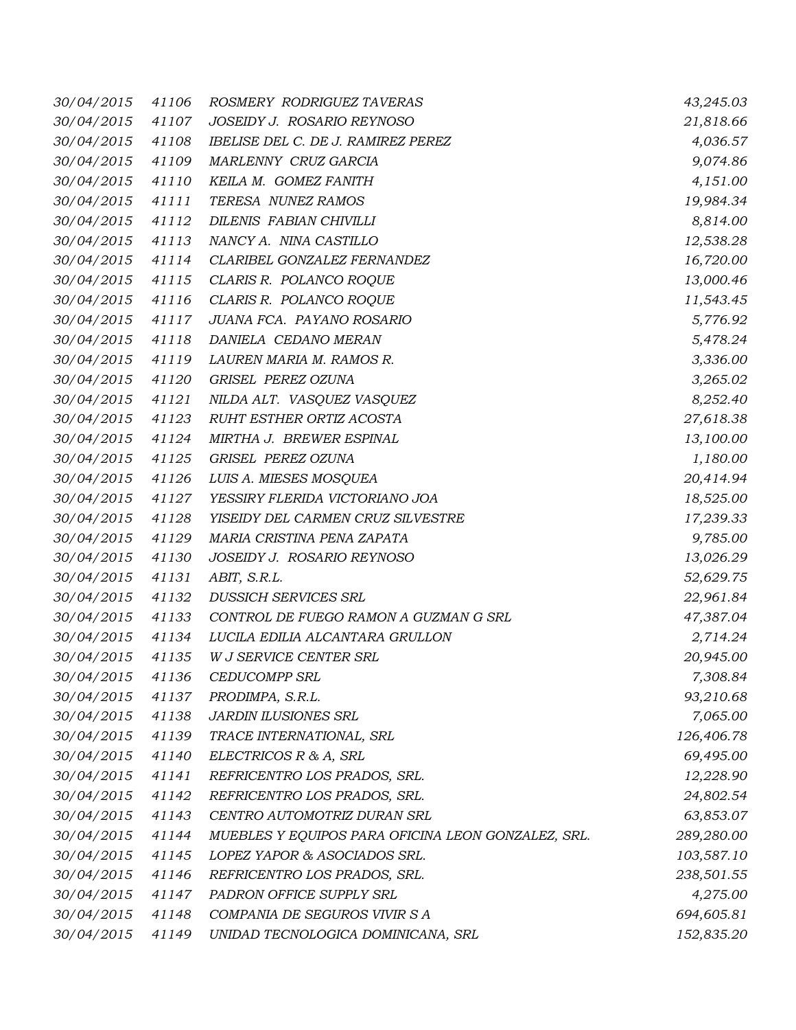| 30/04/2015 | 41106 | ROSMERY RODRIGUEZ TAVERAS                          | 43,245.03  |
|------------|-------|----------------------------------------------------|------------|
| 30/04/2015 | 41107 | JOSEIDY J. ROSARIO REYNOSO                         | 21,818.66  |
| 30/04/2015 | 41108 | IBELISE DEL C. DE J. RAMIREZ PEREZ                 | 4,036.57   |
| 30/04/2015 | 41109 | MARLENNY CRUZ GARCIA                               | 9,074.86   |
| 30/04/2015 | 41110 | KEILA M. GOMEZ FANITH                              | 4,151.00   |
| 30/04/2015 | 41111 | TERESA NUNEZ RAMOS                                 | 19,984.34  |
| 30/04/2015 | 41112 | DILENIS FABIAN CHIVILLI                            | 8,814.00   |
| 30/04/2015 | 41113 | NANCY A. NINA CASTILLO                             | 12,538.28  |
| 30/04/2015 | 41114 | CLARIBEL GONZALEZ FERNANDEZ                        | 16,720.00  |
| 30/04/2015 | 41115 | CLARIS R. POLANCO ROQUE                            | 13,000.46  |
| 30/04/2015 | 41116 | CLARIS R. POLANCO ROQUE                            | 11,543.45  |
| 30/04/2015 | 41117 | JUANA FCA. PAYANO ROSARIO                          | 5,776.92   |
| 30/04/2015 | 41118 | DANIELA CEDANO MERAN                               | 5,478.24   |
| 30/04/2015 | 41119 | LAUREN MARIA M. RAMOS R.                           | 3,336.00   |
| 30/04/2015 | 41120 | GRISEL PEREZ OZUNA                                 | 3,265.02   |
| 30/04/2015 | 41121 | NILDA ALT. VASQUEZ VASQUEZ                         | 8,252.40   |
| 30/04/2015 | 41123 | RUHT ESTHER ORTIZ ACOSTA                           | 27,618.38  |
| 30/04/2015 | 41124 | MIRTHA J. BREWER ESPINAL                           | 13,100.00  |
| 30/04/2015 | 41125 | GRISEL PEREZ OZUNA                                 | 1,180.00   |
| 30/04/2015 | 41126 | LUIS A. MIESES MOSQUEA                             | 20,414.94  |
| 30/04/2015 | 41127 | YESSIRY FLERIDA VICTORIANO JOA                     | 18,525.00  |
| 30/04/2015 | 41128 | YISEIDY DEL CARMEN CRUZ SILVESTRE                  | 17,239.33  |
| 30/04/2015 | 41129 | MARIA CRISTINA PENA ZAPATA                         | 9,785.00   |
| 30/04/2015 | 41130 | JOSEIDY J. ROSARIO REYNOSO                         | 13,026.29  |
| 30/04/2015 | 41131 | ABIT, S.R.L.                                       | 52,629.75  |
| 30/04/2015 | 41132 | DUSSICH SERVICES SRL                               | 22,961.84  |
| 30/04/2015 | 41133 | CONTROL DE FUEGO RAMON A GUZMAN G SRL              | 47,387.04  |
| 30/04/2015 | 41134 | LUCILA EDILIA ALCANTARA GRULLON                    | 2,714.24   |
| 30/04/2015 | 41135 | W J SERVICE CENTER SRL                             | 20,945.00  |
|            |       | 30/04/2015 41136 CEDUCOMPP SRL                     | 7,308.84   |
| 30/04/2015 | 41137 | PRODIMPA, S.R.L.                                   | 93,210.68  |
| 30/04/2015 | 41138 | <b>JARDIN ILUSIONES SRL</b>                        | 7,065.00   |
| 30/04/2015 | 41139 | TRACE INTERNATIONAL, SRL                           | 126,406.78 |
| 30/04/2015 | 41140 | ELECTRICOS R & A, SRL                              | 69,495.00  |
| 30/04/2015 | 41141 | REFRICENTRO LOS PRADOS, SRL.                       | 12,228.90  |
| 30/04/2015 | 41142 | REFRICENTRO LOS PRADOS, SRL.                       | 24,802.54  |
| 30/04/2015 | 41143 | CENTRO AUTOMOTRIZ DURAN SRL                        | 63,853.07  |
| 30/04/2015 | 41144 | MUEBLES Y EQUIPOS PARA OFICINA LEON GONZALEZ, SRL. | 289,280.00 |
| 30/04/2015 | 41145 | LOPEZ YAPOR & ASOCIADOS SRL.                       | 103,587.10 |
| 30/04/2015 | 41146 | REFRICENTRO LOS PRADOS, SRL.                       | 238,501.55 |
| 30/04/2015 | 41147 | PADRON OFFICE SUPPLY SRL                           | 4,275.00   |
| 30/04/2015 | 41148 | COMPANIA DE SEGUROS VIVIR SA                       | 694,605.81 |
| 30/04/2015 | 41149 | UNIDAD TECNOLOGICA DOMINICANA, SRL                 | 152,835.20 |